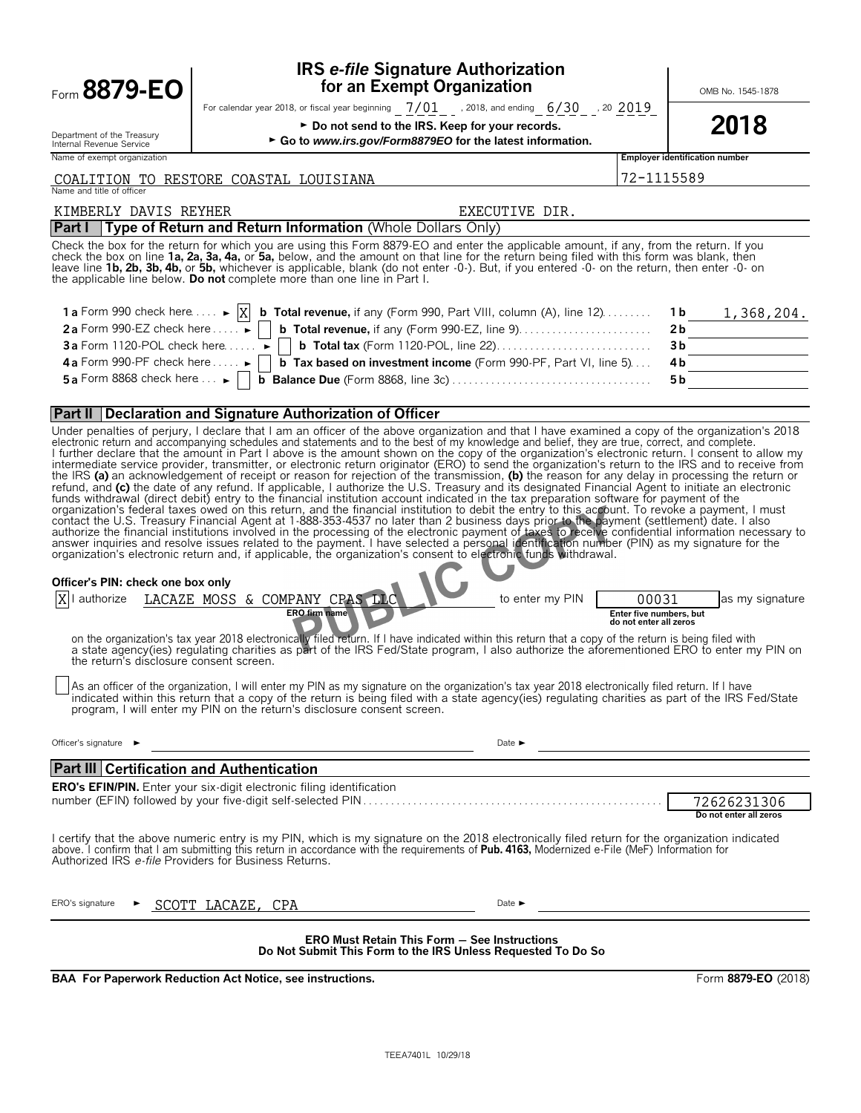| Form 8879-EO                                                                                                              | <b>IRS e-file Signature Authorization</b><br>for an Exempt Organization                                                                                                                                                                                                                                                                                                                                                                                                                                                                                                                                                                                                                                                                                                                                                                                                                                                                                                                                                                                                                                                                                                                                                                                                                                                                                                                                                                                                                                                                                                                                                                                                                                                                                                                                                                                                                                                                                                                                                                                                                                                                                                  |                                                            | OMB No. 1545-1878                     |
|---------------------------------------------------------------------------------------------------------------------------|--------------------------------------------------------------------------------------------------------------------------------------------------------------------------------------------------------------------------------------------------------------------------------------------------------------------------------------------------------------------------------------------------------------------------------------------------------------------------------------------------------------------------------------------------------------------------------------------------------------------------------------------------------------------------------------------------------------------------------------------------------------------------------------------------------------------------------------------------------------------------------------------------------------------------------------------------------------------------------------------------------------------------------------------------------------------------------------------------------------------------------------------------------------------------------------------------------------------------------------------------------------------------------------------------------------------------------------------------------------------------------------------------------------------------------------------------------------------------------------------------------------------------------------------------------------------------------------------------------------------------------------------------------------------------------------------------------------------------------------------------------------------------------------------------------------------------------------------------------------------------------------------------------------------------------------------------------------------------------------------------------------------------------------------------------------------------------------------------------------------------------------------------------------------------|------------------------------------------------------------|---------------------------------------|
|                                                                                                                           | For calendar year 2018, or fiscal year beginning $7/01$ , 2018, and ending $6/30$ , 20 $2019$                                                                                                                                                                                                                                                                                                                                                                                                                                                                                                                                                                                                                                                                                                                                                                                                                                                                                                                                                                                                                                                                                                                                                                                                                                                                                                                                                                                                                                                                                                                                                                                                                                                                                                                                                                                                                                                                                                                                                                                                                                                                            |                                                            |                                       |
| Department of the Treasury<br>Internal Revenue Service                                                                    | ► Do not send to the IRS. Keep for your records.<br>Go to www.irs.gov/Form8879EO for the latest information.                                                                                                                                                                                                                                                                                                                                                                                                                                                                                                                                                                                                                                                                                                                                                                                                                                                                                                                                                                                                                                                                                                                                                                                                                                                                                                                                                                                                                                                                                                                                                                                                                                                                                                                                                                                                                                                                                                                                                                                                                                                             |                                                            | 2018                                  |
| Name of exempt organization                                                                                               |                                                                                                                                                                                                                                                                                                                                                                                                                                                                                                                                                                                                                                                                                                                                                                                                                                                                                                                                                                                                                                                                                                                                                                                                                                                                                                                                                                                                                                                                                                                                                                                                                                                                                                                                                                                                                                                                                                                                                                                                                                                                                                                                                                          |                                                            | <b>Employer identification number</b> |
| Name and title of officer                                                                                                 | COALITION TO RESTORE COASTAL LOUISIANA                                                                                                                                                                                                                                                                                                                                                                                                                                                                                                                                                                                                                                                                                                                                                                                                                                                                                                                                                                                                                                                                                                                                                                                                                                                                                                                                                                                                                                                                                                                                                                                                                                                                                                                                                                                                                                                                                                                                                                                                                                                                                                                                   | 72-1115589                                                 |                                       |
| KIMBERLY DAVIS REYHER                                                                                                     | EXECUTIVE DIR.                                                                                                                                                                                                                                                                                                                                                                                                                                                                                                                                                                                                                                                                                                                                                                                                                                                                                                                                                                                                                                                                                                                                                                                                                                                                                                                                                                                                                                                                                                                                                                                                                                                                                                                                                                                                                                                                                                                                                                                                                                                                                                                                                           |                                                            |                                       |
|                                                                                                                           | Part I   Type of Return and Return Information (Whole Dollars Only)                                                                                                                                                                                                                                                                                                                                                                                                                                                                                                                                                                                                                                                                                                                                                                                                                                                                                                                                                                                                                                                                                                                                                                                                                                                                                                                                                                                                                                                                                                                                                                                                                                                                                                                                                                                                                                                                                                                                                                                                                                                                                                      |                                                            |                                       |
|                                                                                                                           | Check the box for the return for which you are using this Form 8879-EO and enter the applicable amount, if any, from the return. If you<br>check the box on line 1a, 2a, 3a, 4a, or 5a, below, and the amount on that line for the return being filed with this form was blank, then<br>leave line 1b, 2b, 3b, 4b, or 5b, whichever is applicable, blank (do not enter -0-). But, if you entered -0- on the return, then enter -0- on<br>the applicable line below. Do not complete more than one line in Part I.                                                                                                                                                                                                                                                                                                                                                                                                                                                                                                                                                                                                                                                                                                                                                                                                                                                                                                                                                                                                                                                                                                                                                                                                                                                                                                                                                                                                                                                                                                                                                                                                                                                        |                                                            |                                       |
|                                                                                                                           | 1 a Form 990 check here $\dots \rightarrow  X $ b Total revenue, if any (Form 990, Part VIII, column (A), line 12).                                                                                                                                                                                                                                                                                                                                                                                                                                                                                                                                                                                                                                                                                                                                                                                                                                                                                                                                                                                                                                                                                                                                                                                                                                                                                                                                                                                                                                                                                                                                                                                                                                                                                                                                                                                                                                                                                                                                                                                                                                                      |                                                            | 1 b<br>1,368,204.                     |
|                                                                                                                           | 2a Form 990-EZ check here $\dots$ $\blacktriangleright$     b Total revenue, if any (Form 990-EZ, line 9). $\dots$ $\dots$                                                                                                                                                                                                                                                                                                                                                                                                                                                                                                                                                                                                                                                                                                                                                                                                                                                                                                                                                                                                                                                                                                                                                                                                                                                                                                                                                                                                                                                                                                                                                                                                                                                                                                                                                                                                                                                                                                                                                                                                                                               |                                                            | 2 <sub>b</sub>                        |
| <b>3a</b> Form 1120-POL check here $\dots \rightarrow$                                                                    |                                                                                                                                                                                                                                                                                                                                                                                                                                                                                                                                                                                                                                                                                                                                                                                                                                                                                                                                                                                                                                                                                                                                                                                                                                                                                                                                                                                                                                                                                                                                                                                                                                                                                                                                                                                                                                                                                                                                                                                                                                                                                                                                                                          |                                                            | 3 <sub>b</sub>                        |
| 4a Form 990-PF check here $\blacktriangleright$                                                                           | <b>b</b> Tax based on investment income (Form 990-PF, Part VI, line 5)                                                                                                                                                                                                                                                                                                                                                                                                                                                                                                                                                                                                                                                                                                                                                                                                                                                                                                                                                                                                                                                                                                                                                                                                                                                                                                                                                                                                                                                                                                                                                                                                                                                                                                                                                                                                                                                                                                                                                                                                                                                                                                   |                                                            | 4 <sub>b</sub>                        |
| 5a Form 8868 check here $\dots \rightarrow$                                                                               |                                                                                                                                                                                                                                                                                                                                                                                                                                                                                                                                                                                                                                                                                                                                                                                                                                                                                                                                                                                                                                                                                                                                                                                                                                                                                                                                                                                                                                                                                                                                                                                                                                                                                                                                                                                                                                                                                                                                                                                                                                                                                                                                                                          |                                                            | 5 b                                   |
|                                                                                                                           | <b>Part II Declaration and Signature Authorization of Officer</b>                                                                                                                                                                                                                                                                                                                                                                                                                                                                                                                                                                                                                                                                                                                                                                                                                                                                                                                                                                                                                                                                                                                                                                                                                                                                                                                                                                                                                                                                                                                                                                                                                                                                                                                                                                                                                                                                                                                                                                                                                                                                                                        |                                                            |                                       |
| Officer's PIN: check one box only<br>the return's disclosure consent screen.<br>Officer's signature $\blacktriangleright$ | Under penalties of perjury, I declare that I am an officer of the above organization and that I have examined a copy of the organization's 2018<br>electronic return and accompanying schedules and statements and to the best of my knowledge and belief, they are true, correct, and complete.<br>I further declare that the amount in Part I above is the amount shown on the copy of the organization's electronic return. I consent to allow my intermediate service provider, transmitter, or electronic return originator (<br>the IRS (a) an acknowledgement of receipt or reason for rejection of the transmission, (b) the reason for any delay in processing the return or refund, and (c) the date of any refund. If applicable, I authorize the U.S. Tr<br>funds withdrawal (direct debit) entry to the financial institution account indicated in the tax preparation software for payment of the<br>organization's federal taxes owed on this return, and the financial institution to debit the entry to this account. To revoke a payment, I must<br>contact the U.S. Treasury Financial Agent at 1-888-353-4537 no later than 2 business days prior to the payment (settlement) date. I also<br>authorize the financial institutions involved in the processing of the electronic pay<br>authorize LACAZE MOSS & COMPANY CPAS LLC<br>to enter my PIN<br><b>ERO firm name</b><br>on the organization's tax year 2018 electronically filed return. If I have indicated within this return that a copy of the return is being filed with<br>a state agency(ies) regulating charities as part of the IRS Fed/State program, I also authorize the aforementioned ERO to enter my PIN on<br>As an officer of the organization, I will enter my PIN as my signature on the organization's tax year 2018 electronically filed return. If I have<br>indicated within this return that a copy of the return is being filed with a state agency(ies) regulating charities as part of the IRS Fed/State<br>program, I will enter my PIN on the return's disclosure consent screen.<br>Date $\blacktriangleright$<br><u> 1989 - Jan Barnett, fransk politiker (</u> | 00031<br>Enter five numbers, but<br>do not enter all zeros | as my signature                       |
| <b>Part III Certification and Authentication</b>                                                                          |                                                                                                                                                                                                                                                                                                                                                                                                                                                                                                                                                                                                                                                                                                                                                                                                                                                                                                                                                                                                                                                                                                                                                                                                                                                                                                                                                                                                                                                                                                                                                                                                                                                                                                                                                                                                                                                                                                                                                                                                                                                                                                                                                                          |                                                            |                                       |
|                                                                                                                           | <b>ERO's EFIN/PIN.</b> Enter your six-digit electronic filing identification                                                                                                                                                                                                                                                                                                                                                                                                                                                                                                                                                                                                                                                                                                                                                                                                                                                                                                                                                                                                                                                                                                                                                                                                                                                                                                                                                                                                                                                                                                                                                                                                                                                                                                                                                                                                                                                                                                                                                                                                                                                                                             |                                                            | 72626231306                           |
| Authorized IRS e-file Providers for Business Returns.                                                                     | I certify that the above numeric entry is my PIN, which is my signature on the 2018 electronically filed return for the organization indicated<br>above. I confirm that I am submitting this return in accordance with the requirements of Pub. 4163, Modernized e-File (MeF) Information for                                                                                                                                                                                                                                                                                                                                                                                                                                                                                                                                                                                                                                                                                                                                                                                                                                                                                                                                                                                                                                                                                                                                                                                                                                                                                                                                                                                                                                                                                                                                                                                                                                                                                                                                                                                                                                                                            |                                                            | Do not enter all zeros                |
| ERO's signature                                                                                                           | SCOTT LACAZE,<br>Date $\blacktriangleright$<br>CPA                                                                                                                                                                                                                                                                                                                                                                                                                                                                                                                                                                                                                                                                                                                                                                                                                                                                                                                                                                                                                                                                                                                                                                                                                                                                                                                                                                                                                                                                                                                                                                                                                                                                                                                                                                                                                                                                                                                                                                                                                                                                                                                       |                                                            |                                       |
|                                                                                                                           | <b>ERO Must Retain This Form - See Instructions</b><br>Do Not Submit This Form to the IRS Unless Requested To Do So                                                                                                                                                                                                                                                                                                                                                                                                                                                                                                                                                                                                                                                                                                                                                                                                                                                                                                                                                                                                                                                                                                                                                                                                                                                                                                                                                                                                                                                                                                                                                                                                                                                                                                                                                                                                                                                                                                                                                                                                                                                      |                                                            |                                       |

**BAA For Paperwork Reduction Act Notice, see instructions.** Form 8879-EO (2018)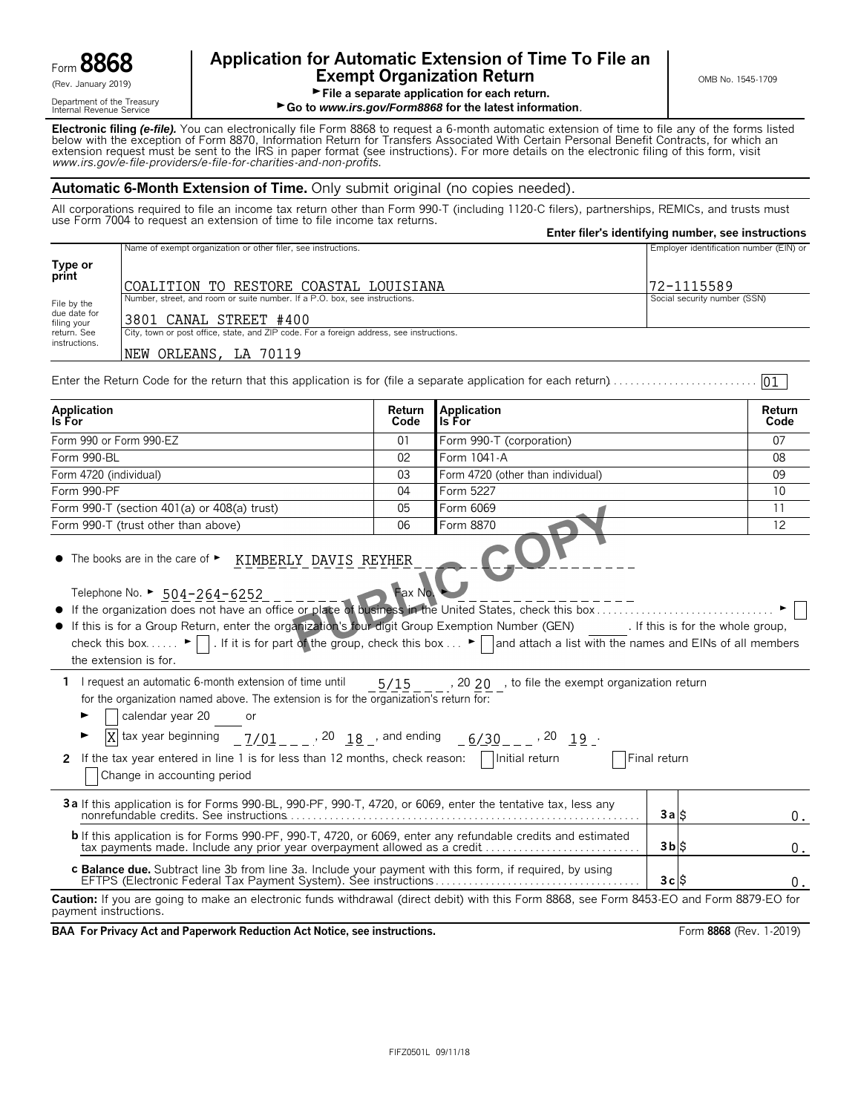

Department of the Treasury<br>Internal Revenue Service

# Form **8868 Application for Automatic Extension of Time To File an Exempt Organization Return Exempt Organization Return**

File a separate application for each return.

► Go to *www.irs.gov/Form8868* for the latest information.

**Electronic filing** *(e-file).* You can electronically file Form 8868 to request a 6-month automatic extension of time to file any of the forms listed below with the exception of Form 8870, Information Return for Transfers Associated With Certain Personal Benefit Contracts, for which an extension request must be sent to the IRS in paper format (see instructions). For more details on the electronic filing of this form, visit *www.irs.gov/e*-*file*-*providers/e-file-for-charities-and-non-profits*.

#### **Automatic 6-Month Extension of Time.** Only submit original (no copies needed).

All corporations required to file an income tax return other than Form 990-T (including 1120-C filers), partnerships, REMICs, and trusts must use Form 7004 to request an extension of time to file income tax returns.

|                                                       |                                                                                                                                                                                                                                                                                                                                                                                                                                                                           |            |                                                               | Enter filer's identifying number, see instructions |        |  |
|-------------------------------------------------------|---------------------------------------------------------------------------------------------------------------------------------------------------------------------------------------------------------------------------------------------------------------------------------------------------------------------------------------------------------------------------------------------------------------------------------------------------------------------------|------------|---------------------------------------------------------------|----------------------------------------------------|--------|--|
|                                                       | Name of exempt organization or other filer, see instructions.                                                                                                                                                                                                                                                                                                                                                                                                             |            |                                                               | Employer identification number (EIN) or            |        |  |
| Type or                                               |                                                                                                                                                                                                                                                                                                                                                                                                                                                                           |            |                                                               |                                                    |        |  |
| print                                                 | COALITION TO RESTORE COASTAL LOUISIANA                                                                                                                                                                                                                                                                                                                                                                                                                                    | 72-1115589 |                                                               |                                                    |        |  |
| File by the                                           | Number, street, and room or suite number. If a P.O. box, see instructions.                                                                                                                                                                                                                                                                                                                                                                                                |            |                                                               | Social security number (SSN)                       |        |  |
| due date for<br>3801 CANAL STREET #400<br>filing your |                                                                                                                                                                                                                                                                                                                                                                                                                                                                           |            |                                                               |                                                    |        |  |
| return. See                                           |                                                                                                                                                                                                                                                                                                                                                                                                                                                                           |            |                                                               |                                                    |        |  |
| instructions.                                         | NEW ORLEANS, LA 70119                                                                                                                                                                                                                                                                                                                                                                                                                                                     |            |                                                               |                                                    |        |  |
|                                                       | Enter the Return Code for the return that this application is for (file a separate application for each return)                                                                                                                                                                                                                                                                                                                                                           |            |                                                               |                                                    | 01     |  |
| Application                                           |                                                                                                                                                                                                                                                                                                                                                                                                                                                                           | Return     | <b>Application</b>                                            |                                                    | Return |  |
| ls For                                                |                                                                                                                                                                                                                                                                                                                                                                                                                                                                           | Code       | Is For                                                        |                                                    | Code   |  |
|                                                       | Form 990 or Form 990-EZ                                                                                                                                                                                                                                                                                                                                                                                                                                                   | 01         | Form 990-T (corporation)                                      |                                                    | 07     |  |
| Form 990-BL                                           |                                                                                                                                                                                                                                                                                                                                                                                                                                                                           | 02         | Form 1041-A                                                   |                                                    | 08     |  |
| Form 4720 (individual)                                |                                                                                                                                                                                                                                                                                                                                                                                                                                                                           | 03         | Form 4720 (other than individual)                             |                                                    | 09     |  |
| Form 990-PF                                           |                                                                                                                                                                                                                                                                                                                                                                                                                                                                           | 04         | Form 5227                                                     |                                                    | 10     |  |
|                                                       | Form 990-T (section 401(a) or 408(a) trust)                                                                                                                                                                                                                                                                                                                                                                                                                               | 05         | Form 6069                                                     |                                                    | 11     |  |
|                                                       | Form 990-T (trust other than above)                                                                                                                                                                                                                                                                                                                                                                                                                                       | 06         | Form 8870                                                     |                                                    | 12     |  |
|                                                       | Telephone No. ▶ 504-264-6252<br>If the organization does not have an office or place of business in the United States, check this box<br>If this is for a Group Return, enter the organization's four digit Group Exemption Number (GEN) [f this is for the whole group,<br>check this box $\blacktriangleright$ . If it is for part of the group, check this box $\blacktriangleright$ and attach a list with the names and EINs of all members<br>the extension is for. | Fax No.    |                                                               |                                                    |        |  |
|                                                       | 1 I request an automatic 6-month extension of time until<br>for the organization named above. The extension is for the organization's return for:<br>calendar year 20<br>$\overline{X}$ tax year beginning $\frac{7}{01}$ = $\frac{1}{0}$ , 20 $\frac{18}{0}$ and ending $\frac{6}{30}$ = $\frac{10}{0}$ , 20 $\frac{19}{0}$ .<br>2 If the tax year entered in line 1 is for less than 12 months, check reason: $\Box$ Initial return<br>Change in accounting period      |            | $5/15$ _ _ _, 20 20 _, to file the exempt organization return | Final return                                       |        |  |
|                                                       | 3a If this application is for Forms 990-BL, 990-PF, 990-T, 4720, or 6069, enter the tentative tax, less any                                                                                                                                                                                                                                                                                                                                                               |            |                                                               | $3a$ $\ddot{s}$                                    | О.     |  |
|                                                       | <b>b</b> If this application is for Forms 990-PF, 990-T, 4720, or 6069, enter any refundable credits and estimated                                                                                                                                                                                                                                                                                                                                                        |            |                                                               | $3b$ $\upbeta$                                     | 0.     |  |
|                                                       | c Balance due. Subtract line 3b from line 3a. Include your payment with this form, if required, by using                                                                                                                                                                                                                                                                                                                                                                  |            |                                                               | 3c S                                               | 0.     |  |
| payment instructions.                                 | <b>Caution:</b> If you are going to make an electronic funds withdrawal (direct debit) with this Form 8868, see Form 8453-EO and Form 8879-EO for                                                                                                                                                                                                                                                                                                                         |            |                                                               |                                                    |        |  |

**BAA For Privacy Act and Paperwork Reduction Act Notice, see instructions.** From 8868 (Rev. 1-2019) Form 8868 (Rev. 1-2019)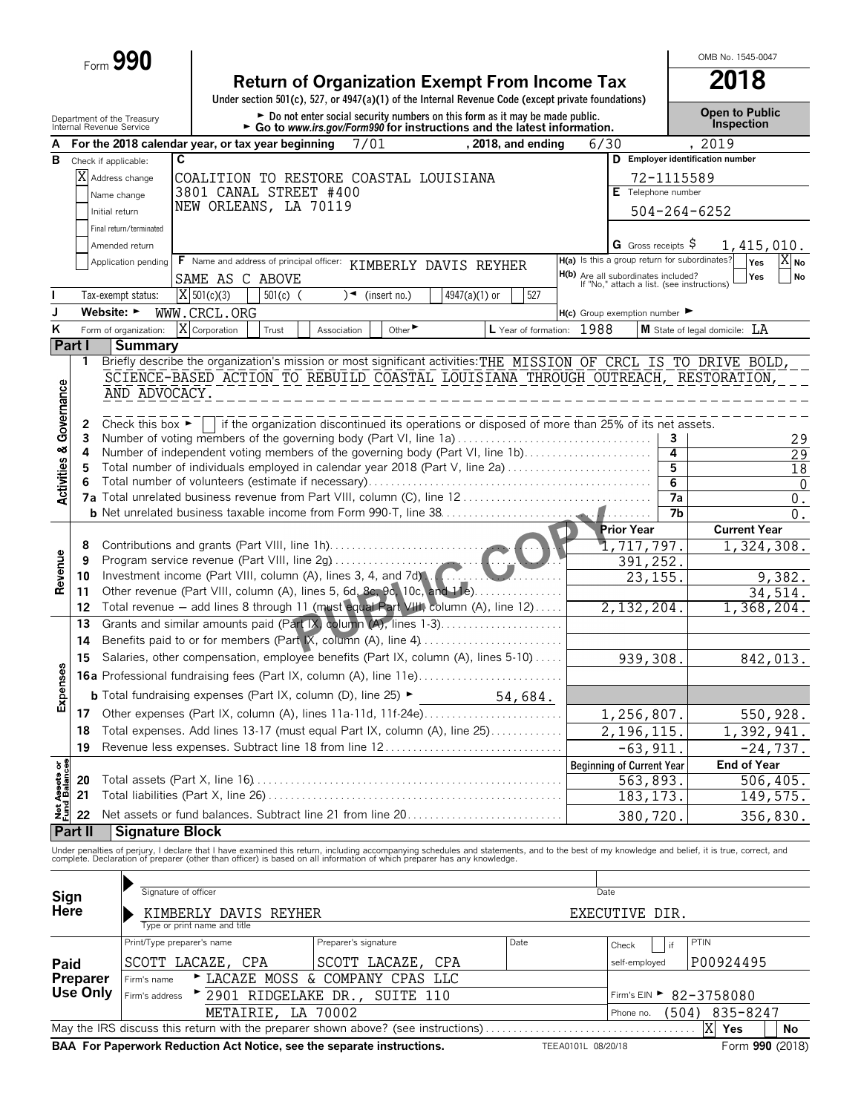Form **990**

| <b>Return of Organization Exempt From Income Tax</b>                                               | 2018 |
|----------------------------------------------------------------------------------------------------|------|
| Under section 501(c), 527, or 4947(a)(1) of the Internal Revenue Code (except private foundations) |      |
|                                                                                                    |      |

ment of the Treasury **Depart of Public Department of the Treasury <b>Depart of Public** 

OMB No. 1545-0047

|                                        |          | Department of the Treasury<br>Internal Revenue Service                                       |                                                                                                                                                                 |            | Go to www.irs.gov/Form990 for instructions and the latest information.                          |                               | יו טעטווו טע זווען נוווט וטווויט שווים אזווואסט וי |      |                    |                           |                                                                                          |                 | <b>Inspection</b>                                                                                                                                                                             |  |  |  |
|----------------------------------------|----------|----------------------------------------------------------------------------------------------|-----------------------------------------------------------------------------------------------------------------------------------------------------------------|------------|-------------------------------------------------------------------------------------------------|-------------------------------|----------------------------------------------------|------|--------------------|---------------------------|------------------------------------------------------------------------------------------|-----------------|-----------------------------------------------------------------------------------------------------------------------------------------------------------------------------------------------|--|--|--|
|                                        |          |                                                                                              | For the 2018 calendar year, or tax year beginning                                                                                                               |            | 7/01                                                                                            |                               |                                                    |      | , 2018, and ending | 6/30                      |                                                                                          |                 | , 2019                                                                                                                                                                                        |  |  |  |
| В                                      |          | Check if applicable:                                                                         | C                                                                                                                                                               |            |                                                                                                 |                               |                                                    |      |                    |                           |                                                                                          |                 | D Employer identification number                                                                                                                                                              |  |  |  |
|                                        |          | X Address change<br>COALITION TO RESTORE COASTAL LOUISIANA<br>72-1115589<br>Telephone number |                                                                                                                                                                 |            |                                                                                                 |                               |                                                    |      |                    |                           |                                                                                          |                 |                                                                                                                                                                                               |  |  |  |
|                                        |          | Name change                                                                                  | 3801 CANAL STREET #400                                                                                                                                          |            |                                                                                                 |                               |                                                    |      |                    |                           |                                                                                          |                 |                                                                                                                                                                                               |  |  |  |
|                                        |          | Initial return                                                                               | NEW ORLEANS, LA 70119                                                                                                                                           |            |                                                                                                 |                               |                                                    |      |                    |                           |                                                                                          |                 | $504 - 264 - 6252$                                                                                                                                                                            |  |  |  |
|                                        |          | Final return/terminated                                                                      |                                                                                                                                                                 |            |                                                                                                 |                               |                                                    |      |                    |                           |                                                                                          |                 |                                                                                                                                                                                               |  |  |  |
|                                        |          | Amended return                                                                               |                                                                                                                                                                 |            |                                                                                                 |                               |                                                    |      |                    |                           | G Gross receipts $\varsigma$                                                             |                 | 1,415,010.                                                                                                                                                                                    |  |  |  |
|                                        |          |                                                                                              | Application pending F Name and address of principal officer: KIMBERLY DAVIS REYHER                                                                              |            |                                                                                                 |                               |                                                    |      |                    |                           | H(a) Is this a group return for subordinates?                                            |                 | XI <sub>No</sub><br>Yes                                                                                                                                                                       |  |  |  |
|                                        |          |                                                                                              | SAME AS C ABOVE                                                                                                                                                 |            |                                                                                                 |                               |                                                    |      |                    |                           |                                                                                          |                 | Yes<br>No                                                                                                                                                                                     |  |  |  |
|                                        |          | Tax-exempt status:                                                                           | $X$ 501(c)(3)                                                                                                                                                   | $501(c)$ ( |                                                                                                 | $\sqrt{\bullet}$ (insert no.) | $4947(a)(1)$ or                                    |      | 527                |                           | <b>H(b)</b> Are all subordinates included?<br>If "No," attach a list. (see instructions) |                 |                                                                                                                                                                                               |  |  |  |
|                                        |          | Website: ►                                                                                   | WWW.CRCL.ORG                                                                                                                                                    |            |                                                                                                 |                               |                                                    |      |                    |                           |                                                                                          |                 |                                                                                                                                                                                               |  |  |  |
| K                                      |          |                                                                                              |                                                                                                                                                                 |            |                                                                                                 |                               |                                                    |      |                    |                           | $H(c)$ Group exemption number $\blacktriangleright$                                      |                 |                                                                                                                                                                                               |  |  |  |
|                                        |          | Form of organization:                                                                        | X Corporation                                                                                                                                                   | Trust      | Association                                                                                     | Other $\blacktriangleright$   |                                                    |      |                    | L Year of formation: 1988 |                                                                                          |                 | <b>M</b> State of legal domicile: LA                                                                                                                                                          |  |  |  |
|                                        | Part I   | <b>Summary</b>                                                                               |                                                                                                                                                                 |            |                                                                                                 |                               |                                                    |      |                    |                           |                                                                                          |                 |                                                                                                                                                                                               |  |  |  |
|                                        | 1        |                                                                                              |                                                                                                                                                                 |            |                                                                                                 |                               |                                                    |      |                    |                           |                                                                                          |                 | Briefly describe the organization's mission or most significant activities: THE MISSION OF CRCL IS TO DRIVE BOLD,                                                                             |  |  |  |
|                                        |          | AND ADVOCACY.                                                                                | SCIENCE-BASED ACTION TO REBUILD COASTAL LOUISIANA THROUGH OUTREACH, RESTORATION,                                                                                |            |                                                                                                 |                               |                                                    |      |                    |                           |                                                                                          |                 |                                                                                                                                                                                               |  |  |  |
|                                        |          |                                                                                              |                                                                                                                                                                 |            |                                                                                                 |                               |                                                    |      |                    |                           |                                                                                          |                 |                                                                                                                                                                                               |  |  |  |
| <b>Activities &amp; Governance</b>     | 2        | Check this box $\blacktriangleright$                                                         |                                                                                                                                                                 |            | if the organization discontinued its operations or disposed of more than 25% of its net assets. |                               |                                                    |      |                    |                           |                                                                                          |                 |                                                                                                                                                                                               |  |  |  |
|                                        | 3        |                                                                                              | Number of voting members of the governing body (Part VI, line 1a)                                                                                               |            |                                                                                                 |                               |                                                    |      |                    |                           |                                                                                          | 3               | 29                                                                                                                                                                                            |  |  |  |
|                                        | 4        |                                                                                              | Number of independent voting members of the governing body (Part VI, line 1b)                                                                                   |            |                                                                                                 |                               |                                                    |      |                    |                           |                                                                                          | 4               | 29                                                                                                                                                                                            |  |  |  |
|                                        | 5        |                                                                                              | Total number of individuals employed in calendar year 2018 (Part V, line 2a)                                                                                    |            |                                                                                                 |                               |                                                    |      |                    |                           |                                                                                          | 5               | 18                                                                                                                                                                                            |  |  |  |
|                                        | 6        |                                                                                              |                                                                                                                                                                 |            |                                                                                                 |                               |                                                    |      |                    |                           |                                                                                          | $\overline{6}$  | -0                                                                                                                                                                                            |  |  |  |
|                                        |          |                                                                                              |                                                                                                                                                                 |            |                                                                                                 |                               |                                                    |      |                    |                           |                                                                                          | $\overline{7a}$ | $\boldsymbol{0}$ .                                                                                                                                                                            |  |  |  |
|                                        |          |                                                                                              |                                                                                                                                                                 |            |                                                                                                 |                               |                                                    |      |                    |                           |                                                                                          | 7 <sub>b</sub>  | 0.                                                                                                                                                                                            |  |  |  |
|                                        |          |                                                                                              |                                                                                                                                                                 |            |                                                                                                 |                               |                                                    |      |                    |                           | <b>Prior Year</b>                                                                        |                 | <b>Current Year</b>                                                                                                                                                                           |  |  |  |
|                                        | 8        |                                                                                              | Contributions and grants (Part VIII, line 1h)                                                                                                                   |            |                                                                                                 |                               |                                                    |      |                    |                           | 1,717,797.                                                                               |                 | 1,324,308.                                                                                                                                                                                    |  |  |  |
|                                        | 9        |                                                                                              |                                                                                                                                                                 |            |                                                                                                 |                               |                                                    |      |                    |                           | 391,252.                                                                                 |                 |                                                                                                                                                                                               |  |  |  |
| Revenue                                | 10       |                                                                                              | Investment income (Part VIII, column (A), lines 3, 4, and 7d)                                                                                                   |            |                                                                                                 |                               |                                                    |      |                    |                           | 23,155.                                                                                  |                 | 9,382.                                                                                                                                                                                        |  |  |  |
|                                        | 11       |                                                                                              | Other revenue (Part VIII, column (A), lines 5, 6d, 8c, 9c, 10c, and 11e).<br>Total revenue - add lines 8 through 11 (must equal Part VIII) column (A), line 12) |            |                                                                                                 |                               |                                                    |      | .                  |                           |                                                                                          |                 | 34,514.                                                                                                                                                                                       |  |  |  |
|                                        | 12       |                                                                                              | Grants and similar amounts paid (Part IX) column (A), lines 1-3)                                                                                                |            |                                                                                                 |                               |                                                    |      |                    |                           | 2,132,204.                                                                               |                 | 1,368,204.                                                                                                                                                                                    |  |  |  |
|                                        | 13       |                                                                                              |                                                                                                                                                                 |            |                                                                                                 |                               |                                                    |      |                    |                           |                                                                                          |                 |                                                                                                                                                                                               |  |  |  |
|                                        | 14       |                                                                                              |                                                                                                                                                                 |            |                                                                                                 |                               |                                                    |      |                    |                           |                                                                                          |                 |                                                                                                                                                                                               |  |  |  |
|                                        | 15       |                                                                                              | Salaries, other compensation, employee benefits (Part IX, column (A), lines 5-10)                                                                               |            |                                                                                                 |                               |                                                    |      |                    | 939,308.                  |                                                                                          | 842,013.        |                                                                                                                                                                                               |  |  |  |
| Expenses                               |          |                                                                                              |                                                                                                                                                                 |            |                                                                                                 |                               |                                                    |      |                    |                           |                                                                                          |                 |                                                                                                                                                                                               |  |  |  |
|                                        |          |                                                                                              | <b>b</b> Total fundraising expenses (Part IX, column (D), line 25) $\blacktriangleright$                                                                        |            |                                                                                                 |                               |                                                    |      | 54,684.            |                           |                                                                                          |                 |                                                                                                                                                                                               |  |  |  |
|                                        |          |                                                                                              | 17 Other expenses (Part IX, column (A), lines 11a-11d, 11f-24e)                                                                                                 |            |                                                                                                 |                               |                                                    |      |                    |                           | 1,256,807.                                                                               |                 | 550,928.                                                                                                                                                                                      |  |  |  |
|                                        | 18       |                                                                                              | Total expenses. Add lines 13-17 (must equal Part IX, column (A), line 25)                                                                                       |            |                                                                                                 |                               |                                                    |      |                    |                           | 2,196,115.                                                                               |                 | 1,392,941.                                                                                                                                                                                    |  |  |  |
|                                        |          |                                                                                              | 19 Revenue less expenses. Subtract line 18 from line 12                                                                                                         |            |                                                                                                 |                               |                                                    |      |                    |                           | $-63,911.$                                                                               |                 | $-24,737.$                                                                                                                                                                                    |  |  |  |
|                                        |          |                                                                                              |                                                                                                                                                                 |            |                                                                                                 |                               |                                                    |      |                    |                           | <b>Beginning of Current Year</b>                                                         |                 | <b>End of Year</b>                                                                                                                                                                            |  |  |  |
| <b>Net Assets or<br/>Fund Balances</b> | 20       |                                                                                              |                                                                                                                                                                 |            |                                                                                                 |                               |                                                    |      |                    |                           | 563,893.                                                                                 |                 | 506,405.                                                                                                                                                                                      |  |  |  |
|                                        | 21       |                                                                                              |                                                                                                                                                                 |            |                                                                                                 |                               |                                                    |      |                    |                           | 183, 173.                                                                                |                 | 149,575.                                                                                                                                                                                      |  |  |  |
|                                        | 22       |                                                                                              | Net assets or fund balances. Subtract line 21 from line 20                                                                                                      |            |                                                                                                 |                               |                                                    |      |                    |                           | 380,720                                                                                  |                 | 356,830.                                                                                                                                                                                      |  |  |  |
|                                        | Part II  | Signature Block                                                                              |                                                                                                                                                                 |            |                                                                                                 |                               |                                                    |      |                    |                           |                                                                                          |                 |                                                                                                                                                                                               |  |  |  |
|                                        |          |                                                                                              |                                                                                                                                                                 |            |                                                                                                 |                               |                                                    |      |                    |                           |                                                                                          |                 | Under penalties of perjury, I declare that I have examined this return, including accompanying schedules and statements, and to the best of my knowledge and belief, it is true, correct, and |  |  |  |
|                                        |          |                                                                                              | complete. Declaration of preparer (other than officer) is based on all information of which preparer has any knowledge.                                         |            |                                                                                                 |                               |                                                    |      |                    |                           |                                                                                          |                 |                                                                                                                                                                                               |  |  |  |
|                                        |          |                                                                                              |                                                                                                                                                                 |            |                                                                                                 |                               |                                                    |      |                    |                           |                                                                                          |                 |                                                                                                                                                                                               |  |  |  |
| Sign                                   |          |                                                                                              | Signature of officer                                                                                                                                            |            |                                                                                                 |                               |                                                    |      |                    | Date                      |                                                                                          |                 |                                                                                                                                                                                               |  |  |  |
| Here                                   |          |                                                                                              | KIMBERLY DAVIS REYHER                                                                                                                                           |            |                                                                                                 |                               |                                                    |      |                    |                           | EXECUTIVE DIR.                                                                           |                 |                                                                                                                                                                                               |  |  |  |
|                                        |          |                                                                                              | Type or print name and title                                                                                                                                    |            |                                                                                                 |                               |                                                    |      |                    |                           |                                                                                          |                 |                                                                                                                                                                                               |  |  |  |
|                                        |          |                                                                                              | Print/Type preparer's name                                                                                                                                      |            | Preparer's signature                                                                            |                               |                                                    | Date |                    |                           | Check                                                                                    | PTIN<br>if      |                                                                                                                                                                                               |  |  |  |
| Paid                                   |          |                                                                                              | SCOTT LACAZE, CPA                                                                                                                                               |            | SCOTT LACAZE, CPA                                                                               |                               |                                                    |      |                    |                           | self-employed                                                                            |                 | P00924495                                                                                                                                                                                     |  |  |  |
|                                        | Preparer | Firm's name                                                                                  |                                                                                                                                                                 |            | LACAZE MOSS & COMPANY CPAS                                                                      |                               | LLC                                                |      |                    |                           |                                                                                          |                 |                                                                                                                                                                                               |  |  |  |
|                                        | Use Only | Firm's address                                                                               |                                                                                                                                                                 |            | 2901 RIDGELAKE DR.,                                                                             | SUITE 110                     |                                                    |      |                    |                           | Firm's $EIN$                                                                             |                 | 82-3758080                                                                                                                                                                                    |  |  |  |
|                                        |          |                                                                                              | METAIRIE,                                                                                                                                                       |            | LA 70002                                                                                        |                               |                                                    |      |                    |                           | Phone no.                                                                                | (504)           | 835-8247                                                                                                                                                                                      |  |  |  |

May the IRS discuss this return with the preparer shown above? (see instructions) . . . . . . . . . . . . . . . . . . . . . . . . . . . . . . . . . . . . . . **Yes No BAA For Paperwork Reduction Act Notice, see the separate instructions.** TEEA0101L 08/20/18 Form 990 (2018)  $X$  Yes  $\Box$  No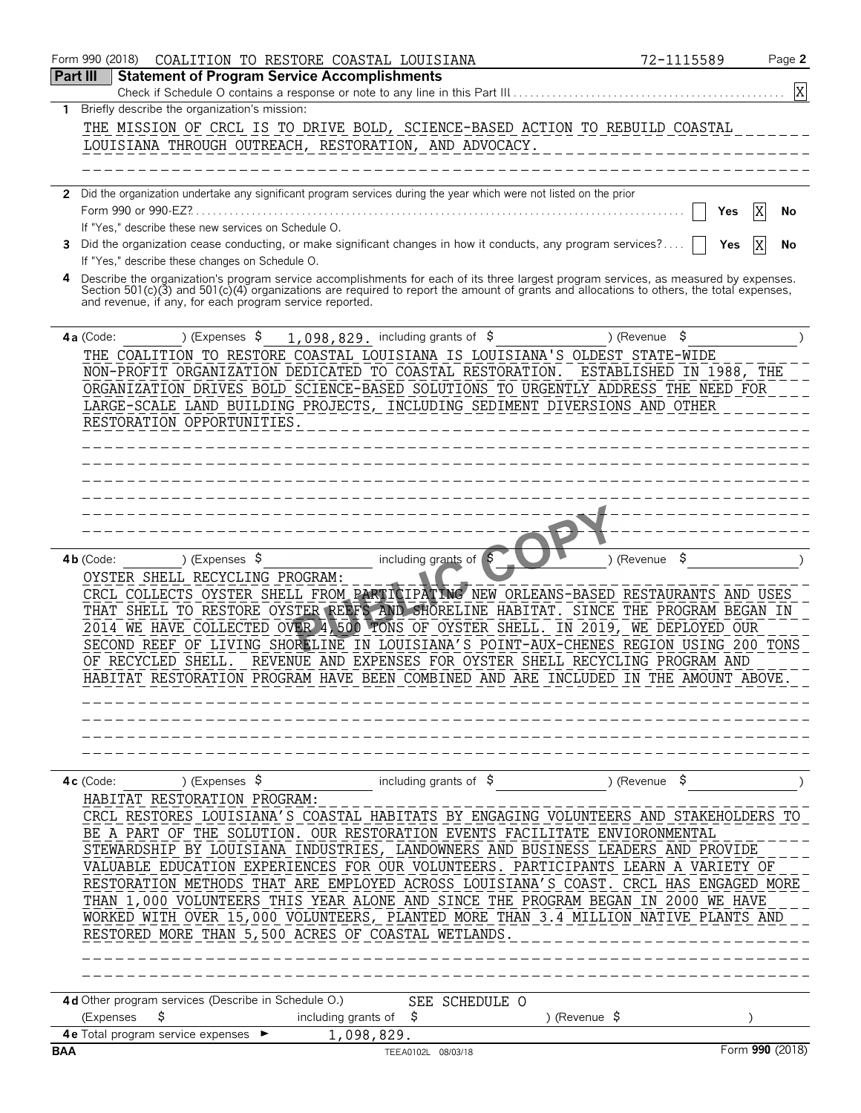|            | Form 990 (2018) | COALITION TO RESTORE COASTAL LOUISIANA                  |                                                                                                                                          | 72-1115589<br>Page 2     |
|------------|-----------------|---------------------------------------------------------|------------------------------------------------------------------------------------------------------------------------------------------|--------------------------|
| Part III   |                 | <b>Statement of Program Service Accomplishments</b>     |                                                                                                                                          |                          |
|            |                 |                                                         |                                                                                                                                          | X                        |
| 1.         |                 | Briefly describe the organization's mission:            |                                                                                                                                          |                          |
|            |                 |                                                         | THE MISSION OF CRCL IS TO DRIVE BOLD, SCIENCE-BASED ACTION TO REBUILD COASTAL                                                            |                          |
|            |                 | LOUISIANA THROUGH OUTREACH, RESTORATION, AND ADVOCACY.  |                                                                                                                                          |                          |
|            |                 |                                                         |                                                                                                                                          |                          |
|            |                 |                                                         |                                                                                                                                          |                          |
| 2          |                 |                                                         | Did the organization undertake any significant program services during the year which were not listed on the prior                       |                          |
|            |                 |                                                         |                                                                                                                                          | X<br>Yes<br>No           |
|            |                 | If "Yes," describe these new services on Schedule O.    |                                                                                                                                          |                          |
| 3.         |                 |                                                         | Did the organization cease conducting, or make significant changes in how it conducts, any program services?                             | X<br>Yes<br>No           |
|            |                 | If "Yes," describe these changes on Schedule O.         |                                                                                                                                          |                          |
| 4          |                 |                                                         | Describe the organization's program service accomplishments for each of its three largest program services, as measured by expenses.     |                          |
|            |                 | and revenue, if any, for each program service reported. | Section 501(c)(3) and 501(c)(4) organizations are required to report the amount of grants and allocations to others, the total expenses, |                          |
|            |                 |                                                         |                                                                                                                                          |                          |
|            | 4a (Code:       | ) (Expenses $\sqrt{5}$                                  | 1,098,829. including grants of $$$                                                                                                       | ) (Revenue $\frac{1}{2}$ |
|            |                 |                                                         | THE COALITION TO RESTORE COASTAL LOUISIANA IS LOUISIANA'S OLDEST STATE-WIDE                                                              |                          |
|            |                 |                                                         |                                                                                                                                          |                          |
|            |                 |                                                         | NON-PROFIT ORGANIZATION DEDICATED TO COASTAL RESTORATION.                                                                                | ESTABLISHED IN 1988, THE |
|            |                 |                                                         | ORGANIZATION DRIVES BOLD SCIENCE-BASED SOLUTIONS TO URGENTLY ADDRESS THE NEED FOR                                                        |                          |
|            |                 |                                                         | LARGE-SCALE LAND BUILDING PROJECTS, INCLUDING SEDIMENT DIVERSIONS AND OTHER                                                              |                          |
|            |                 | RESTORATION OPPORTUNITIES.                              |                                                                                                                                          |                          |
|            |                 |                                                         |                                                                                                                                          |                          |
|            |                 |                                                         |                                                                                                                                          |                          |
|            |                 |                                                         |                                                                                                                                          |                          |
|            |                 |                                                         |                                                                                                                                          |                          |
|            |                 |                                                         |                                                                                                                                          |                          |
|            |                 |                                                         |                                                                                                                                          |                          |
|            |                 |                                                         |                                                                                                                                          |                          |
|            | $4b$ (Code:     | ) (Expenses $\sqrt{5}$                                  | including grants of $\beta$                                                                                                              | \$<br>) (Revenue         |
|            |                 | OYSTER SHELL RECYCLING PROGRAM:                         |                                                                                                                                          |                          |
|            |                 |                                                         | CRCL COLLECTS OYSTER SHELL FROM PARTICIPATING NEW ORLEANS-BASED RESTAURANTS AND USES                                                     |                          |
|            |                 |                                                         | THAT SHELL TO RESTORE OYSTER REEFS AND SHORELINE HABITAT. SINCE THE PROGRAM BEGAN IN                                                     |                          |
|            |                 |                                                         | 2014 WE HAVE COLLECTED OVER 4, 500 TONS OF OYSTER SHELL. IN 2019, WE DEPLOYED OUR                                                        |                          |
|            |                 |                                                         | SECOND REEF OF LIVING SHORELINE IN LOUISIANA'S POINT-AUX-CHENES REGION USING 200 TONS                                                    |                          |
|            |                 | OF RECYCLED SHELL.                                      | REVENUE AND EXPENSES FOR OYSTER SHELL RECYCLING PROGRAM AND                                                                              |                          |
|            |                 |                                                         | HABITAT RESTORATION PROGRAM HAVE BEEN COMBINED AND ARE INCLUDED IN THE AMOUNT ABOVE                                                      |                          |
|            |                 |                                                         |                                                                                                                                          |                          |
|            |                 |                                                         |                                                                                                                                          |                          |
|            |                 |                                                         |                                                                                                                                          |                          |
|            |                 |                                                         |                                                                                                                                          |                          |
|            |                 |                                                         |                                                                                                                                          |                          |
|            | $4c$ (Code:     | ) (Expenses $\sqrt{5}$                                  | including grants of $$$                                                                                                                  | \$,<br>) (Revenue        |
|            |                 | HABITAT RESTORATION PROGRAM:                            |                                                                                                                                          |                          |
|            |                 |                                                         | CRCL RESTORES LOUISIANA'S COASTAL HABITATS BY ENGAGING VOLUNTEERS AND STAKEHOLDERS TO                                                    |                          |
|            |                 |                                                         | BE A PART OF THE SOLUTION. OUR RESTORATION EVENTS FACILITATE ENVIORONMENTAL                                                              |                          |
|            |                 |                                                         | STEWARDSHIP BY LOUISIANA INDUSTRIES, LANDOWNERS AND BUSINESS LEADERS AND PROVIDE                                                         |                          |
|            |                 |                                                         | VALUABLE EDUCATION EXPERIENCES FOR OUR VOLUNTEERS. PARTICIPANTS LEARN A VARIETY OF                                                       |                          |
|            |                 |                                                         | RESTORATION METHODS THAT ARE EMPLOYED ACROSS LOUISIANA'S COAST. CRCL HAS ENGAGED MORE                                                    |                          |
|            |                 |                                                         | THAN 1,000 VOLUNTEERS THIS YEAR ALONE AND SINCE THE PROGRAM BEGAN IN 2000 WE HAVE                                                        |                          |
|            |                 |                                                         | WORKED WITH OVER 15,000 VOLUNTEERS, PLANTED MORE THAN 3.4 MILLION NATIVE PLANTS AND                                                      |                          |
|            |                 | RESTORED MORE THAN 5,500 ACRES OF COASTAL WETLANDS.     |                                                                                                                                          |                          |
|            |                 |                                                         |                                                                                                                                          |                          |
|            |                 |                                                         |                                                                                                                                          |                          |
|            |                 |                                                         |                                                                                                                                          |                          |
|            |                 | 4d Other program services (Describe in Schedule O.)     |                                                                                                                                          |                          |
|            |                 | \$                                                      | SEE SCHEDULE O                                                                                                                           |                          |
|            | (Expenses       | including grants of                                     | -\$                                                                                                                                      | ) (Revenue \$            |
| <b>BAA</b> |                 | 4 e Total program service expenses >                    | 1,098,829.<br>TEEA0102L 08/03/18                                                                                                         | Form 990 (2018)          |
|            |                 |                                                         |                                                                                                                                          |                          |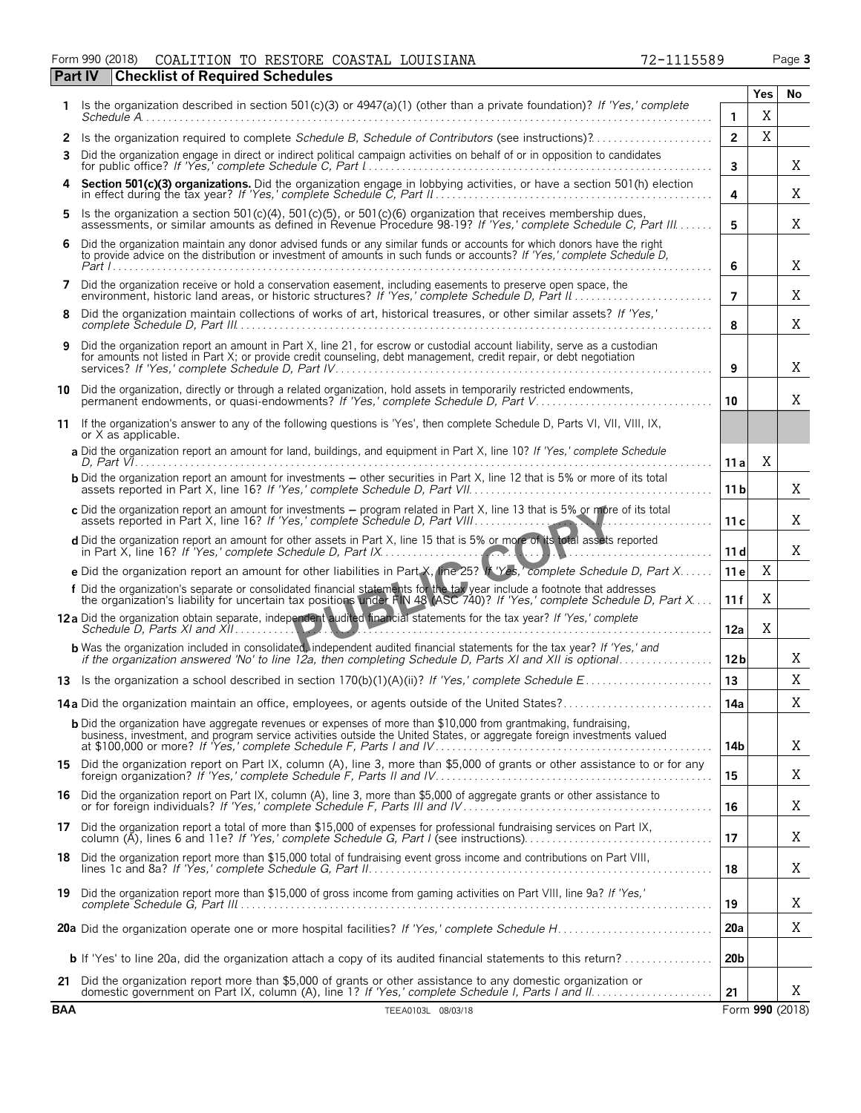#### Form 990 (2018) Page **3** COALITION TO RESTORE COASTAL LOUISIANA 72-1115589 **Part IV Checklist of Required Schedules**

| 2-1115589 |  |  |  |  |
|-----------|--|--|--|--|
|           |  |  |  |  |

|            | Is the organization described in section 501(c)(3) or $4947(a)(1)$ (other than a private foundation)? If 'Yes,' complete                                                                                                                           |                 | Yes | No              |
|------------|----------------------------------------------------------------------------------------------------------------------------------------------------------------------------------------------------------------------------------------------------|-----------------|-----|-----------------|
|            | Schedule A.                                                                                                                                                                                                                                        | 1.              | X   |                 |
| 2          | Is the organization required to complete Schedule B, Schedule of Contributors (see instructions)?                                                                                                                                                  | $\overline{2}$  | X   |                 |
| 3          | Did the organization engage in direct or indirect political campaign activities on behalf of or in opposition to candidates                                                                                                                        | $\mathbf{3}$    |     | Χ               |
|            | Section 501(c)(3) organizations. Did the organization engage in lobbying activities, or have a section 501(h) election in effect during the tax year? If 'Yes,' complete Schedule C, Part II                                                       | 4               |     | Χ               |
| 5          | Is the organization a section $501(c)(4)$ , $501(c)(5)$ , or $501(c)(6)$ organization that receives membership dues,<br>assessments, or similar amounts as defined in Revenue Procedure 98-19? If 'Yes,' complete Schedule C, Part III             | 5               |     | Χ               |
| 6          | Did the organization maintain any donor advised funds or any similar funds or accounts for which donors have the right<br>to provide advice on the distribution or investment of amounts in such funds or accounts? If 'Yes,' complete Schedule D, | 6               |     | Χ               |
| 7          | Did the organization receive or hold a conservation easement, including easements to preserve open space, the environment, historic land areas, or historic structures? If 'Yes,' complete Schedule D, Part II                                     | $\overline{7}$  |     | Χ               |
| 8          | Did the organization maintain collections of works of art, historical treasures, or other similar assets? If 'Yes,'                                                                                                                                | 8               |     | X               |
| 9          | Did the organization report an amount in Part X, line 21, for escrow or custodial account liability, serve as a custodian<br>for amounts not listed in Part X; or provide credit counseling, debt management, credit repair, or debt negotiation   | 9               |     | X               |
|            | 10 Did the organization, directly or through a related organization, hold assets in temporarily restricted endowments,<br>permanent endowments, or quasi-endowments? If 'Yes,' complete Schedule D, Part V                                         | 10              |     | Χ               |
| 11         | If the organization's answer to any of the following questions is 'Yes', then complete Schedule D, Parts VI, VII, VIII, IX,<br>or X as applicable.                                                                                                 |                 |     |                 |
|            | a Did the organization report an amount for land, buildings, and equipment in Part X, line 10? If 'Yes,' complete Schedule                                                                                                                         | 11 al           | X   |                 |
|            | <b>b</b> Did the organization report an amount for investments - other securities in Part X, line 12 that is 5% or more of its total                                                                                                               | 11 <sub>b</sub> |     | X               |
|            | c Did the organization report an amount for investments - program related in Part X, line 13 that is 5% or more of its total<br>assets reported in Part X, line 16? If 'Yes,' complete Schedule D, Part VIII                                       | 11 c            |     | X               |
|            | d Did the organization report an amount for other assets in Part X, line 15 that is 5% or more of its total assets reported                                                                                                                        | 11d             |     | Χ               |
|            | e Did the organization report an amount for other liabilities in Part X, line 25? If Yes, complete Schedule D, Part X                                                                                                                              | 11 e            | X   |                 |
|            | f Did the organization's separate or consolidated financial statements for the tax year include a footnote that addresses<br>the organization's liability for uncertain tax positions under FIN 48 (ASC 740)? If 'Yes,' complete                   | 11f             | Χ   |                 |
|            | 12a Did the organization obtain separate, independent audited financial statements for the tax year? If 'Yes,' complete                                                                                                                            | 12a             | Χ   |                 |
|            | <b>b</b> Was the organization included in consolidated, independent audited financial statements for the tax year? If 'Yes,' and<br>if the organization answered 'No' to line 12a, then completing Schedule D, Parts XI and XII is optional        | 12 <sub>b</sub> |     | Χ               |
|            |                                                                                                                                                                                                                                                    | 13              |     | Χ               |
|            | 14a Did the organization maintain an office, employees, or agents outside of the United States?                                                                                                                                                    | 14a             |     | Χ               |
|            | <b>b</b> Did the organization have aggregate revenues or expenses of more than \$10,000 from grantmaking, fundraising,<br>business, investment, and program service activities outside the United States, or aggregate foreign investments valued  | 14b             |     | X               |
|            | 15 Did the organization report on Part IX, column (A), line 3, more than \$5,000 of grants or other assistance to or for any                                                                                                                       | 15              |     | Χ               |
|            | 16 Did the organization report on Part IX, column (A), line 3, more than \$5,000 of aggregate grants or other assistance to<br>or for foreign individuals? If 'Yes,' complete Schedule F, Parts III and IV                                         | 16              |     | Χ               |
|            | 17 Did the organization report a total of more than \$15,000 of expenses for professional fundraising services on Part IX,                                                                                                                         | 17              |     | Χ               |
| 18         | Did the organization report more than \$15,000 total of fundraising event gross income and contributions on Part VIII,                                                                                                                             | 18              |     | Χ               |
| 19         | Did the organization report more than \$15,000 of gross income from gaming activities on Part VIII, line 9a? If 'Yes,'                                                                                                                             | 19              |     | X               |
|            |                                                                                                                                                                                                                                                    | 20a             |     | Χ               |
|            | <b>b</b> If 'Yes' to line 20a, did the organization attach a copy of its audited financial statements to this return?                                                                                                                              | 20 <sub>b</sub> |     |                 |
|            | 21 Did the organization report more than \$5,000 of grants or other assistance to any domestic organization or                                                                                                                                     | 21              |     | X               |
| <b>BAA</b> | TEEA0103L 08/03/18                                                                                                                                                                                                                                 |                 |     | Form 990 (2018) |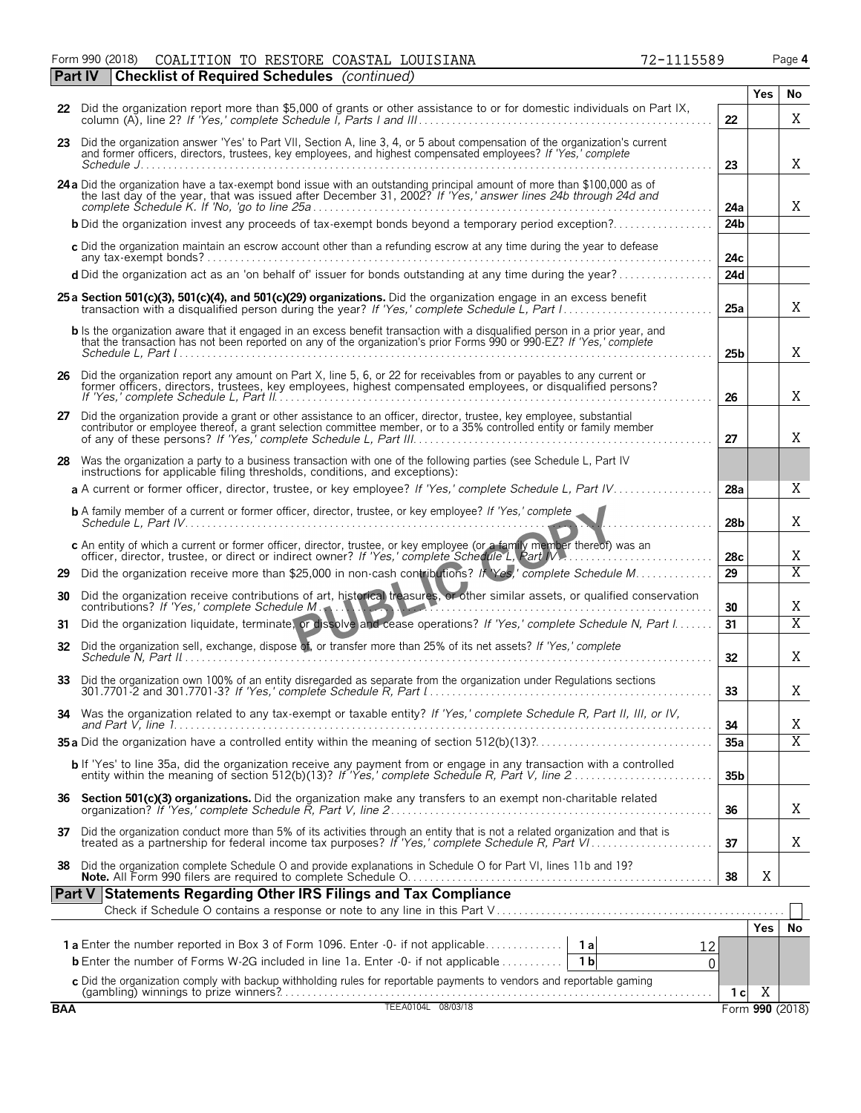Form 990 (2018) Page **4** COALITION TO RESTORE COASTAL LOUISIANA 72-1115589

**Part IV Checklist of Required Schedules** *(continued)*

|            |                                                                                                                                                                                                                                                               |                 | <b>Yes</b>      | No             |
|------------|---------------------------------------------------------------------------------------------------------------------------------------------------------------------------------------------------------------------------------------------------------------|-----------------|-----------------|----------------|
|            | 22 Did the organization report more than \$5,000 of grants or other assistance to or for domestic individuals on Part IX,                                                                                                                                     | 22              |                 | X              |
|            | 23 Did the organization answer 'Yes' to Part VII, Section A, line 3, 4, or 5 about compensation of the organization's current<br>and former officers, directors, trustees, key employees, and highest compensated employees? If 'Yes,' complete<br>Schedule J | 23              |                 | X              |
|            | 24 a Did the organization have a tax-exempt bond issue with an outstanding principal amount of more than \$100,000 as of the last day of the year, that was issued after December 31, 2002? If 'Yes,' answer lines 24b through                                | 24a             |                 | X              |
|            | <b>b</b> Did the organization invest any proceeds of tax-exempt bonds beyond a temporary period exception?                                                                                                                                                    | 24b             |                 |                |
|            | c Did the organization maintain an escrow account other than a refunding escrow at any time during the year to defease                                                                                                                                        | 24c             |                 |                |
|            | d Did the organization act as an 'on behalf of' issuer for bonds outstanding at any time during the year?                                                                                                                                                     | 24d             |                 |                |
|            | 25 a Section 501(c)(3), 501(c)(4), and 501(c)(29) organizations. Did the organization engage in an excess benefit                                                                                                                                             | 25a             |                 | X              |
|            | b Is the organization aware that it engaged in an excess benefit transaction with a disqualified person in a prior year, and<br>that the transaction has not been reported on any of the organization's prior Forms 990 or 990-EZ? If 'Yes,' complete         | 25 <sub>b</sub> |                 | X              |
|            | 26 Did the organization report any amount on Part X, line 5, 6, or 22 for receivables from or payables to any current or former officers, directors, trustees, key employees, highest compensated employees, or disqualified p                                | 26              |                 | Χ              |
| 27         | Did the organization provide a grant or other assistance to an officer, director, trustee, key employee, substantial<br>contributor or employee thereof, a grant selection committee member, or to a 35% controlled entity or family member                   | 27              |                 | X              |
|            | 28 Was the organization a party to a business transaction with one of the following parties (see Schedule L, Part IV<br>instructions for applicable filing thresholds, conditions, and exceptions):                                                           |                 |                 |                |
|            | a A current or former officer, director, trustee, or key employee? If 'Yes,' complete Schedule L, Part IV                                                                                                                                                     | 28a             |                 | X              |
|            |                                                                                                                                                                                                                                                               | 28 <sub>b</sub> |                 | X              |
|            | c An entity of which a current or former officer, director, trustee, or key employee (or a family member thereof) was an<br>officer, director, trustee, or direct or indirect owner? If 'Yes,' complete Schedule L, Part IV.                                  | 28 <sub>c</sub> |                 | Χ              |
| 29         | Did the organization receive more than \$25,000 in non-cash contributions? If Yes,' complete Schedule M                                                                                                                                                       | 29              |                 | $\overline{X}$ |
| 30         | Did the organization receive contributions of art, historical treasures, or other similar assets, or qualified conservation<br>contributions? If 'Yes,' complete Schedule M.                                                                                  | 30              |                 | Χ              |
| 31         | Did the organization liquidate, terminate, or dissolve and cease operations? If 'Yes,' complete Schedule N, Part I                                                                                                                                            | 31              |                 | $\overline{X}$ |
| 32         | Did the organization sell, exchange, dispose of, or transfer more than 25% of its net assets? If 'Yes,' complete                                                                                                                                              | 32              |                 | Χ              |
| 33         | Did the organization own 100% of an entity disregarded as separate from the organization under Regulations sections                                                                                                                                           | 33              |                 | X              |
| 34         | Was the organization related to any tax-exempt or taxable entity? If 'Yes,' complete Schedule R, Part II, III, or IV,                                                                                                                                         | 34              |                 | Χ              |
|            |                                                                                                                                                                                                                                                               | 35a             |                 | $\overline{X}$ |
|            | b If 'Yes' to line 35a, did the organization receive any payment from or engage in any transaction with a controlled                                                                                                                                          | 35 <sub>b</sub> |                 |                |
| 36         | Section 501(c)(3) organizations. Did the organization make any transfers to an exempt non-charitable related                                                                                                                                                  | 36              |                 | Χ              |
| 37         | Did the organization conduct more than 5% of its activities through an entity that is not a related organization and that is<br>treated as a partnership for federal income tax purposes? If 'Yes,' complete Schedule R, Part V                               | 37              |                 | Χ              |
| 38         | Did the organization complete Schedule O and provide explanations in Schedule O for Part VI, lines 11b and 19?                                                                                                                                                | 38              | Χ               |                |
|            | Part V Statements Regarding Other IRS Filings and Tax Compliance                                                                                                                                                                                              |                 |                 |                |
|            |                                                                                                                                                                                                                                                               |                 | <b>Yes</b>      | No             |
|            | <b>1a</b> Enter the number reported in Box 3 of Form 1096. Enter -0- if not applicable<br>1 a<br>12                                                                                                                                                           |                 |                 |                |
|            | <b>b</b> Enter the number of Forms W-2G included in line 1a. Enter -0- if not applicable<br>1 <sub>b</sub><br>$\Omega$                                                                                                                                        |                 |                 |                |
|            | c Did the organization comply with backup withholding rules for reportable payments to vendors and reportable gaming                                                                                                                                          |                 |                 |                |
|            |                                                                                                                                                                                                                                                               | 1 c             | Χ               |                |
| <b>BAA</b> | TEEA0104L 08/03/18                                                                                                                                                                                                                                            |                 | Form 990 (2018) |                |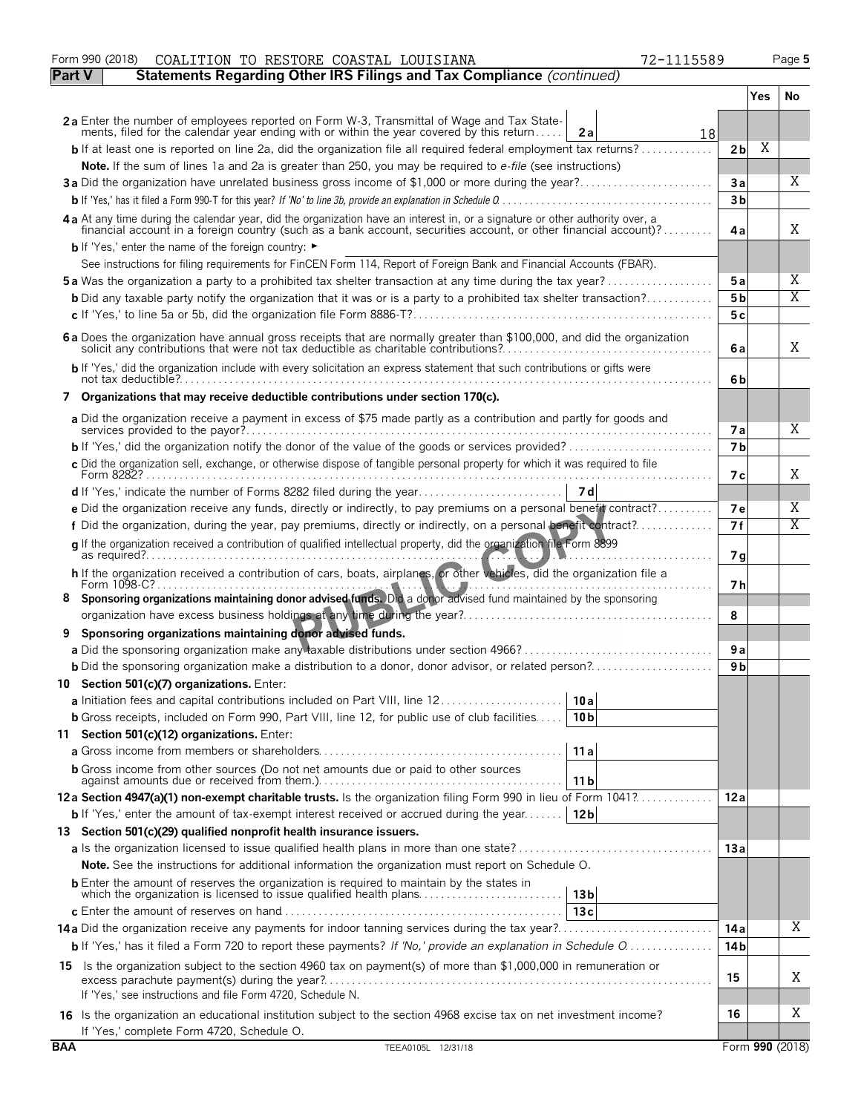|               | Form 990 (2018)<br>COALITION TO RESTORE COASTAL LOUISIANA<br>72-1115589                                                                                                                                                                          |                         |     | Page 5          |
|---------------|--------------------------------------------------------------------------------------------------------------------------------------------------------------------------------------------------------------------------------------------------|-------------------------|-----|-----------------|
| <b>Part V</b> | Statements Regarding Other IRS Filings and Tax Compliance (continued)                                                                                                                                                                            |                         |     |                 |
|               |                                                                                                                                                                                                                                                  |                         | Yes | No.             |
|               | 2a Enter the number of employees reported on Form W-3, Transmittal of Wage and Tax State-<br>ments, filed for the calendar year ending with or within the year covered by this return<br>2a<br>18                                                |                         |     |                 |
|               | <b>b</b> If at least one is reported on line 2a, did the organization file all required federal employment tax returns?                                                                                                                          | 2 <sub>b</sub>          | Χ   |                 |
|               | Note. If the sum of lines 1a and 2a is greater than 250, you may be required to e-file (see instructions)                                                                                                                                        |                         |     |                 |
|               | 3a Did the organization have unrelated business gross income of \$1,000 or more during the year?                                                                                                                                                 | За                      |     | X               |
|               |                                                                                                                                                                                                                                                  | 3 <sub>b</sub>          |     |                 |
|               | 4a At any time during the calendar year, did the organization have an interest in, or a signature or other authority over, a<br>financial account in a foreign country (such as a bank account, securities account, or other financial account)? | 4a                      |     | X               |
|               | b If 'Yes,' enter the name of the foreign country: ►                                                                                                                                                                                             |                         |     |                 |
|               | See instructions for filing requirements for FinCEN Form 114, Report of Foreign Bank and Financial Accounts (FBAR).                                                                                                                              |                         |     |                 |
|               | <b>5a</b> Was the organization a party to a prohibited tax shelter transaction at any time during the tax year?                                                                                                                                  | 5а                      |     | Χ<br>X          |
|               | <b>b</b> Did any taxable party notify the organization that it was or is a party to a prohibited tax shelter transaction?                                                                                                                        | 5b                      |     |                 |
|               |                                                                                                                                                                                                                                                  | 5 c                     |     |                 |
|               | 6 a Does the organization have annual gross receipts that are normally greater than \$100,000, and did the organization solicit any contributions that were not tax deductible as charitable contributions?                                      | 6a                      |     | X               |
|               | b If 'Yes,' did the organization include with every solicitation an express statement that such contributions or gifts were                                                                                                                      | 6b                      |     |                 |
|               | 7 Organizations that may receive deductible contributions under section 170(c).                                                                                                                                                                  |                         |     |                 |
|               | a Did the organization receive a payment in excess of \$75 made partly as a contribution and partly for goods and                                                                                                                                | 7а                      |     | Χ               |
|               |                                                                                                                                                                                                                                                  | 7 <sub>b</sub>          |     |                 |
|               | c Did the organization sell, exchange, or otherwise dispose of tangible personal property for which it was required to file                                                                                                                      | 7 с                     |     | X               |
|               |                                                                                                                                                                                                                                                  |                         |     |                 |
|               | e Did the organization receive any funds, directly or indirectly, to pay premiums on a personal benefit contract?                                                                                                                                | 7е                      |     | Χ               |
|               | f Did the organization, during the year, pay premiums, directly or indirectly, on a personal benefit contract?                                                                                                                                   | 7f                      |     | Χ               |
|               | q If the organization received a contribution of qualified intellectual property, did the organization file Form 8899<br>.                                                                                                                       | 7g                      |     |                 |
|               | h If the organization received a contribution of cars, boats, airplanes, or other vehicles, did the organization file a                                                                                                                          | 7 h                     |     |                 |
| 8             | Sponsoring organizations maintaining donor advised funds. Did a donor advised fund maintained by the sponsoring                                                                                                                                  |                         |     |                 |
|               | Sponsoring organizations maintaining donor advised funds.                                                                                                                                                                                        | 8                       |     |                 |
| 9             |                                                                                                                                                                                                                                                  | 9a                      |     |                 |
|               | <b>b</b> Did the sponsoring organization make a distribution to a donor, donor advisor, or related person?                                                                                                                                       | 9 b                     |     |                 |
|               | 10 Section 501(c)(7) organizations. Enter:                                                                                                                                                                                                       |                         |     |                 |
|               | a Initiation fees and capital contributions included on Part VIII, line 12<br>10 a                                                                                                                                                               |                         |     |                 |
|               | <b>b</b> Gross receipts, included on Form 990, Part VIII, line 12, for public use of club facilities<br>10 <sub>b</sub>                                                                                                                          |                         |     |                 |
|               | 11 Section 501(c)(12) organizations. Enter:                                                                                                                                                                                                      |                         |     |                 |
|               | 11a                                                                                                                                                                                                                                              |                         |     |                 |
|               | <b>b</b> Gross income from other sources (Do not net amounts due or paid to other sources<br>11 b                                                                                                                                                |                         |     |                 |
|               | 12a Section 4947(a)(1) non-exempt charitable trusts. Is the organization filing Form 990 in lieu of Form 1041?                                                                                                                                   | 12a                     |     |                 |
|               | 12 <sub>b</sub><br><b>b</b> If 'Yes,' enter the amount of tax-exempt interest received or accrued during the year                                                                                                                                |                         |     |                 |
|               | 13 Section 501(c)(29) qualified nonprofit health insurance issuers.                                                                                                                                                                              |                         |     |                 |
|               |                                                                                                                                                                                                                                                  | 13 a                    |     |                 |
|               | <b>Note.</b> See the instructions for additional information the organization must report on Schedule O.                                                                                                                                         |                         |     |                 |
|               | <b>b</b> Enter the amount of reserves the organization is required to maintain by the states in<br>which the organization is licensed to issue qualified health plans<br>13 <sub>b</sub>                                                         |                         |     |                 |
|               | 13c                                                                                                                                                                                                                                              |                         |     | Χ               |
|               | <b>b</b> If 'Yes,' has it filed a Form 720 to report these payments? If 'No,' provide an explanation in Schedule O                                                                                                                               | 14 a<br>14 <sub>b</sub> |     |                 |
|               |                                                                                                                                                                                                                                                  |                         |     |                 |
|               | 15 Is the organization subject to the section 4960 tax on payment(s) of more than \$1,000,000 in remuneration or<br>If 'Yes,' see instructions and file Form 4720, Schedule N.                                                                   | 15                      |     | Χ               |
|               |                                                                                                                                                                                                                                                  | 16                      |     | Χ               |
|               | 16 Is the organization an educational institution subject to the section 4968 excise tax on net investment income?<br>If 'Yes,' complete Form 4720, Schedule O.                                                                                  |                         |     |                 |
| <b>BAA</b>    | TEEA0105L 12/31/18                                                                                                                                                                                                                               |                         |     | Form 990 (2018) |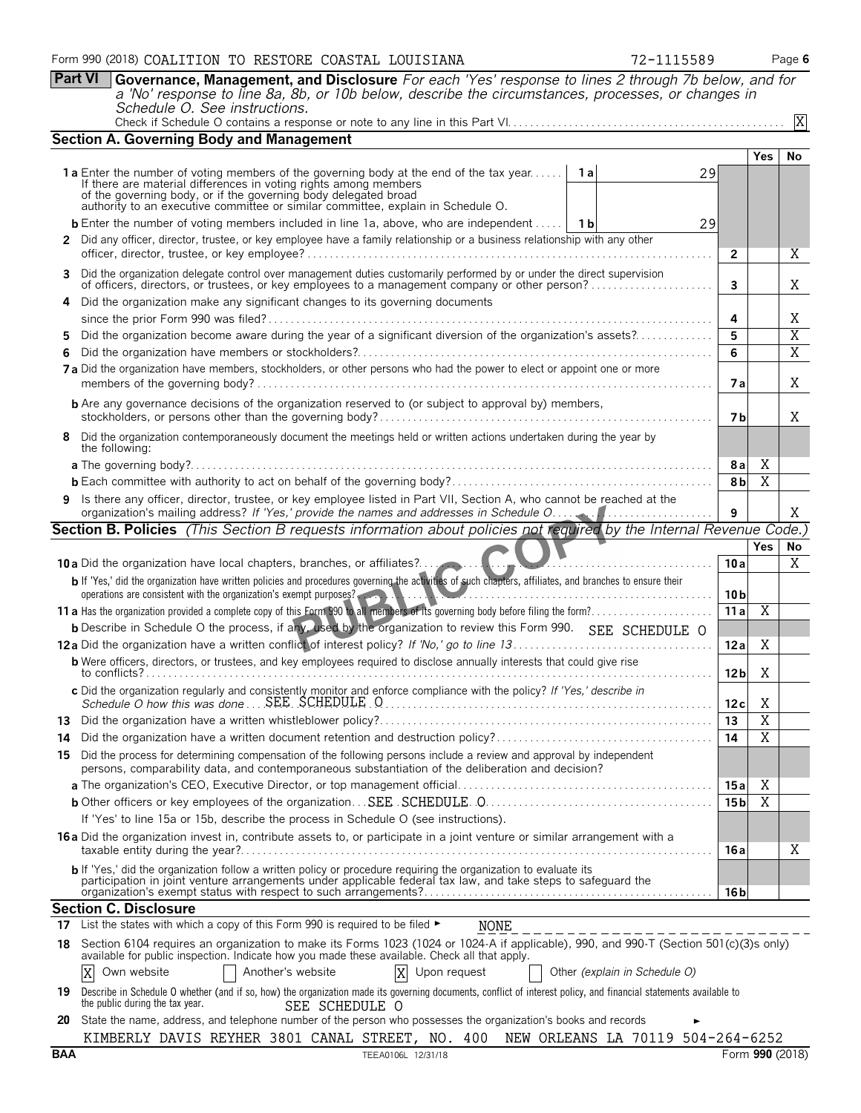**Part VI Governance, Management, and Disclosure** *For each 'Yes' response to lines 2 through 7b below, and for a 'No' response to line 8a, 8b, or 10b below, describe the circumstances, processes, or changes in Schedule O. See instructions.*

|--|

|    | <b>Section A. Governing Body and Management</b>                                                                                                                                                                                                                                                                             |                         |                         |                |
|----|-----------------------------------------------------------------------------------------------------------------------------------------------------------------------------------------------------------------------------------------------------------------------------------------------------------------------------|-------------------------|-------------------------|----------------|
|    |                                                                                                                                                                                                                                                                                                                             |                         | Yes                     | <b>No</b>      |
|    | 1a Enter the number of voting members of the governing body at the end of the tax year<br>1 a<br>29<br>If there are material differences in voting rights among members of the governing body, or if the governing body delegated broad<br>authority to an executive committee or similar committee, explain in Schedule O. |                         |                         |                |
|    | <b>b</b> Enter the number of voting members included in line 1a, above, who are independent    1b<br>29                                                                                                                                                                                                                     |                         |                         |                |
|    | 2 Did any officer, director, trustee, or key employee have a family relationship or a business relationship with any other                                                                                                                                                                                                  |                         |                         |                |
|    |                                                                                                                                                                                                                                                                                                                             | $\overline{2}$          |                         | X              |
|    | 3 Did the organization delegate control over management duties customarily performed by or under the direct supervision<br>of officers, directors, or trustees, or key employees to a management company or other person?                                                                                                   | $\overline{\mathbf{3}}$ |                         | Χ              |
| 4  | Did the organization make any significant changes to its governing documents                                                                                                                                                                                                                                                | 4                       |                         | Χ              |
|    | Did the organization become aware during the year of a significant diversion of the organization's assets?                                                                                                                                                                                                                  | 5                       |                         | $\overline{X}$ |
| 6. |                                                                                                                                                                                                                                                                                                                             | 6                       |                         | $\overline{X}$ |
|    | 7a Did the organization have members, stockholders, or other persons who had the power to elect or appoint one or more                                                                                                                                                                                                      | 7 a                     |                         | X              |
|    | <b>b</b> Are any governance decisions of the organization reserved to (or subject to approval by) members,                                                                                                                                                                                                                  | 7 b                     |                         | Χ              |
|    | 8 Did the organization contemporaneously document the meetings held or written actions undertaken during the year by<br>the following:                                                                                                                                                                                      |                         |                         |                |
|    |                                                                                                                                                                                                                                                                                                                             | 8a                      | Χ                       |                |
|    |                                                                                                                                                                                                                                                                                                                             | 8 <sub>b</sub>          | $\overline{X}$          |                |
|    | 9 Is there any officer, director, trustee, or key employee listed in Part VII, Section A, who cannot be reached at the                                                                                                                                                                                                      | 9                       |                         | X              |
|    | Section B. Policies (This Section B requests information about policies not required by the Internal Revenue Code.)                                                                                                                                                                                                         |                         |                         |                |
|    |                                                                                                                                                                                                                                                                                                                             |                         | <b>Yes</b>              | No             |
|    | <b>10 a</b> Did the organization have local chapters, branches, or affiliates?                                                                                                                                                                                                                                              | 10a                     |                         | $\overline{X}$ |
|    | b If 'Yes,' did the organization have written policies and procedures governing the activities of such chapters, affiliates, and branches to ensure their<br>operations are consistent with the organization's exempt purposes?                                                                                             | 10 <sub>b</sub>         |                         |                |
|    |                                                                                                                                                                                                                                                                                                                             | 11a                     | $\overline{\mathbf{X}}$ |                |
|    | b Describe in Schedule O the process, if any, used by the organization to review this Form 990. SEE SCHEDULE O                                                                                                                                                                                                              |                         |                         |                |
|    |                                                                                                                                                                                                                                                                                                                             | 12a                     | Χ                       |                |
|    | <b>b</b> Were officers, directors, or trustees, and key employees required to disclose annually interests that could give rise                                                                                                                                                                                              | 12 <sub>b</sub>         | Χ                       |                |
|    | c Did the organization regularly and consistently monitor and enforce compliance with the policy? If 'Yes,' describe in                                                                                                                                                                                                     | 12c                     | X                       |                |
|    |                                                                                                                                                                                                                                                                                                                             | $\overline{13}$         | $\overline{X}$          |                |
|    |                                                                                                                                                                                                                                                                                                                             | 14                      | $\overline{X}$          |                |
|    | 15 Did the process for determining compensation of the following persons include a review and approval by independent<br>persons, comparability data, and contemporaneous substantiation of the deliberation and decision?                                                                                                  |                         |                         |                |
|    |                                                                                                                                                                                                                                                                                                                             | 15 a                    | Χ                       |                |
|    |                                                                                                                                                                                                                                                                                                                             | 15 b                    | $\overline{\mathbf{X}}$ |                |
|    | If 'Yes' to line 15a or 15b, describe the process in Schedule O (see instructions).                                                                                                                                                                                                                                         |                         |                         |                |
|    | 16 a Did the organization invest in, contribute assets to, or participate in a joint venture or similar arrangement with a                                                                                                                                                                                                  | 16 a                    |                         | Χ              |
|    | b If 'Yes,' did the organization follow a written policy or procedure requiring the organization to evaluate its<br>participation in joint venture arrangements under applicable federal tax law, and take steps to safeguard the                                                                                           |                         |                         |                |
|    | <b>Section C. Disclosure</b>                                                                                                                                                                                                                                                                                                | 16 bl                   |                         |                |
| 17 | List the states with which a copy of this Form 990 is required to be filed ►<br><b>NONE</b>                                                                                                                                                                                                                                 |                         |                         |                |
|    | Section 6104 requires an organization to make its Forms 1023 (1024 or 1024-A if applicable), 990, and 990-T (Section 501(c)(3)s only)                                                                                                                                                                                       |                         |                         |                |
| 18 | available for public inspection. Indicate how you made these available. Check all that apply.                                                                                                                                                                                                                               |                         |                         |                |
|    | Another's website<br>Own website<br>X<br>Upon request<br>Other (explain in Schedule O)<br>Χ                                                                                                                                                                                                                                 |                         |                         |                |
| 19 | Describe in Schedule O whether (and if so, how) the organization made its governing documents, conflict of interest policy, and financial statements available to<br>the public during the tax year.<br>SEE SCHEDULE O                                                                                                      |                         |                         |                |

**20** State the name, address, and telephone number of the person who possesses the organization's books and records ► KIMBERLY DAVIS REYHER 3801 CANAL STREET, NO. 400 NEW ORLEANS LA 70119 504-264-6252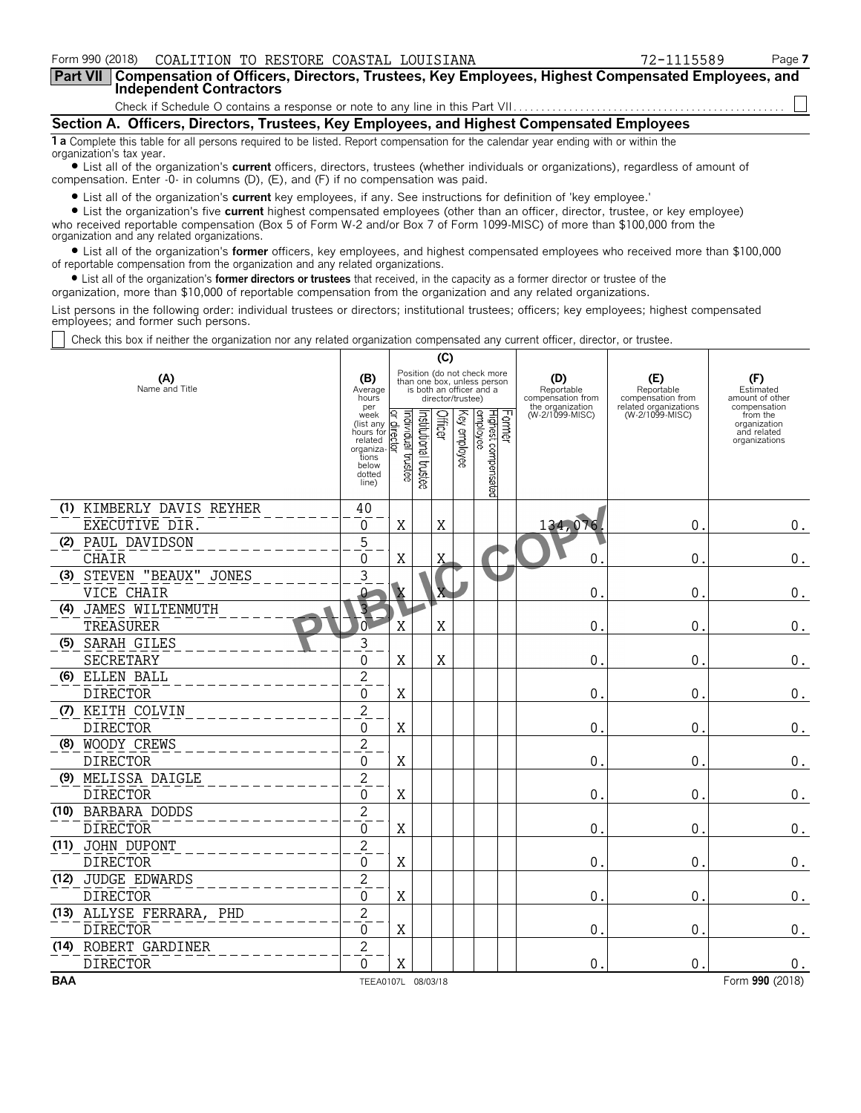| COALITION TO RESTORE COASTAL LOUISIANA<br>Form 990 (2018)                                                                                                                                                                                                                                                                                                                                                                                                                                                                                                                                                                                                         |  |                             |  | 72-1115589 |  | Page 7 |  |
|-------------------------------------------------------------------------------------------------------------------------------------------------------------------------------------------------------------------------------------------------------------------------------------------------------------------------------------------------------------------------------------------------------------------------------------------------------------------------------------------------------------------------------------------------------------------------------------------------------------------------------------------------------------------|--|-----------------------------|--|------------|--|--------|--|
| Compensation of Officers, Directors, Trustees, Key Employees, Highest Compensated Employees, and<br>Part VII I<br><b>Independent Contractors</b>                                                                                                                                                                                                                                                                                                                                                                                                                                                                                                                  |  |                             |  |            |  |        |  |
|                                                                                                                                                                                                                                                                                                                                                                                                                                                                                                                                                                                                                                                                   |  |                             |  |            |  |        |  |
| Section A. Officers, Directors, Trustees, Key Employees, and Highest Compensated Employees                                                                                                                                                                                                                                                                                                                                                                                                                                                                                                                                                                        |  |                             |  |            |  |        |  |
| <b>1 a</b> Complete this table for all persons required to be listed. Report compensation for the calendar year ending with or within the<br>organization's tax year.                                                                                                                                                                                                                                                                                                                                                                                                                                                                                             |  |                             |  |            |  |        |  |
| • List all of the organization's current officers, directors, trustees (whether individuals or organizations), regardless of amount of<br>compensation. Enter -0- in columns (D), (E), and (F) if no compensation was paid.                                                                                                                                                                                                                                                                                                                                                                                                                                       |  |                             |  |            |  |        |  |
| • List all of the organization's current key employees, if any. See instructions for definition of 'key employee.'<br>• List the organization's five current highest compensated employees (other than an officer, director, trustee, or key employee)<br>who received reportable compensation (Box 5 of Form W-2 and/or Box 7 of Form 1099-MISC) of more than \$100,000 from the<br>organization and any related organizations.<br>• List all of the organization's <b>former</b> officers, key employees, and highest compensated employees who received more than \$100,000<br>of reportable compensation from the organization and any related organizations. |  |                             |  |            |  |        |  |
| • List all of the organization's former directors or trustees that received, in the capacity as a former director or trustee of the<br>organization, more than \$10,000 of reportable compensation from the organization and any related organizations.                                                                                                                                                                                                                                                                                                                                                                                                           |  |                             |  |            |  |        |  |
| List persons in the following order: individual trustees or directors; institutional trustees; officers; key employees; highest compensated<br>employees; and former such persons.                                                                                                                                                                                                                                                                                                                                                                                                                                                                                |  |                             |  |            |  |        |  |
| Check this box if neither the organization nor any related organization compensated any current officer, director, or trustee.                                                                                                                                                                                                                                                                                                                                                                                                                                                                                                                                    |  |                             |  |            |  |        |  |
|                                                                                                                                                                                                                                                                                                                                                                                                                                                                                                                                                                                                                                                                   |  | (C)                         |  |            |  |        |  |
|                                                                                                                                                                                                                                                                                                                                                                                                                                                                                                                                                                                                                                                                   |  | Position (do not check more |  |            |  |        |  |

| (A)<br>Name and Title | (B)<br>Average<br>hours                                                                               | Position (do not check more<br>than one box, unless person<br>is both an officer and a<br>director/trustee) | (D)<br>Reportable<br>compensation from<br>the organization | (E)<br>Reportable<br>compensation from   | Estimated<br>amount of other                                             |
|-----------------------|-------------------------------------------------------------------------------------------------------|-------------------------------------------------------------------------------------------------------------|------------------------------------------------------------|------------------------------------------|--------------------------------------------------------------------------|
|                       | per<br>week<br>(list any $Q$ .<br>hours for <sub>cp</sub><br>related<br>organiza- 목<br>tions<br>below | ⊵<br>$\circ$<br>邑<br>∾<br>$\Omega$<br>ಕ<br>$\mathbf{S}$<br>ö<br>히<br>œ<br>c<br>ā,<br>o<br>o.                | (W-2/1099-MISC)                                            | related organizations<br>(W-2/1099-MISC) | compensation<br>from the<br>organization<br>and related<br>organizations |

|            |                           | dotted<br>line)    | e.      | g<br>8 |   | Lisated |                  |                  |                 |
|------------|---------------------------|--------------------|---------|--------|---|---------|------------------|------------------|-----------------|
|            | (1) KIMBERLY DAVIS REYHER | 40                 |         |        |   |         |                  |                  |                 |
|            | EXECUTIVE DIR.            | 0                  | X       |        | X |         | 134,076          | $\mathbf{0}$ .   | 0.              |
|            | (2) PAUL DAVIDSON         | $\mathbf 5$        |         |        |   |         |                  |                  |                 |
|            | <b>CHAIR</b>              | 0                  | Χ       |        | X |         | 0                | $\overline{0}$ . | $0$ .           |
|            | (3) STEVEN "BEAUX" JONES  | 3                  |         |        |   |         |                  |                  |                 |
|            | VICE CHAIR                |                    |         |        | X |         | $\mathbf{0}$ .   | 0                | $0$ .           |
|            | (4) JAMES WILTENMUTH      |                    |         |        |   |         |                  |                  |                 |
|            | TREASURER                 | $\overline{0}$     | Χ       |        | X |         | $\mathbf 0$ .    | 0                | $0$ .           |
|            | (5) SARAH GILES           | 3                  |         |        |   |         |                  |                  |                 |
|            | <b>SECRETARY</b>          | $\Omega$           | X       |        | X |         | 0.               | 0.               | $0$ .           |
|            | (6) ELLEN BALL            | $\overline{2}$     |         |        |   |         |                  |                  |                 |
|            | <b>DIRECTOR</b>           | 0                  | $\rm X$ |        |   |         | 0.               | 0                | 0.              |
|            | (7) KEITH COLVIN          | $\overline{c}$     |         |        |   |         |                  |                  |                 |
|            | <b>DIRECTOR</b>           | $\mathbf 0$        | X       |        |   |         | $\mathbf 0$      | 0                | $0$ .           |
|            | (8) WOODY CREWS           | $\overline{c}$     |         |        |   |         |                  |                  |                 |
|            | <b>DIRECTOR</b>           | $\boldsymbol{0}$   | X       |        |   |         | $\overline{0}$ . | 0.               | 0.              |
|            | (9) MELISSA DAIGLE        | $\overline{c}$     |         |        |   |         |                  |                  |                 |
|            | <b>DIRECTOR</b>           | 0                  | X       |        |   |         | $\mathbf 0$ .    | $\mathbf{0}$ .   | $0$ .           |
|            | (10) BARBARA DODDS        | $\overline{2}$     |         |        |   |         |                  |                  |                 |
|            | <b>DIRECTOR</b>           | 0                  | X       |        |   |         | $\mathbf{0}$     | $\Omega$         | 0.              |
|            | (11) JOHN DUPONT          | $\overline{2}$     |         |        |   |         |                  |                  |                 |
|            | <b>DIRECTOR</b>           | 0                  | X       |        |   |         | 0.               | 0 <sub>1</sub>   | $0$ .           |
|            | (12) JUDGE EDWARDS        | $\overline{2}$     |         |        |   |         |                  |                  |                 |
|            | <b>DIRECTOR</b>           | $\mathbf 0$        | X       |        |   |         | $\mathbf{0}$ .   | $\mathbf 0$ .    | $0$ .           |
|            | (13) ALLYSE FERRARA, PHD  | $\overline{2}$     |         |        |   |         |                  |                  |                 |
|            | <b>DIRECTOR</b>           | 0                  | X       |        |   |         | $\mathbf 0$ .    | 0                | $0$ .           |
|            | (14) ROBERT GARDINER      | $\overline{c}$     |         |        |   |         |                  |                  |                 |
|            | <b>DIRECTOR</b>           | $\Omega$           | X       |        |   |         | $\theta$ .       | $\mathbf{0}$ .   | 0.              |
| <b>BAA</b> |                           | TEEA0107L 08/03/18 |         |        |   |         |                  |                  | Form 990 (2018) |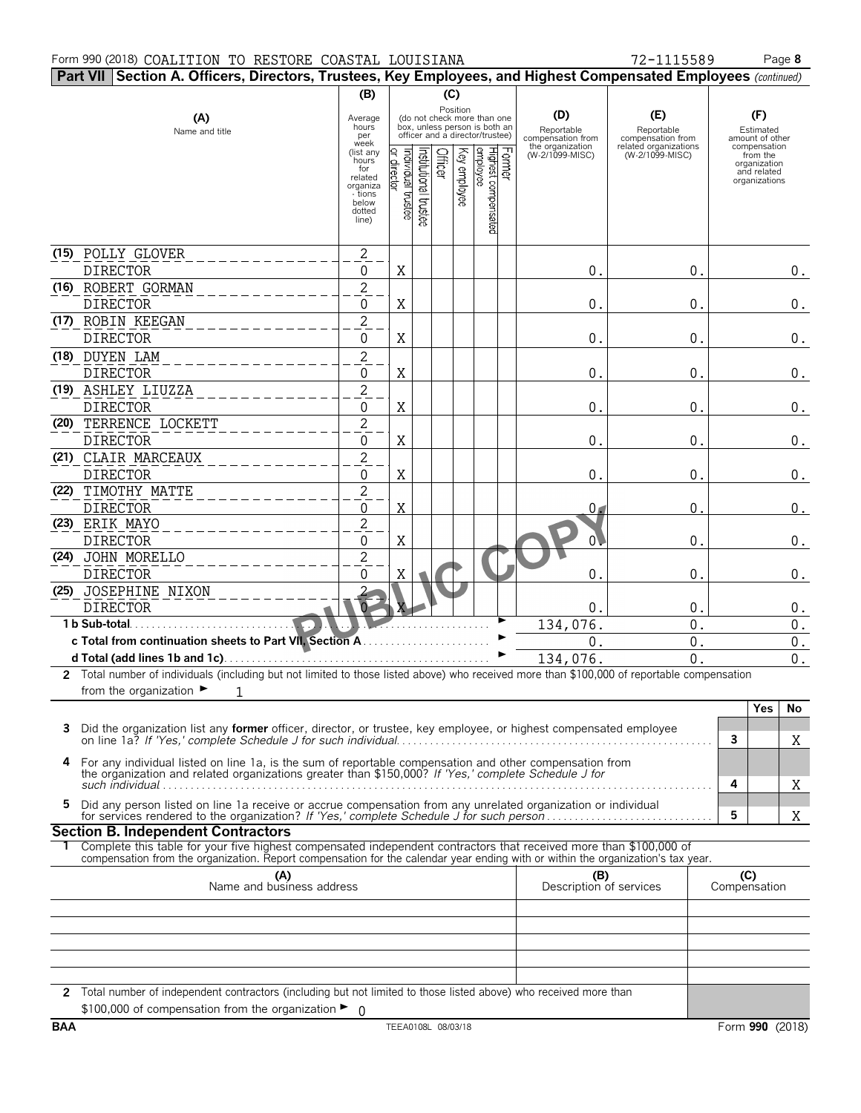#### Form 990 (2018) Page **8** COALITION TO RESTORE COASTAL LOUISIANA 72-1115589

| 72-1115589 |
|------------|

|   | Part VII   Section A. Officers, Directors, Trustees, Key Employees, and Highest Compensated Employees (continued)                                                                                            |                                                                                                                            |                               |                      |         |              |                                                                                                                                                          |                                                                               |                                                                                    |                     |                                                                                                                 |       |
|---|--------------------------------------------------------------------------------------------------------------------------------------------------------------------------------------------------------------|----------------------------------------------------------------------------------------------------------------------------|-------------------------------|----------------------|---------|--------------|----------------------------------------------------------------------------------------------------------------------------------------------------------|-------------------------------------------------------------------------------|------------------------------------------------------------------------------------|---------------------|-----------------------------------------------------------------------------------------------------------------|-------|
|   |                                                                                                                                                                                                              | (B)                                                                                                                        |                               |                      |         | (C)          |                                                                                                                                                          |                                                                               |                                                                                    |                     |                                                                                                                 |       |
|   | (A)<br>Name and title                                                                                                                                                                                        | Average<br>hours<br>per<br>week<br>(list any<br>hours<br>for<br>related<br>organiza<br>- tions<br>below<br>dotted<br>line) | ndividual trustee<br>director | nstitutional trustee | Officer | Key employee | Position<br>(do not check more than one<br>box, unless person is both an<br>officer and a director/trustee)<br>Highest compensated<br>employee<br>Former | (D)<br>Reportable<br>compensation from<br>the organization<br>(W-2/1099-MISC) | (E)<br>Reportable<br>compensation from<br>related organizations<br>(W-2/1099-MISC) |                     | (F)<br>Estimated<br>amount of other<br>compensation<br>from the<br>organization<br>and related<br>organizations |       |
|   |                                                                                                                                                                                                              |                                                                                                                            |                               |                      |         |              |                                                                                                                                                          |                                                                               |                                                                                    |                     |                                                                                                                 |       |
|   | (15) POLLY GLOVER                                                                                                                                                                                            | $\sqrt{2}$                                                                                                                 |                               |                      |         |              |                                                                                                                                                          |                                                                               |                                                                                    |                     |                                                                                                                 |       |
|   | <b>DIRECTOR</b>                                                                                                                                                                                              | 0                                                                                                                          | X                             |                      |         |              |                                                                                                                                                          | $0$ .                                                                         | $0$ .                                                                              |                     |                                                                                                                 | $0$ . |
|   | (16) ROBERT GORMAN                                                                                                                                                                                           | $\overline{c}$                                                                                                             |                               |                      |         |              |                                                                                                                                                          |                                                                               |                                                                                    |                     |                                                                                                                 |       |
|   | <b>DIRECTOR</b>                                                                                                                                                                                              | 0                                                                                                                          | X                             |                      |         |              |                                                                                                                                                          | 0.                                                                            | $0$ .                                                                              |                     |                                                                                                                 | $0$ . |
|   | (17) ROBIN KEEGAN                                                                                                                                                                                            | $\overline{c}$                                                                                                             |                               |                      |         |              |                                                                                                                                                          |                                                                               |                                                                                    |                     |                                                                                                                 |       |
|   | <b>DIRECTOR</b>                                                                                                                                                                                              | $\boldsymbol{0}$                                                                                                           | X                             |                      |         |              |                                                                                                                                                          | $0$ .                                                                         | 0.                                                                                 |                     |                                                                                                                 | $0$ . |
|   | (18) DUYEN LAM                                                                                                                                                                                               | $\overline{c}$                                                                                                             |                               |                      |         |              |                                                                                                                                                          |                                                                               |                                                                                    |                     |                                                                                                                 |       |
|   | <b>DIRECTOR</b>                                                                                                                                                                                              | $\boldsymbol{0}$                                                                                                           | X                             |                      |         |              |                                                                                                                                                          | 0.                                                                            | 0.                                                                                 |                     |                                                                                                                 | $0$ . |
|   | (19) ASHLEY LIUZZA                                                                                                                                                                                           | $\overline{c}$                                                                                                             |                               |                      |         |              |                                                                                                                                                          |                                                                               |                                                                                    |                     |                                                                                                                 |       |
|   | <b>DIRECTOR</b>                                                                                                                                                                                              | $\boldsymbol{0}$                                                                                                           | X                             |                      |         |              |                                                                                                                                                          | 0.                                                                            | 0.                                                                                 |                     |                                                                                                                 | $0$ . |
|   | (20) TERRENCE LOCKETT                                                                                                                                                                                        | $\overline{c}$                                                                                                             |                               |                      |         |              |                                                                                                                                                          |                                                                               |                                                                                    |                     |                                                                                                                 |       |
|   | <b>DIRECTOR</b>                                                                                                                                                                                              | $\boldsymbol{0}$                                                                                                           | X                             |                      |         |              |                                                                                                                                                          | 0.                                                                            | 0.                                                                                 |                     |                                                                                                                 | $0$ . |
|   | (21) CLAIR MARCEAUX                                                                                                                                                                                          | $\overline{c}$                                                                                                             |                               |                      |         |              |                                                                                                                                                          |                                                                               |                                                                                    |                     |                                                                                                                 |       |
|   | <b>DIRECTOR</b>                                                                                                                                                                                              | $\boldsymbol{0}$                                                                                                           | X                             |                      |         |              |                                                                                                                                                          | 0.                                                                            | 0.                                                                                 |                     |                                                                                                                 | $0$ . |
|   | (22) TIMOTHY MATTE                                                                                                                                                                                           | $\overline{c}$                                                                                                             |                               |                      |         |              |                                                                                                                                                          |                                                                               |                                                                                    |                     |                                                                                                                 |       |
|   | <b>DIRECTOR</b>                                                                                                                                                                                              | 0                                                                                                                          | X                             |                      |         |              |                                                                                                                                                          | 0 <sub>1</sub>                                                                | 0                                                                                  |                     |                                                                                                                 | $0$ . |
|   | (23) ERIK MAYO                                                                                                                                                                                               | $\overline{c}$                                                                                                             |                               |                      |         |              |                                                                                                                                                          |                                                                               |                                                                                    |                     |                                                                                                                 |       |
|   | <b>DIRECTOR</b>                                                                                                                                                                                              | 0                                                                                                                          | X                             |                      |         |              |                                                                                                                                                          |                                                                               | $0$ .                                                                              |                     |                                                                                                                 | $0$ . |
|   | (24) JOHN MORELLO                                                                                                                                                                                            | $\overline{c}$                                                                                                             |                               |                      |         |              |                                                                                                                                                          |                                                                               |                                                                                    |                     |                                                                                                                 |       |
|   | <b>DIRECTOR</b>                                                                                                                                                                                              |                                                                                                                            |                               |                      |         |              |                                                                                                                                                          |                                                                               |                                                                                    |                     |                                                                                                                 |       |
|   |                                                                                                                                                                                                              | 0                                                                                                                          | Χ                             |                      |         |              |                                                                                                                                                          | 0.                                                                            | $0$ .                                                                              |                     |                                                                                                                 | $0$ . |
|   | (25) JOSEPHINE NIXON                                                                                                                                                                                         |                                                                                                                            |                               |                      |         |              |                                                                                                                                                          |                                                                               |                                                                                    |                     |                                                                                                                 |       |
|   | <b>DIRECTOR</b>                                                                                                                                                                                              |                                                                                                                            |                               |                      |         |              |                                                                                                                                                          | 0.                                                                            | 0.                                                                                 |                     |                                                                                                                 | $0$ . |
|   | 1 b Sub-total                                                                                                                                                                                                |                                                                                                                            |                               |                      |         |              |                                                                                                                                                          | 134,076.                                                                      | $0$ .                                                                              |                     |                                                                                                                 | $0$ . |
|   | c Total from continuation sheets to Part VII, Section A                                                                                                                                                      |                                                                                                                            |                               |                      |         |              |                                                                                                                                                          | $\boldsymbol{0}$ .                                                            | $\boldsymbol{0}$ .                                                                 |                     |                                                                                                                 | $0$ . |
|   |                                                                                                                                                                                                              |                                                                                                                            |                               |                      |         |              |                                                                                                                                                          | 134,076.                                                                      | 0.                                                                                 |                     |                                                                                                                 | 0.    |
|   | 2 Total number of individuals (including but not limited to those listed above) who received more than \$100,000 of reportable compensation                                                                  |                                                                                                                            |                               |                      |         |              |                                                                                                                                                          |                                                                               |                                                                                    |                     |                                                                                                                 |       |
|   | from the organization $\blacktriangleright$<br>$\mathbf{1}$                                                                                                                                                  |                                                                                                                            |                               |                      |         |              |                                                                                                                                                          |                                                                               |                                                                                    |                     |                                                                                                                 |       |
|   |                                                                                                                                                                                                              |                                                                                                                            |                               |                      |         |              |                                                                                                                                                          |                                                                               |                                                                                    |                     | Yes                                                                                                             | No    |
|   | Did the organization list any <b>former</b> officer, director, or trustee, key employee, or highest compensated employee                                                                                     |                                                                                                                            |                               |                      |         |              |                                                                                                                                                          |                                                                               |                                                                                    |                     |                                                                                                                 |       |
|   |                                                                                                                                                                                                              |                                                                                                                            |                               |                      |         |              |                                                                                                                                                          |                                                                               |                                                                                    | 3                   |                                                                                                                 | Χ     |
| 4 | For any individual listed on line 1a, is the sum of reportable compensation and other compensation from the organization and related organizations greater than \$150,000? If 'Yes,' complete Schedule J for |                                                                                                                            |                               |                      |         |              |                                                                                                                                                          |                                                                               |                                                                                    | 4                   |                                                                                                                 |       |
| 5 | Did any person listed on line 1a receive or accrue compensation from any unrelated organization or individual                                                                                                |                                                                                                                            |                               |                      |         |              |                                                                                                                                                          |                                                                               |                                                                                    |                     |                                                                                                                 | Χ     |
|   |                                                                                                                                                                                                              |                                                                                                                            |                               |                      |         |              |                                                                                                                                                          |                                                                               |                                                                                    | 5                   |                                                                                                                 | Χ     |
|   | <b>Section B. Independent Contractors</b>                                                                                                                                                                    |                                                                                                                            |                               |                      |         |              |                                                                                                                                                          |                                                                               |                                                                                    |                     |                                                                                                                 |       |
|   | Complete this table for your five highest compensated independent contractors that received more than \$100,000 of                                                                                           |                                                                                                                            |                               |                      |         |              |                                                                                                                                                          |                                                                               |                                                                                    |                     |                                                                                                                 |       |
|   | compensation from the organization. Report compensation for the calendar year ending with or within the organization's tax year.                                                                             |                                                                                                                            |                               |                      |         |              |                                                                                                                                                          |                                                                               |                                                                                    |                     |                                                                                                                 |       |
|   | (A)<br>Name and business address                                                                                                                                                                             |                                                                                                                            |                               |                      |         |              |                                                                                                                                                          | (B)<br>Description of services                                                |                                                                                    | (C)<br>Compensation |                                                                                                                 |       |
|   |                                                                                                                                                                                                              |                                                                                                                            |                               |                      |         |              |                                                                                                                                                          |                                                                               |                                                                                    |                     |                                                                                                                 |       |
|   |                                                                                                                                                                                                              |                                                                                                                            |                               |                      |         |              |                                                                                                                                                          |                                                                               |                                                                                    |                     |                                                                                                                 |       |
|   |                                                                                                                                                                                                              |                                                                                                                            |                               |                      |         |              |                                                                                                                                                          |                                                                               |                                                                                    |                     |                                                                                                                 |       |
|   |                                                                                                                                                                                                              |                                                                                                                            |                               |                      |         |              |                                                                                                                                                          |                                                                               |                                                                                    |                     |                                                                                                                 |       |
|   |                                                                                                                                                                                                              |                                                                                                                            |                               |                      |         |              |                                                                                                                                                          |                                                                               |                                                                                    |                     |                                                                                                                 |       |
|   |                                                                                                                                                                                                              |                                                                                                                            |                               |                      |         |              |                                                                                                                                                          |                                                                               |                                                                                    |                     |                                                                                                                 |       |
|   | 2 Total number of independent contractors (including but not limited to those listed above) who received more than<br>\$100,000 of compensation from the organization $\blacktriangleright$ 0                |                                                                                                                            |                               |                      |         |              |                                                                                                                                                          |                                                                               |                                                                                    |                     |                                                                                                                 |       |
|   |                                                                                                                                                                                                              |                                                                                                                            |                               |                      |         |              |                                                                                                                                                          |                                                                               |                                                                                    |                     |                                                                                                                 |       |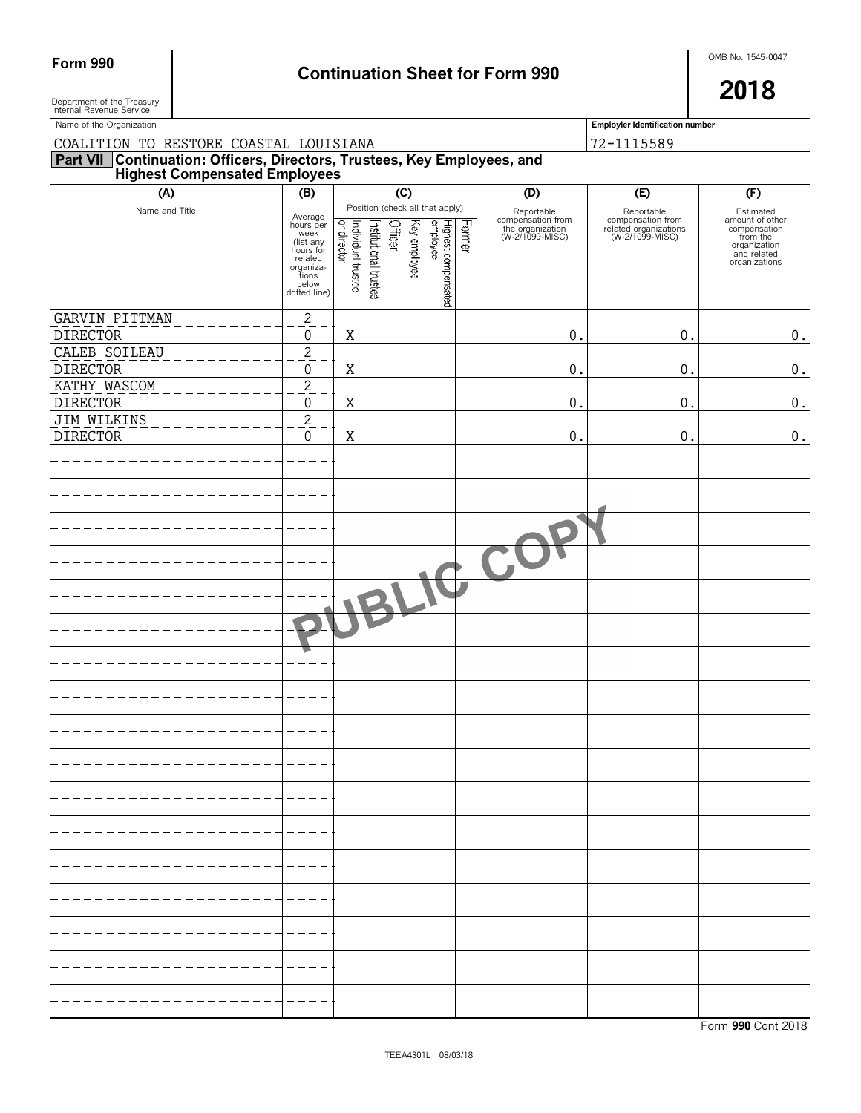# Form 990 **Continuation Sheet for Form 990 Continuation Sheet for Form 990**

Department of the Treasury  $\overline{\phantom{a}}$ Department of the Treasury<br>Internal Revenue Service

| Name of the Organization                                                                                      |                                                                                                                  |                                    |                       |         |              |                                                                      |        |                                                                        | <b>Employler Identification number</b>                                      |                                                                                                          |
|---------------------------------------------------------------------------------------------------------------|------------------------------------------------------------------------------------------------------------------|------------------------------------|-----------------------|---------|--------------|----------------------------------------------------------------------|--------|------------------------------------------------------------------------|-----------------------------------------------------------------------------|----------------------------------------------------------------------------------------------------------|
| COALITION TO RESTORE COASTAL LOUISIANA                                                                        |                                                                                                                  |                                    |                       |         |              |                                                                      |        |                                                                        | 72-1115589                                                                  |                                                                                                          |
| <b>Part VII Continuation: Officers, Directors, Trustees, Key Employees, and Highest Compensated Employees</b> |                                                                                                                  |                                    |                       |         |              |                                                                      |        |                                                                        |                                                                             |                                                                                                          |
| (A)                                                                                                           | (B)                                                                                                              |                                    |                       | (C)     |              |                                                                      |        | (D)                                                                    | (E)                                                                         | (F)                                                                                                      |
| Name and Title                                                                                                | Average<br>hours per<br>week<br>(list any<br>hours for<br>related<br>organiza-<br>tions<br>below<br>dotted line) | Individual trustee<br> or director | Institutional trustee | Officer | Key employee | Position (check all that apply)<br>ea Kalduna<br>Highest compensated | Former | Reportable<br>compensation from<br>the organization<br>(W-2/1099-MISC) | Reportable<br>compensation from<br>related organizations<br>(W-2/1099-MISC) | Estimated<br>amount of other<br>compensation<br>from the<br>organization<br>and related<br>organizations |
| GARVIN PITTMAN                                                                                                | $\sqrt{2}$                                                                                                       |                                    |                       |         |              |                                                                      |        |                                                                        |                                                                             |                                                                                                          |
| <b>DIRECTOR</b>                                                                                               | $\boldsymbol{0}$                                                                                                 | X                                  |                       |         |              |                                                                      |        | $\mathbf{0}$ .                                                         | $0$ .                                                                       | $0$ .                                                                                                    |
| CALEB SOILEAU<br><b>DIRECTOR</b>                                                                              | $\overline{c}$<br>0                                                                                              | X                                  |                       |         |              |                                                                      |        | $\mathbf{0}$ .                                                         | $\mathbf 0$                                                                 | $\boldsymbol{0}$ .                                                                                       |
| KATHY WASCOM                                                                                                  | $\overline{c}$                                                                                                   |                                    |                       |         |              |                                                                      |        |                                                                        |                                                                             |                                                                                                          |
| <b>DIRECTOR</b>                                                                                               | 0                                                                                                                | X                                  |                       |         |              |                                                                      |        | $\mathbf{0}$ .                                                         | $\mathbf 0$                                                                 | 0.                                                                                                       |
| <b>JIM WILKINS</b>                                                                                            | $\sqrt{2}$                                                                                                       |                                    |                       |         |              |                                                                      |        |                                                                        |                                                                             |                                                                                                          |
| <b>DIRECTOR</b>                                                                                               | $\pmb{0}$                                                                                                        | X                                  |                       |         |              |                                                                      |        | $\mathbf{0}$                                                           | $\mathbf 0$                                                                 | $\boldsymbol{0}$ .                                                                                       |
|                                                                                                               |                                                                                                                  |                                    |                       |         |              |                                                                      |        |                                                                        |                                                                             |                                                                                                          |
|                                                                                                               |                                                                                                                  |                                    |                       |         |              |                                                                      |        |                                                                        |                                                                             |                                                                                                          |
|                                                                                                               |                                                                                                                  |                                    |                       |         |              |                                                                      |        |                                                                        |                                                                             |                                                                                                          |
|                                                                                                               |                                                                                                                  |                                    |                       |         |              |                                                                      |        |                                                                        |                                                                             |                                                                                                          |
|                                                                                                               |                                                                                                                  |                                    |                       |         |              |                                                                      |        |                                                                        |                                                                             |                                                                                                          |
|                                                                                                               |                                                                                                                  |                                    |                       |         |              |                                                                      |        |                                                                        |                                                                             |                                                                                                          |
|                                                                                                               |                                                                                                                  |                                    |                       |         |              |                                                                      |        |                                                                        |                                                                             |                                                                                                          |
|                                                                                                               |                                                                                                                  |                                    |                       |         |              |                                                                      |        |                                                                        |                                                                             |                                                                                                          |
|                                                                                                               |                                                                                                                  |                                    |                       |         |              |                                                                      |        |                                                                        |                                                                             |                                                                                                          |
|                                                                                                               |                                                                                                                  |                                    |                       |         |              |                                                                      |        |                                                                        |                                                                             |                                                                                                          |
|                                                                                                               |                                                                                                                  |                                    |                       |         |              |                                                                      |        |                                                                        |                                                                             |                                                                                                          |
|                                                                                                               |                                                                                                                  |                                    |                       |         |              |                                                                      |        |                                                                        |                                                                             |                                                                                                          |
|                                                                                                               |                                                                                                                  |                                    |                       |         |              |                                                                      |        |                                                                        |                                                                             |                                                                                                          |
|                                                                                                               |                                                                                                                  |                                    |                       |         |              |                                                                      |        |                                                                        |                                                                             |                                                                                                          |
|                                                                                                               |                                                                                                                  |                                    |                       |         |              |                                                                      |        |                                                                        |                                                                             |                                                                                                          |
|                                                                                                               |                                                                                                                  |                                    |                       |         |              |                                                                      |        |                                                                        |                                                                             |                                                                                                          |
|                                                                                                               |                                                                                                                  |                                    |                       |         |              |                                                                      |        |                                                                        |                                                                             |                                                                                                          |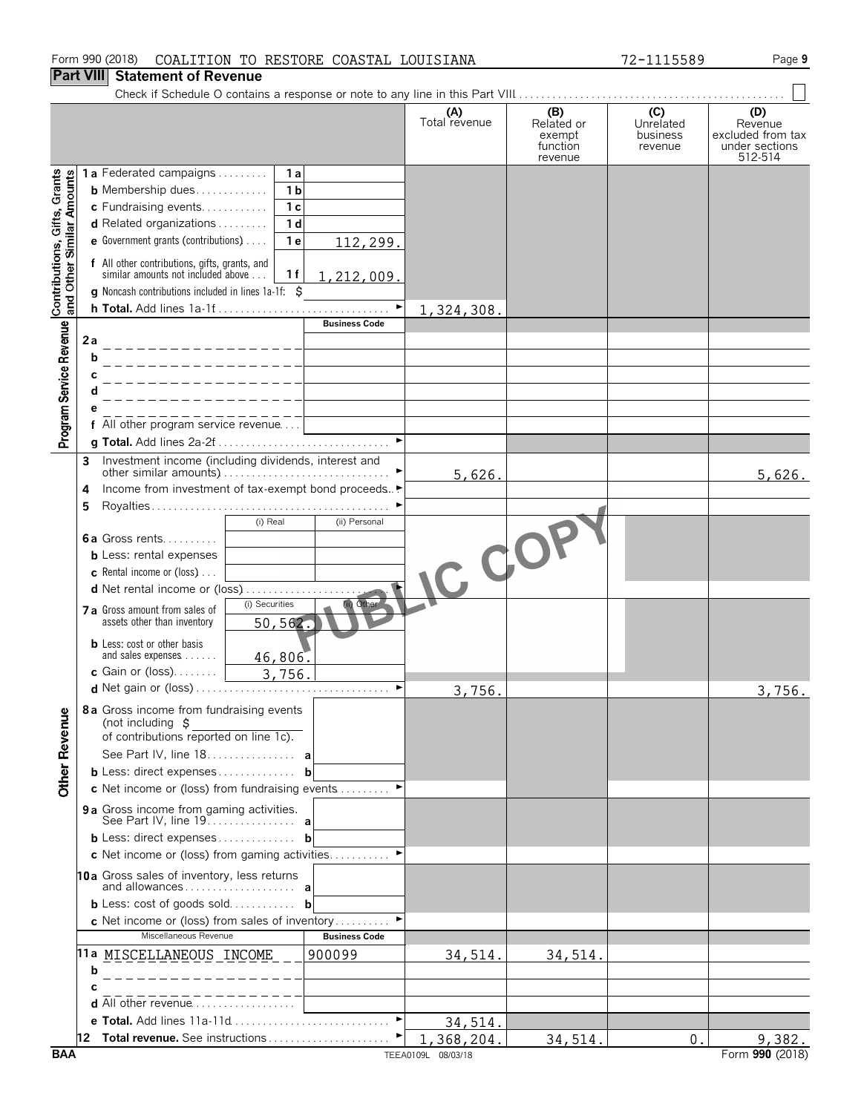#### Form 990 (2018) Page **9** COALITION TO RESTORE COASTAL LOUISIANA 72-1115589

#### **Part VIII Statement of Revenue**

|                                                           |                                                                                                         | (A)<br>Total revenue | (B)<br>Related or<br>exempt<br>function<br>revenue | (C)<br>Unrelated<br>business<br>revenue | (D)<br>Revenue<br>excluded from tax<br>under sections<br>512-514 |
|-----------------------------------------------------------|---------------------------------------------------------------------------------------------------------|----------------------|----------------------------------------------------|-----------------------------------------|------------------------------------------------------------------|
|                                                           | 1a Federated campaigns<br>1a                                                                            |                      |                                                    |                                         |                                                                  |
|                                                           | 1 <sub>b</sub><br><b>b</b> Membership dues                                                              |                      |                                                    |                                         |                                                                  |
|                                                           | 1 <sub>c</sub><br>c Fundraising events                                                                  |                      |                                                    |                                         |                                                                  |
|                                                           | 1 <sub>d</sub><br><b>d</b> Related organizations $\ldots$                                               |                      |                                                    |                                         |                                                                  |
|                                                           | <b>e</b> Government grants (contributions) $\ldots$<br>1 <sub>e</sub><br>112,299.                       |                      |                                                    |                                         |                                                                  |
| Contributions, Gifts, Grants<br>and Other Similar Amounts | f All other contributions, gifts, grants, and<br>similar amounts not included above<br>1f<br>1,212,009. |                      |                                                    |                                         |                                                                  |
|                                                           | g Noncash contributions included in lines 1a-1f: \$                                                     |                      |                                                    |                                         |                                                                  |
|                                                           | <b>Business Code</b>                                                                                    | 1, 324, 308.         |                                                    |                                         |                                                                  |
| Program Service Revenue                                   | 2a                                                                                                      |                      |                                                    |                                         |                                                                  |
|                                                           |                                                                                                         |                      |                                                    |                                         |                                                                  |
|                                                           | b                                                                                                       |                      |                                                    |                                         |                                                                  |
|                                                           |                                                                                                         |                      |                                                    |                                         |                                                                  |
|                                                           |                                                                                                         |                      |                                                    |                                         |                                                                  |
|                                                           |                                                                                                         |                      |                                                    |                                         |                                                                  |
|                                                           | f All other program service revenue<br>$\blacktriangleright$                                            |                      |                                                    |                                         |                                                                  |
|                                                           |                                                                                                         |                      |                                                    |                                         |                                                                  |
|                                                           | Investment income (including dividends, interest and<br>3                                               |                      |                                                    |                                         |                                                                  |
|                                                           | Income from investment of tax-exempt bond proceeds▶                                                     | 5,626.               |                                                    |                                         | 5,626.                                                           |
|                                                           | 4                                                                                                       |                      |                                                    |                                         |                                                                  |
|                                                           | 5<br>(i) Real<br>(ii) Personal                                                                          |                      |                                                    |                                         |                                                                  |
|                                                           | <b>6a</b> Gross rents                                                                                   |                      |                                                    |                                         |                                                                  |
|                                                           | <b>b</b> Less: rental expenses                                                                          |                      |                                                    |                                         |                                                                  |
|                                                           | <b>c</b> Rental income or (loss) $\ldots$                                                               |                      |                                                    |                                         |                                                                  |
|                                                           | d Net rental income or (loss)                                                                           | $C$ do               |                                                    |                                         |                                                                  |
|                                                           | (i) Securities<br>(ii) Other                                                                            |                      |                                                    |                                         |                                                                  |
|                                                           | 7 a Gross amount from sales of<br>assets other than inventory<br>50, 562.                               |                      |                                                    |                                         |                                                                  |
|                                                           |                                                                                                         |                      |                                                    |                                         |                                                                  |
|                                                           | <b>b</b> Less: cost or other basis<br>and sales expenses<br>46,806.                                     |                      |                                                    |                                         |                                                                  |
|                                                           | c Gain or (loss). $\ldots$<br>3,756.                                                                    |                      |                                                    |                                         |                                                                  |
|                                                           |                                                                                                         | 3,756.               |                                                    |                                         | 3,756.                                                           |
|                                                           |                                                                                                         |                      |                                                    |                                         |                                                                  |
| ω Ι                                                       | 8a Gross income from fundraising events<br>(not including $\sharp$                                      |                      |                                                    |                                         |                                                                  |
|                                                           | of contributions reported on line 1c).                                                                  |                      |                                                    |                                         |                                                                  |
|                                                           | See Part IV, line 18. a                                                                                 |                      |                                                    |                                         |                                                                  |
| <b>Other Revenu</b>                                       | <b>b</b> Less: direct expenses <b>b</b>                                                                 |                      |                                                    |                                         |                                                                  |
|                                                           | c Net income or (loss) from fundraising events                                                          |                      |                                                    |                                         |                                                                  |
|                                                           |                                                                                                         |                      |                                                    |                                         |                                                                  |
|                                                           | 9 a Gross income from gaming activities.<br>See Part IV, line 19. a                                     |                      |                                                    |                                         |                                                                  |
|                                                           | <b>b</b> Less: direct expenses <b>b</b>                                                                 |                      |                                                    |                                         |                                                                  |
|                                                           | c Net income or (loss) from gaming activities                                                           |                      |                                                    |                                         |                                                                  |
|                                                           | 10a Gross sales of inventory, less returns                                                              |                      |                                                    |                                         |                                                                  |
|                                                           |                                                                                                         |                      |                                                    |                                         |                                                                  |
|                                                           | <b>b</b> Less: cost of goods sold <b>b</b>                                                              |                      |                                                    |                                         |                                                                  |
|                                                           | c Net income or (loss) from sales of inventory                                                          |                      |                                                    |                                         |                                                                  |
|                                                           | Miscellaneous Revenue<br><b>Business Code</b>                                                           |                      |                                                    |                                         |                                                                  |
|                                                           | 11a MIS <u>CELLANEOUS INCOME</u><br>900099                                                              | 34,514.              | 34,514.                                            |                                         |                                                                  |
|                                                           | b                                                                                                       |                      |                                                    |                                         |                                                                  |
|                                                           |                                                                                                         |                      |                                                    |                                         |                                                                  |
|                                                           | <b>d</b> All other revenue $\ldots$                                                                     |                      |                                                    |                                         |                                                                  |
|                                                           | e Total. Add lines 11a-11d                                                                              | 34,514.              |                                                    |                                         |                                                                  |
|                                                           | 12 Total revenue. See instructions                                                                      | 1,368,204.           | 34,514.                                            | 0.                                      | 9,382.                                                           |
| <b>BAA</b>                                                |                                                                                                         | TEEA0109L 08/03/18   |                                                    |                                         | Form 990 (2018)                                                  |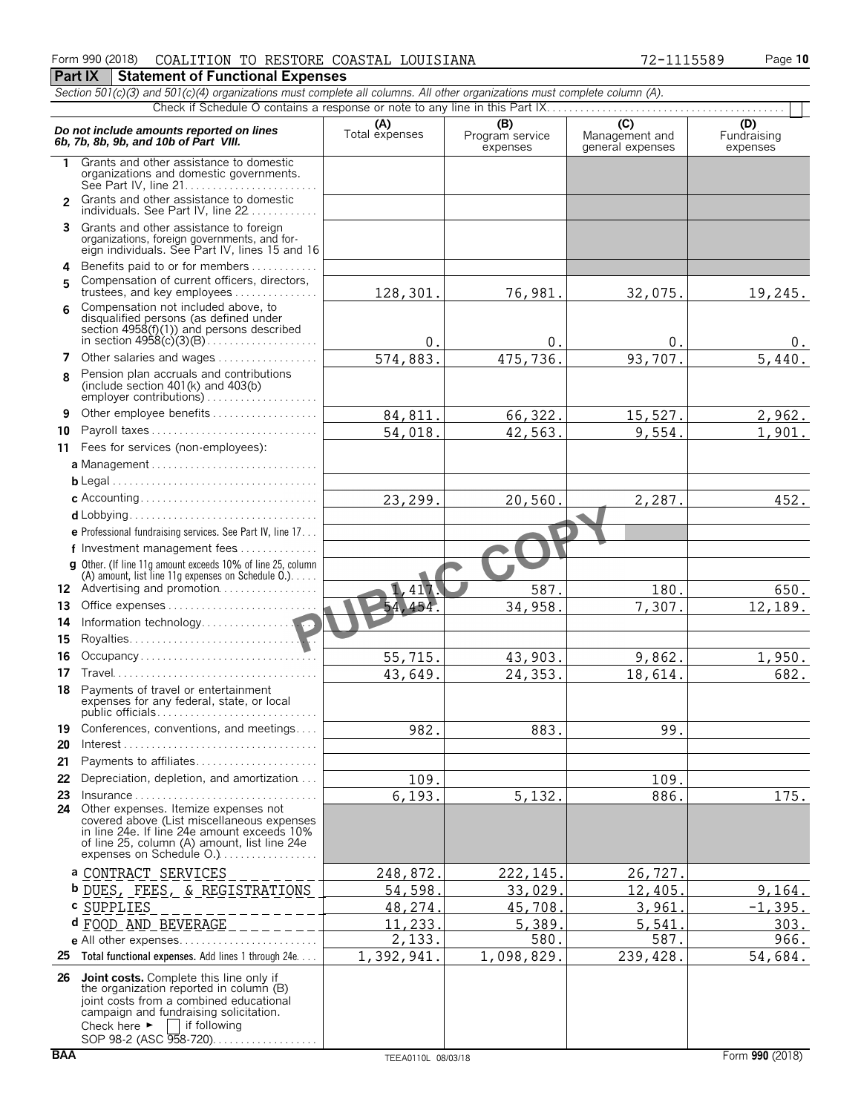#### Form 990 (2018) Page **10** COALITION TO RESTORE COASTAL LOUISIANA 72-1115589

**Part IX | Statement of Functional Expenses** 

|          | Section 501(c)(3) and 501(c)(4) organizations must complete all columns. All other organizations must complete column (A).                                                                                                                              |                       |                                    |                                           |                                |
|----------|---------------------------------------------------------------------------------------------------------------------------------------------------------------------------------------------------------------------------------------------------------|-----------------------|------------------------------------|-------------------------------------------|--------------------------------|
|          |                                                                                                                                                                                                                                                         |                       |                                    |                                           |                                |
|          | Do not include amounts reported on lines<br>6b, 7b, 8b, 9b, and 10b of Part VIII.                                                                                                                                                                       | (A)<br>Total expenses | (B)<br>Program service<br>expenses | (C)<br>Management and<br>general expenses | (D)<br>Fundraising<br>expenses |
| 1.       | Grants and other assistance to domestic<br>organizations and domestic governments.                                                                                                                                                                      |                       |                                    |                                           |                                |
|          | 2 Grants and other assistance to domestic<br>individuals. See Part IV, line 22                                                                                                                                                                          |                       |                                    |                                           |                                |
|          | 3 Grants and other assistance to foreign<br>organizations, foreign governments, and for-<br>eign individuals. See Part IV, lines 15 and 16                                                                                                              |                       |                                    |                                           |                                |
| 4<br>5   | Benefits paid to or for members<br>Compensation of current officers, directors,<br>trustees, and key employees                                                                                                                                          | 128,301.              | 76,981.                            | 32,075.                                   | 19,245.                        |
| 6        | Compensation not included above, to<br>disqualified persons (as defined under                                                                                                                                                                           | $0$ .                 | 0.                                 | 0.                                        | 0.                             |
| 7        | Other salaries and wages                                                                                                                                                                                                                                | 574,883               | 475,736                            | 93,707.                                   | 5,440.                         |
| 8        | Pension plan accruals and contributions<br>(include section $401(k)$ and $403(b)$ )                                                                                                                                                                     |                       |                                    |                                           |                                |
| 9        | Other employee benefits                                                                                                                                                                                                                                 | 84,811                | 66,322.                            | 15,527.                                   | 2,962.                         |
| 10       |                                                                                                                                                                                                                                                         | 54,018.               | 42,563.                            | 9,554.                                    | 1,901.                         |
| 11       | Fees for services (non-employees):                                                                                                                                                                                                                      |                       |                                    |                                           |                                |
|          |                                                                                                                                                                                                                                                         |                       |                                    |                                           |                                |
|          |                                                                                                                                                                                                                                                         |                       |                                    |                                           |                                |
|          |                                                                                                                                                                                                                                                         | 23,299.               | 20,560                             | 2,287.                                    | 452.                           |
|          |                                                                                                                                                                                                                                                         |                       |                                    |                                           |                                |
|          | e Professional fundraising services. See Part IV, line 17                                                                                                                                                                                               |                       |                                    |                                           |                                |
|          | f Investment management fees                                                                                                                                                                                                                            |                       |                                    |                                           |                                |
|          | <b>g</b> Other. (If line 11q amount exceeds 10% of line 25, column<br>(A) amount, list line 11g expenses on Schedule $0.$ )                                                                                                                             |                       |                                    |                                           |                                |
|          | 12 Advertising and promotion                                                                                                                                                                                                                            | 1,417                 | 587.                               | 180.                                      | 650.                           |
| 13       | Office expenses                                                                                                                                                                                                                                         | 54,454                | 34,958.                            | $\overline{7}$ , 307.                     | 12,189.                        |
| 14       |                                                                                                                                                                                                                                                         |                       |                                    |                                           |                                |
| 15       |                                                                                                                                                                                                                                                         |                       |                                    |                                           |                                |
| 16       | Occupancy                                                                                                                                                                                                                                               | 55,715.               | 43,903.                            | 9,862.                                    | 1,950.                         |
| 17       |                                                                                                                                                                                                                                                         | 43,649.               | 24,353.                            | 18,614.                                   | 682.                           |
| 18.      | Payments of travel or entertainment<br>expenses for any federal, state, or local                                                                                                                                                                        |                       |                                    |                                           |                                |
| 19       | Conferences, conventions, and meetings                                                                                                                                                                                                                  | 982.                  | 883.                               | 99.                                       |                                |
| 20       | $Interest \dots \dots \dots \dots \dots \dots \dots \dots \dots \dots \dots \dots \dots \dots$                                                                                                                                                          |                       |                                    |                                           |                                |
| 21       | Payments to affiliates                                                                                                                                                                                                                                  |                       |                                    |                                           |                                |
| 22<br>23 | Depreciation, depletion, and amortization<br>$Insurance \ldots \ldots \ldots \ldots \ldots \ldots \ldots \ldots \ldots$                                                                                                                                 | 109.                  |                                    | 109.                                      |                                |
| 24       | Other expenses. Itemize expenses not<br>covered above (List miscellaneous expenses<br>in line 24e. If line 24e amount exceeds 10%<br>of line 25, column (A) amount, list line 24e<br>expenses on Schedule O.)                                           | 6,193.                | 5,132.                             | 886.                                      | 175.                           |
|          | a CONTRACT SERVICES                                                                                                                                                                                                                                     | 248,872               | 222,145                            | 26,727                                    |                                |
|          | <b>b</b> DUES, FEES, & REGISTRATIONS                                                                                                                                                                                                                    | 54,598                | 33,029                             | 12,405                                    | 9,164.                         |
|          | c SUPPLIES                                                                                                                                                                                                                                              | 48,274                | 45,708                             | 3,961                                     | $-1, 395.$                     |
|          | d FOOD AND BEVERAGE                                                                                                                                                                                                                                     | 11,233.               | 5,389                              | 5,541                                     | 303.                           |
|          |                                                                                                                                                                                                                                                         | 2,133.                | 580.                               | 587.                                      | 966.                           |
| 25       | Total functional expenses. Add lines 1 through 24e                                                                                                                                                                                                      | 1,392,941.            | 1,098,829.                         | 239, 428.                                 | 54,684.                        |
|          | 26 Joint costs. Complete this line only if<br>the organization reported in column (B)<br>joint costs from a combined educational<br>campaign and fundraising solicitation.<br>Check here $\blacktriangleright$   if following<br>SOP 98-2 (ASC 958-720) |                       |                                    |                                           |                                |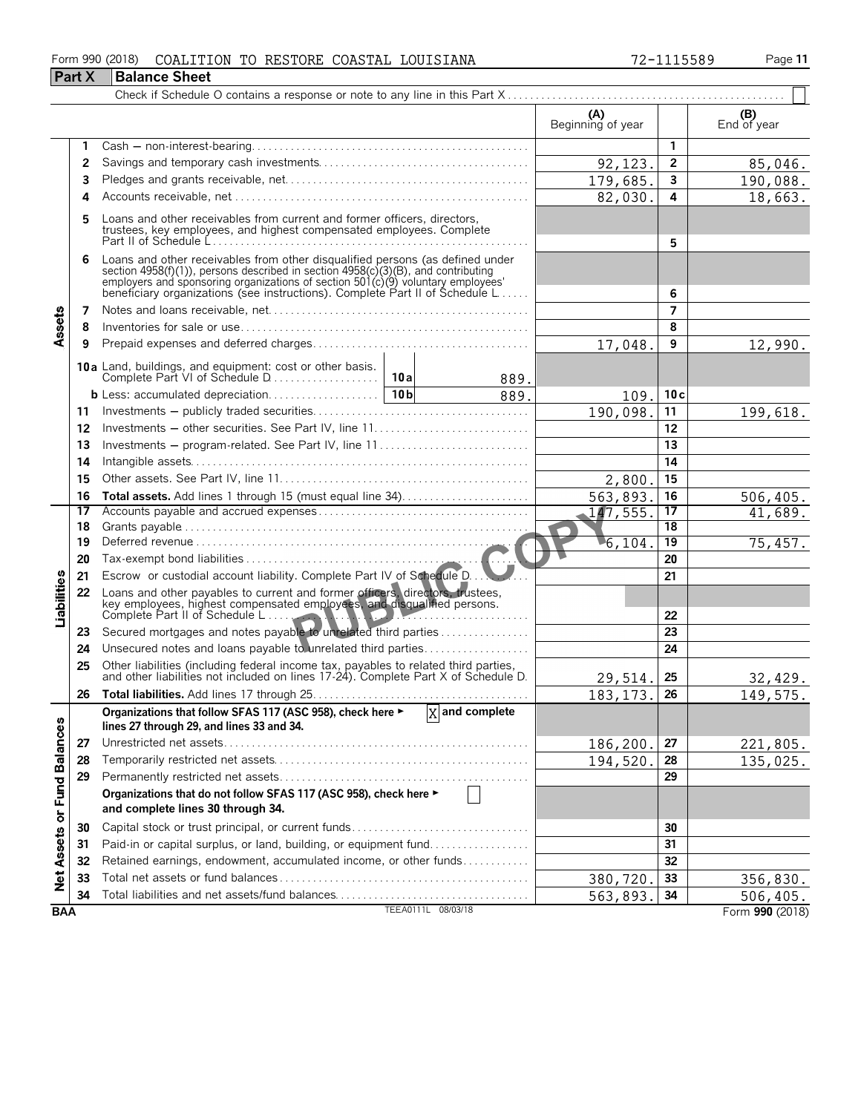#### Form 990 (2018) Page **11** COALITION TO RESTORE COASTAL LOUISIANA 72-1115589

|                             | <b>Part X</b> | <b>Balance Sheet</b>                                                                                                                                                                                                                                                                                                 |                          |                 |                    |
|-----------------------------|---------------|----------------------------------------------------------------------------------------------------------------------------------------------------------------------------------------------------------------------------------------------------------------------------------------------------------------------|--------------------------|-----------------|--------------------|
|                             |               |                                                                                                                                                                                                                                                                                                                      |                          |                 |                    |
|                             |               |                                                                                                                                                                                                                                                                                                                      | (A)<br>Beginning of year |                 | (B)<br>End of year |
|                             | 1             |                                                                                                                                                                                                                                                                                                                      |                          | $\mathbf{1}$    |                    |
|                             | 2             |                                                                                                                                                                                                                                                                                                                      | 92, 123.                 | $\overline{2}$  | 85,046.            |
|                             | 3             |                                                                                                                                                                                                                                                                                                                      | 179,685.                 | $\mathbf{3}$    | 190,088.           |
|                             | 4             |                                                                                                                                                                                                                                                                                                                      | 82,030.                  | 4               | 18,663.            |
|                             | 5             | Loans and other receivables from current and former officers, directors,<br>trustees, key employees, and highest compensated employees. Complete                                                                                                                                                                     |                          | 5               |                    |
|                             | 6             | Loans and other receivables from other disqualified persons (as defined under<br>section 4958(f)(1)), persons described in section 4958(c)(3)(B), and contributing<br>employers and sponsoring organizations of section 501(c)(9) voluntary employees<br>beneficiary organizations (see instructions). Complete Part |                          | 6               |                    |
|                             | 7             |                                                                                                                                                                                                                                                                                                                      |                          | $\overline{ }$  |                    |
| Assets                      | 8             |                                                                                                                                                                                                                                                                                                                      |                          | 8               |                    |
|                             | 9             |                                                                                                                                                                                                                                                                                                                      | 17,048.                  | 9               | 12,990.            |
|                             |               | 889.                                                                                                                                                                                                                                                                                                                 |                          |                 |                    |
|                             |               | 10 <sub>b</sub><br>889.                                                                                                                                                                                                                                                                                              | 109.                     | 10c             |                    |
|                             | 11            |                                                                                                                                                                                                                                                                                                                      | 190,098.                 | 11              | 199,618.           |
|                             | 12            |                                                                                                                                                                                                                                                                                                                      |                          | 12              |                    |
|                             | 13            | Investments – program-related. See Part IV, line 11                                                                                                                                                                                                                                                                  |                          | 13              |                    |
|                             | 14            |                                                                                                                                                                                                                                                                                                                      |                          | 14              |                    |
|                             | 15            |                                                                                                                                                                                                                                                                                                                      | 2,800                    | 15              |                    |
|                             | 16            |                                                                                                                                                                                                                                                                                                                      | 563,893.                 | 16              | 506, 405.          |
|                             | 17            |                                                                                                                                                                                                                                                                                                                      | $-147,555.$              | 17              | 41,689.            |
|                             | 18            |                                                                                                                                                                                                                                                                                                                      |                          | $\overline{18}$ |                    |
|                             | 19            |                                                                                                                                                                                                                                                                                                                      | 6,104                    | $\overline{19}$ | 75,457.            |
|                             | 20            |                                                                                                                                                                                                                                                                                                                      |                          | 20              |                    |
|                             | 21            | Escrow or custodial account liability. Complete Part IV of Schedule D.                                                                                                                                                                                                                                               |                          | 21              |                    |
| Liabilities                 | 22            | Loans and other payables to current and former officers, directors, trustees, key employees, highest compensated employees, and disqualified persons.                                                                                                                                                                |                          | 22              |                    |
|                             | 23            | Secured mortgages and notes payable to unrelated third parties                                                                                                                                                                                                                                                       |                          | 23              |                    |
|                             | 24            | Unsecured notes and loans payable to unrelated third parties                                                                                                                                                                                                                                                         |                          | 24              |                    |
|                             | 25            | Other liabilities (including federal income tax, payables to related third parties, and other liabilities not included on lines 17-24). Complete Part X of Schedule D.                                                                                                                                               | 29,514.                  | 25              | 32,429.            |
|                             | 26            |                                                                                                                                                                                                                                                                                                                      | 183, 173.                | 26              | 149,575.           |
|                             |               | $\overline{X}$ and complete<br>Organizations that follow SFAS 117 (ASC 958), check here ►<br>lines 27 through 29, and lines 33 and 34.                                                                                                                                                                               |                          |                 |                    |
|                             | 27            |                                                                                                                                                                                                                                                                                                                      | 186,200                  | 27              | 221,805.           |
|                             | 28            |                                                                                                                                                                                                                                                                                                                      | 194,520.                 | 28              | 135,025.           |
|                             | 29            |                                                                                                                                                                                                                                                                                                                      |                          | 29              |                    |
| Net Assets or Fund Balances |               | Organizations that do not follow SFAS 117 (ASC 958), check here ►<br>and complete lines 30 through 34.                                                                                                                                                                                                               |                          |                 |                    |
|                             | 30            | Capital stock or trust principal, or current funds                                                                                                                                                                                                                                                                   |                          | 30              |                    |
|                             | 31            | Paid-in or capital surplus, or land, building, or equipment fund                                                                                                                                                                                                                                                     |                          | 31              |                    |
|                             | 32            | Retained earnings, endowment, accumulated income, or other funds                                                                                                                                                                                                                                                     |                          | 32              |                    |
|                             | 33            |                                                                                                                                                                                                                                                                                                                      | 380,720.                 | 33              | 356,830.           |
|                             | 34            |                                                                                                                                                                                                                                                                                                                      | 563,893.                 | 34              | 506,405.           |
| <b>BAA</b>                  |               | TEEA0111L 08/03/18                                                                                                                                                                                                                                                                                                   |                          |                 | Form 990 (2018)    |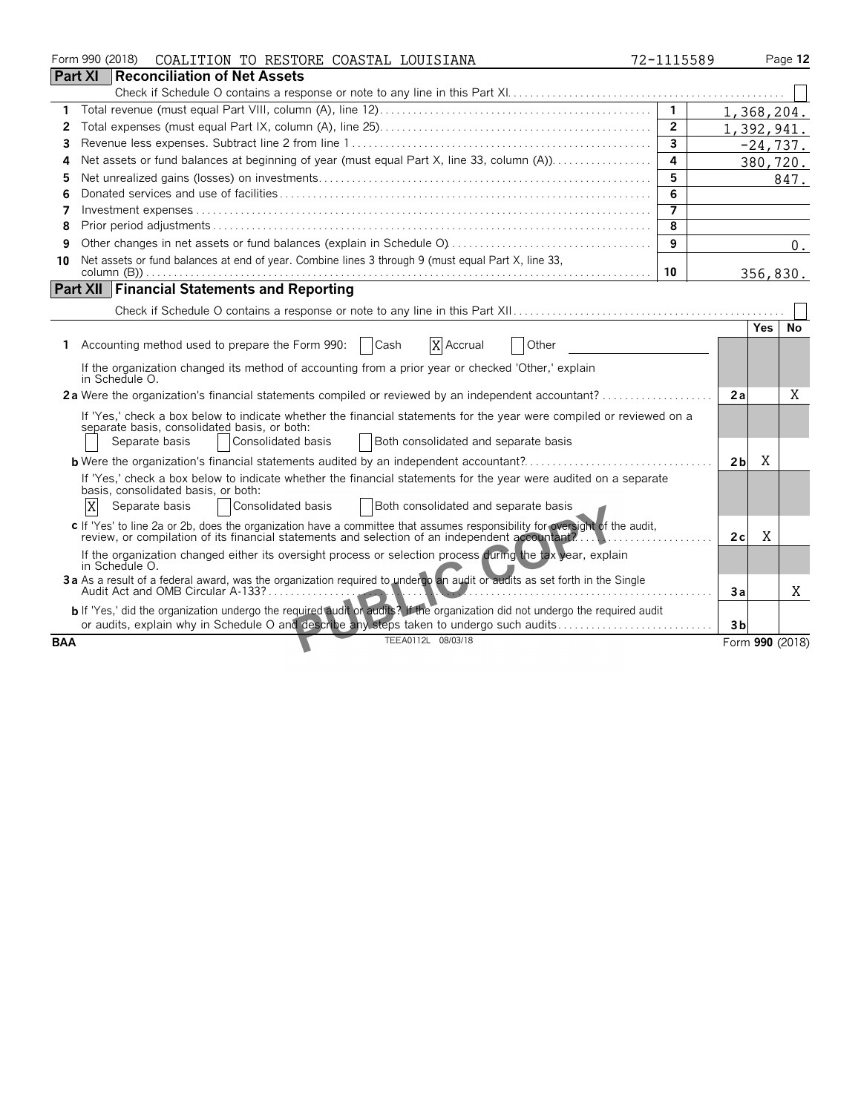|            | Form 990 (2018)<br>COALITION TO RESTORE COASTAL LOUISIANA                                                                                                                                                                                            | 72-1115589     |                |            | Page 12         |
|------------|------------------------------------------------------------------------------------------------------------------------------------------------------------------------------------------------------------------------------------------------------|----------------|----------------|------------|-----------------|
|            | <b>Part XI</b><br>Reconciliation of Net Assets                                                                                                                                                                                                       |                |                |            |                 |
|            |                                                                                                                                                                                                                                                      |                |                |            |                 |
| 1          |                                                                                                                                                                                                                                                      | $\overline{1}$ |                | 1,368,204. |                 |
| 2          |                                                                                                                                                                                                                                                      | $\overline{2}$ |                | 1,392,941. |                 |
| 3          |                                                                                                                                                                                                                                                      | $\overline{3}$ |                | $-24,737.$ |                 |
| 4          | Net assets or fund balances at beginning of year (must equal Part X, line 33, column (A))                                                                                                                                                            | 4              |                | 380,720.   |                 |
| 5          |                                                                                                                                                                                                                                                      | 5              |                |            | 847.            |
| 6          |                                                                                                                                                                                                                                                      | 6              |                |            |                 |
| 7          |                                                                                                                                                                                                                                                      | 7              |                |            |                 |
| 8          |                                                                                                                                                                                                                                                      | 8              |                |            |                 |
| 9          |                                                                                                                                                                                                                                                      | 9              |                |            | $0$ .           |
| 10         | Net assets or fund balances at end of year. Combine lines 3 through 9 (must equal Part X, line 33,                                                                                                                                                   |                |                |            |                 |
|            |                                                                                                                                                                                                                                                      | 10             |                | 356,830.   |                 |
|            | <b>Part XII Financial Statements and Reporting</b>                                                                                                                                                                                                   |                |                |            |                 |
|            |                                                                                                                                                                                                                                                      |                |                |            |                 |
|            |                                                                                                                                                                                                                                                      |                |                | <b>Yes</b> | No              |
|            | Accounting method used to prepare the Form 990:<br>Cash<br>X Accrual<br>Other                                                                                                                                                                        |                |                |            |                 |
|            | If the organization changed its method of accounting from a prior year or checked 'Other,' explain<br>in Schedule O.                                                                                                                                 |                |                |            |                 |
|            | 2a Were the organization's financial statements compiled or reviewed by an independent accountant?                                                                                                                                                   |                | 2a             |            | Χ               |
|            | If 'Yes,' check a box below to indicate whether the financial statements for the year were compiled or reviewed on a<br>separate basis, consolidated basis, or both:<br>Consolidated basis<br>Both consolidated and separate basis<br>Separate basis |                |                |            |                 |
|            | <b>b</b> Were the organization's financial statements audited by an independent accountant?                                                                                                                                                          |                | 2 <sub>b</sub> | X          |                 |
|            | If 'Yes,' check a box below to indicate whether the financial statements for the year were audited on a separate<br>basis, consolidated basis, or both:<br>X<br>Consolidated basis<br><b>Both consolidated and separate basis</b><br>Separate basis  |                |                |            |                 |
|            | c If 'Yes' to line 2a or 2b, does the organization have a committee that assumes responsibility for oversight of the audit,<br>review, or compilation of its financial statements and selection of an independent accountant?                        |                | 2c             | X          |                 |
|            | If the organization changed either its oversight process or selection process during the tax year, explain<br>in Schedule O.                                                                                                                         |                |                |            |                 |
|            | 3a As a result of a federal award, was the organization required to undergo an audit or audits as set forth in the Single                                                                                                                            |                | Зa             |            | X               |
|            | b If 'Yes,' did the organization undergo the required audit or audits? If the organization did not undergo the required audit<br>or audits, explain why in Schedule O and describe any steps taken to undergo such audits                            |                | 3 <sub>b</sub> |            |                 |
| <b>BAA</b> | TEEA0112L 08/03/18                                                                                                                                                                                                                                   |                |                |            | Form 990 (2018) |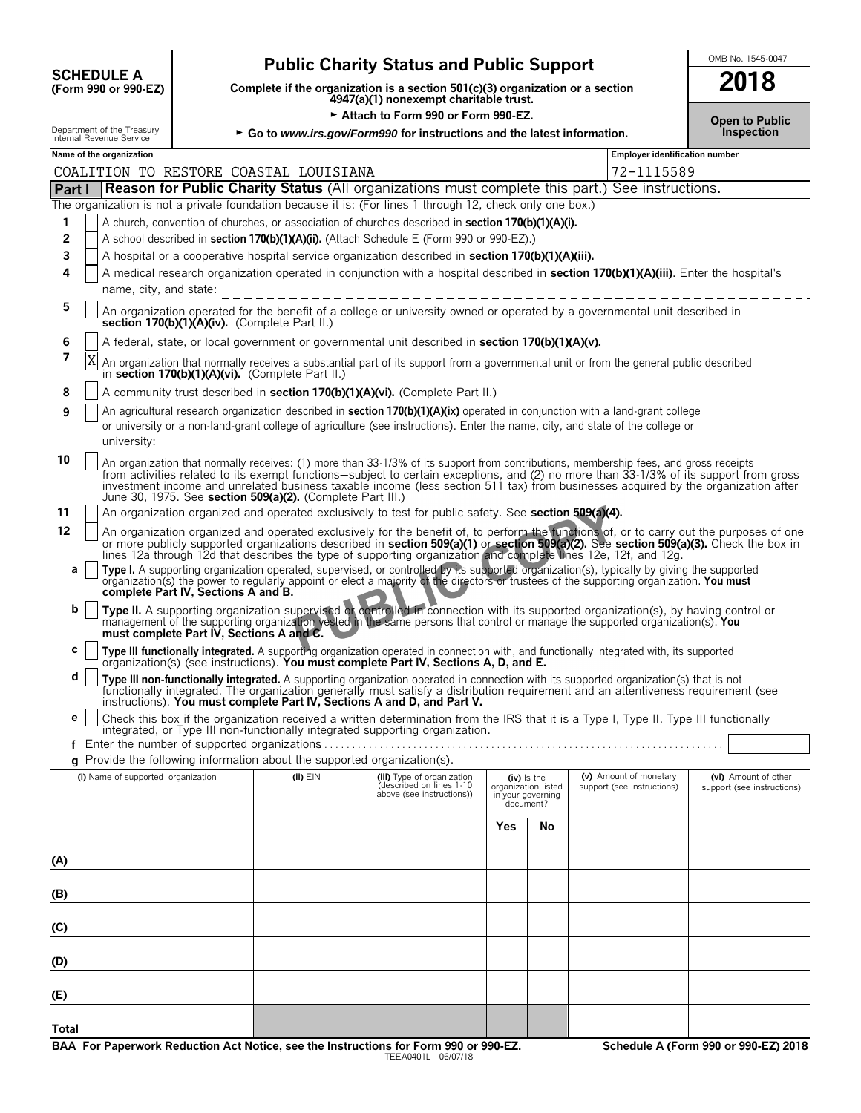| <b>SCHEDULE A</b>             |  |
|-------------------------------|--|
| $(F_{\rm O}r$ m 990 or 990.FZ |  |

# **Public Charity Status and Public Support CHAREDULE A**

**COMPOUTE A**<br>
(Form 990 or 990-EZ) Complete if the organization is a section 501(c)(3) organization or a section<br>
4947(a)(1) nonexempt charitable trust.

Attach to Form 990 or Form 990-EZ.

| 2018 |  |  |
|------|--|--|
|      |  |  |

|              | Department of the Treasury<br>Internal Revenue Service                                                                                                                                                                                                                                                                                                                                                                                                                           |                                               |                                                                          | ► Go to www.irs.gov/Form990 for instructions and the latest information.                                                                                                                                                                                                                                                                                                                           |     |                                                                      |                                                      | Open to Public<br>Inspection                       |  |
|--------------|----------------------------------------------------------------------------------------------------------------------------------------------------------------------------------------------------------------------------------------------------------------------------------------------------------------------------------------------------------------------------------------------------------------------------------------------------------------------------------|-----------------------------------------------|--------------------------------------------------------------------------|----------------------------------------------------------------------------------------------------------------------------------------------------------------------------------------------------------------------------------------------------------------------------------------------------------------------------------------------------------------------------------------------------|-----|----------------------------------------------------------------------|------------------------------------------------------|----------------------------------------------------|--|
|              | Name of the organization                                                                                                                                                                                                                                                                                                                                                                                                                                                         |                                               |                                                                          |                                                                                                                                                                                                                                                                                                                                                                                                    |     |                                                                      | <b>Employer identification number</b>                |                                                    |  |
|              |                                                                                                                                                                                                                                                                                                                                                                                                                                                                                  |                                               | COALITION TO RESTORE COASTAL LOUISIANA                                   |                                                                                                                                                                                                                                                                                                                                                                                                    |     |                                                                      | 72-1115589                                           |                                                    |  |
| Part I       |                                                                                                                                                                                                                                                                                                                                                                                                                                                                                  |                                               |                                                                          | <b>Reason for Public Charity Status</b> (All organizations must complete this part.) See instructions.                                                                                                                                                                                                                                                                                             |     |                                                                      |                                                      |                                                    |  |
|              |                                                                                                                                                                                                                                                                                                                                                                                                                                                                                  |                                               |                                                                          | The organization is not a private foundation because it is: (For lines 1 through 12, check only one box.)                                                                                                                                                                                                                                                                                          |     |                                                                      |                                                      |                                                    |  |
| 1            |                                                                                                                                                                                                                                                                                                                                                                                                                                                                                  |                                               |                                                                          | A church, convention of churches, or association of churches described in section 170(b)(1)(A)(i).                                                                                                                                                                                                                                                                                                 |     |                                                                      |                                                      |                                                    |  |
| 2            |                                                                                                                                                                                                                                                                                                                                                                                                                                                                                  |                                               |                                                                          | A school described in section 170(b)(1)(A)(ii). (Attach Schedule E (Form 990 or 990-EZ).)                                                                                                                                                                                                                                                                                                          |     |                                                                      |                                                      |                                                    |  |
| 3            |                                                                                                                                                                                                                                                                                                                                                                                                                                                                                  |                                               |                                                                          | A hospital or a cooperative hospital service organization described in section 170(b)(1)(A)(iii).                                                                                                                                                                                                                                                                                                  |     |                                                                      |                                                      |                                                    |  |
| 4            |                                                                                                                                                                                                                                                                                                                                                                                                                                                                                  |                                               |                                                                          | A medical research organization operated in conjunction with a hospital described in section 170(b)(1)(A)(iii). Enter the hospital's                                                                                                                                                                                                                                                               |     |                                                                      |                                                      |                                                    |  |
|              | name, city, and state:                                                                                                                                                                                                                                                                                                                                                                                                                                                           |                                               |                                                                          |                                                                                                                                                                                                                                                                                                                                                                                                    |     |                                                                      |                                                      |                                                    |  |
| 5            |                                                                                                                                                                                                                                                                                                                                                                                                                                                                                  | section 170(b)(1)(A)(iv). (Complete Part II.) |                                                                          | An organization operated for the benefit of a college or university owned or operated by a governmental unit described in                                                                                                                                                                                                                                                                          |     |                                                                      |                                                      |                                                    |  |
| 6            | A federal, state, or local government or governmental unit described in section 170(b)(1)(A)(v).                                                                                                                                                                                                                                                                                                                                                                                 |                                               |                                                                          |                                                                                                                                                                                                                                                                                                                                                                                                    |     |                                                                      |                                                      |                                                    |  |
| 7            | X                                                                                                                                                                                                                                                                                                                                                                                                                                                                                |                                               | in section 170(b)(1)(A)(vi). (Complete Part II.)                         | An organization that normally receives a substantial part of its support from a governmental unit or from the general public described                                                                                                                                                                                                                                                             |     |                                                                      |                                                      |                                                    |  |
| 8            |                                                                                                                                                                                                                                                                                                                                                                                                                                                                                  |                                               |                                                                          | A community trust described in section 170(b)(1)(A)(vi). (Complete Part II.)                                                                                                                                                                                                                                                                                                                       |     |                                                                      |                                                      |                                                    |  |
| 9            |                                                                                                                                                                                                                                                                                                                                                                                                                                                                                  |                                               |                                                                          | An agricultural research organization described in section 170(b)(1)(A)(ix) operated in conjunction with a land-grant college                                                                                                                                                                                                                                                                      |     |                                                                      |                                                      |                                                    |  |
|              | university:                                                                                                                                                                                                                                                                                                                                                                                                                                                                      |                                               |                                                                          | or university or a non-land-grant college of agriculture (see instructions). Enter the name, city, and state of the college or                                                                                                                                                                                                                                                                     |     |                                                                      |                                                      |                                                    |  |
| 10           | An organization that normally receives: (1) more than 33-1/3% of its support from contributions, membership fees, and gross receipts<br>from activities related to its exempt functions—subject to certain exceptions, and (2) no more than 33-1/3% of its support from gross<br>investment income and unrelated business taxable income (less section 511 tax) from businesses acquired by the organization after<br>June 30, 1975. See section 509(a)(2). (Complete Part III.) |                                               |                                                                          |                                                                                                                                                                                                                                                                                                                                                                                                    |     |                                                                      |                                                      |                                                    |  |
| 11           |                                                                                                                                                                                                                                                                                                                                                                                                                                                                                  |                                               |                                                                          | An organization organized and operated exclusively to test for public safety. See section 509(a)(4).                                                                                                                                                                                                                                                                                               |     |                                                                      |                                                      |                                                    |  |
| 12           |                                                                                                                                                                                                                                                                                                                                                                                                                                                                                  |                                               |                                                                          | An organization organized and operated exclusively for the benefit of, to perform the functions of, or to carry out the purposes of one<br>or more publicly supported organizations described in section 509(a)(1) or section 509(a)(2). See section 509(a)(3). Check the box in<br>lines 12a through 12d that describes the type of supporting organization and complete lines 12e, 12f, and 12g. |     |                                                                      |                                                      |                                                    |  |
| а            |                                                                                                                                                                                                                                                                                                                                                                                                                                                                                  | complete Part IV, Sections A and B.           |                                                                          | Type I. A supporting organization operated, supervised, or controlled by its supported organization(s), typically by giving the supported<br>organization(s) the power to regularly appoint or elect a majority of the directors or trustees of the supporting organization. You must                                                                                                              |     |                                                                      |                                                      |                                                    |  |
| b            |                                                                                                                                                                                                                                                                                                                                                                                                                                                                                  | must complete Part IV, Sections A and C.      |                                                                          | Type II. A supporting organization supervised of controlled in connection with its supported organization(s), by having control or<br>management of the supporting organization vested in the same persons that control or manage the supported organization(s). You                                                                                                                               |     |                                                                      |                                                      |                                                    |  |
| c            |                                                                                                                                                                                                                                                                                                                                                                                                                                                                                  |                                               |                                                                          | Type III functionally integrated. A supporting organization operated in connection with, and functionally integrated with, its supported organization(s) (see instructions). You must complete Part IV, Sections A, D, and E.                                                                                                                                                                      |     |                                                                      |                                                      |                                                    |  |
| d            |                                                                                                                                                                                                                                                                                                                                                                                                                                                                                  |                                               |                                                                          | Type III non-functionally integrated. A supporting organization operated in connection with its supported organization(s) that is not functionally integrated. The organization generally must satisfy a distribution requirem                                                                                                                                                                     |     |                                                                      |                                                      |                                                    |  |
| е            |                                                                                                                                                                                                                                                                                                                                                                                                                                                                                  |                                               |                                                                          | instructions). You must complete Part IV, Sections A and D, and Part V.                                                                                                                                                                                                                                                                                                                            |     |                                                                      |                                                      |                                                    |  |
|              |                                                                                                                                                                                                                                                                                                                                                                                                                                                                                  |                                               |                                                                          | Check this box if the organization received a written determination from the IRS that it is a Type I, Type II, Type III functionally<br>integrated, or Type III non-functionally integrated supporting organization.                                                                                                                                                                               |     |                                                                      |                                                      |                                                    |  |
|              |                                                                                                                                                                                                                                                                                                                                                                                                                                                                                  |                                               |                                                                          |                                                                                                                                                                                                                                                                                                                                                                                                    |     |                                                                      |                                                      |                                                    |  |
|              |                                                                                                                                                                                                                                                                                                                                                                                                                                                                                  |                                               | g Provide the following information about the supported organization(s). |                                                                                                                                                                                                                                                                                                                                                                                                    |     |                                                                      |                                                      |                                                    |  |
|              | (i) Name of supported organization                                                                                                                                                                                                                                                                                                                                                                                                                                               |                                               | (ii) EIN                                                                 | (iii) Type of organization<br>described on lines 1-10<br>above (see instructions))                                                                                                                                                                                                                                                                                                                 |     | (iv) Is the<br>organization listed<br>in your governing<br>document? | (v) Amount of monetary<br>support (see instructions) | (vi) Amount of other<br>support (see instructions) |  |
|              |                                                                                                                                                                                                                                                                                                                                                                                                                                                                                  |                                               |                                                                          |                                                                                                                                                                                                                                                                                                                                                                                                    | Yes | <b>No</b>                                                            |                                                      |                                                    |  |
| (A)          |                                                                                                                                                                                                                                                                                                                                                                                                                                                                                  |                                               |                                                                          |                                                                                                                                                                                                                                                                                                                                                                                                    |     |                                                                      |                                                      |                                                    |  |
| (B)          |                                                                                                                                                                                                                                                                                                                                                                                                                                                                                  |                                               |                                                                          |                                                                                                                                                                                                                                                                                                                                                                                                    |     |                                                                      |                                                      |                                                    |  |
| (C)          |                                                                                                                                                                                                                                                                                                                                                                                                                                                                                  |                                               |                                                                          |                                                                                                                                                                                                                                                                                                                                                                                                    |     |                                                                      |                                                      |                                                    |  |
| (D)          |                                                                                                                                                                                                                                                                                                                                                                                                                                                                                  |                                               |                                                                          |                                                                                                                                                                                                                                                                                                                                                                                                    |     |                                                                      |                                                      |                                                    |  |
| (E)          |                                                                                                                                                                                                                                                                                                                                                                                                                                                                                  |                                               |                                                                          |                                                                                                                                                                                                                                                                                                                                                                                                    |     |                                                                      |                                                      |                                                    |  |
| <b>Total</b> |                                                                                                                                                                                                                                                                                                                                                                                                                                                                                  |                                               |                                                                          |                                                                                                                                                                                                                                                                                                                                                                                                    |     |                                                                      |                                                      |                                                    |  |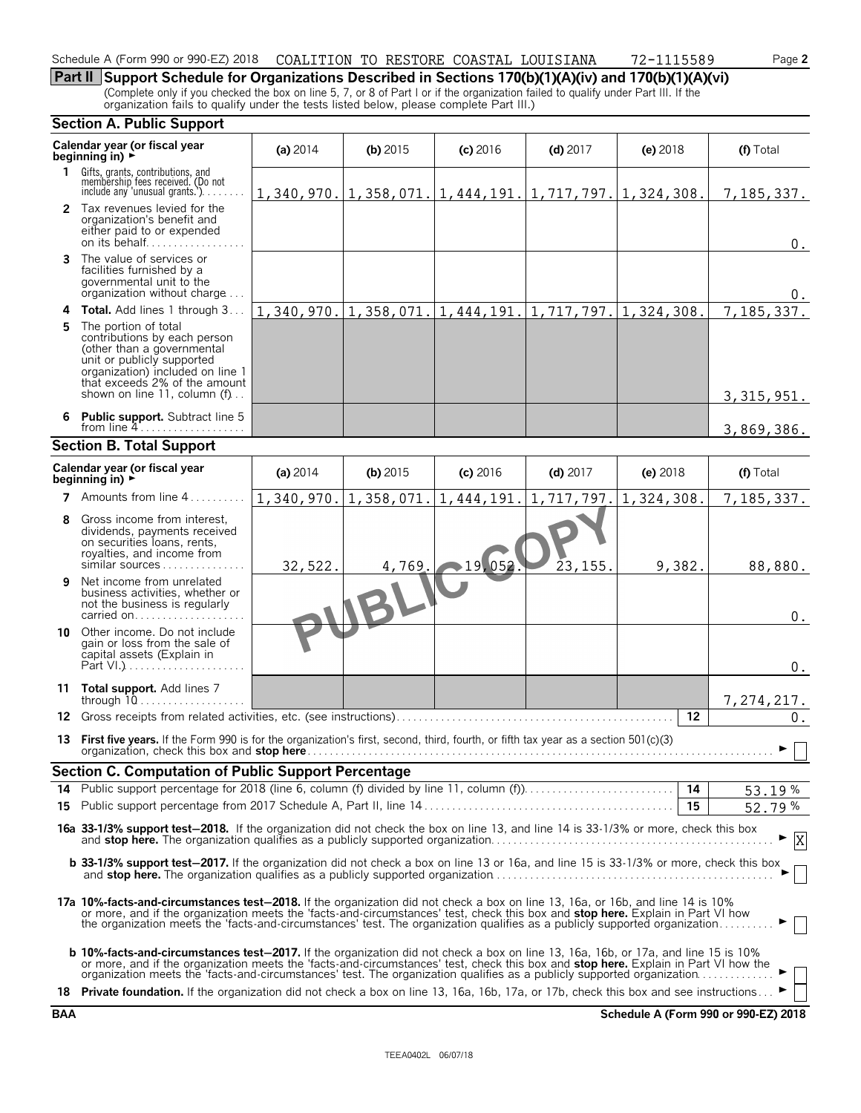#### Schedule A (Form 990 or 990-EZ) 2018 COALITION TO RESTORE COASTAL LOUISIANA 72-1115589 Page 2 COALITION TO RESTORE COASTAL LOUISIANA 72-1115589

**Part II Support Schedule for Organizations Described in Sections 170(b)(1)(A)(iv) and 170(b)(1)(A)(vi)** (Complete only if you checked the box on line 5, 7, or 8 of Part I or if the organization failed to qualify under Part III. If the organization fails to qualify under the tests listed below, please complete Part III.)

| <b>Section A. Public Support</b> |                                                                                                                                                                                                                                                                                                                                                                                                                          |                           |            |            |                                                                                |            |            |
|----------------------------------|--------------------------------------------------------------------------------------------------------------------------------------------------------------------------------------------------------------------------------------------------------------------------------------------------------------------------------------------------------------------------------------------------------------------------|---------------------------|------------|------------|--------------------------------------------------------------------------------|------------|------------|
|                                  | Calendar year (or fiscal year<br>beginning in) $\rightarrow$                                                                                                                                                                                                                                                                                                                                                             | (a) $2014$                | $(b)$ 2015 | $(c)$ 2016 | $(d)$ 2017                                                                     | $(e)$ 2018 | (f) Total  |
|                                  | 1 Gifts, grants, contributions, and<br>membership fees received. (Do not<br>include any 'unusual grants.').                                                                                                                                                                                                                                                                                                              |                           |            |            | $1, 340, 970.$ $ 1, 358, 071.$ $ 1, 444, 191.$ $ 1, 717, 797.$ $ 1, 324, 308.$ |            | 7,185,337. |
|                                  | 2 Tax revenues levied for the<br>organization's benefit and<br>either paid to or expended<br>on its behalf                                                                                                                                                                                                                                                                                                               |                           |            |            |                                                                                |            | 0.         |
| 3.                               | The value of services or<br>facilities furnished by a<br>governmental unit to the<br>organization without charge                                                                                                                                                                                                                                                                                                         |                           |            |            |                                                                                |            | 0.         |
|                                  | 4 Total. Add lines 1 through 3                                                                                                                                                                                                                                                                                                                                                                                           |                           |            |            | $1, 340, 970.$ $1, 358, 071.$ $1, 444, 191.$ $1, 717, 797.$ $1, 324, 308.$     |            | 7,185,337. |
| 5.                               | The portion of total<br>contributions by each person<br>(other than a governmental<br>unit or publicly supported<br>organization) included on line 1<br>that exceeds 2% of the amount<br>shown on line 11, column (f)                                                                                                                                                                                                    |                           |            |            |                                                                                |            | 3,315,951. |
| 6                                | <b>Public support.</b> Subtract line 5<br>from line $4$                                                                                                                                                                                                                                                                                                                                                                  |                           |            |            |                                                                                |            | 3,869,386. |
|                                  | <b>Section B. Total Support</b>                                                                                                                                                                                                                                                                                                                                                                                          |                           |            |            |                                                                                |            |            |
|                                  | Calendar year (or fiscal year<br>beginning in) $\rightarrow$                                                                                                                                                                                                                                                                                                                                                             | (a) 2014                  | $(b)$ 2015 | $(c)$ 2016 | $(d)$ 2017                                                                     | (e) 2018   | (f) Total  |
|                                  | <b>7</b> Amounts from line 4                                                                                                                                                                                                                                                                                                                                                                                             | $1,340,970.$ 1, 358, 071. |            | 1,444,191. | 1,717,797.                                                                     | 1,324,308. | 7,185,337. |
| 8                                | Gross income from interest.<br>dividends, payments received<br>on securities loans, rents,<br>royalties, and income from<br>similar sources                                                                                                                                                                                                                                                                              | 32,522.                   | 4,769.     | 219,052    | 23, 155.                                                                       | 9,382.     | 88,880.    |
| 9                                | Net income from unrelated<br>business activities, whether or<br>not the business is regularly<br>carried on                                                                                                                                                                                                                                                                                                              |                           |            |            |                                                                                |            | $0$ .      |
| 10                               | Other income. Do not include<br>gain or loss from the sale of<br>capital assets (Explain in                                                                                                                                                                                                                                                                                                                              |                           |            |            |                                                                                |            | $0$ .      |
|                                  | 11 Total support. Add lines 7<br>through $10$                                                                                                                                                                                                                                                                                                                                                                            |                           |            |            |                                                                                |            | 7,274,217. |
|                                  | 12 Gross receipts from related activities, etc. (see instructions)                                                                                                                                                                                                                                                                                                                                                       |                           |            |            |                                                                                | 12         | 0.         |
|                                  | 13 First five years. If the Form 990 is for the organization's first, second, third, fourth, or fifth tax year as a section 501(c)(3)                                                                                                                                                                                                                                                                                    |                           |            |            |                                                                                |            |            |
|                                  | Section C. Computation of Public Support Percentage                                                                                                                                                                                                                                                                                                                                                                      |                           |            |            |                                                                                |            |            |
| 14                               | Public support percentage for 2018 (line 6, column (f) divided by line 11, column (f)                                                                                                                                                                                                                                                                                                                                    |                           |            |            |                                                                                | 14         | 53.19%     |
|                                  |                                                                                                                                                                                                                                                                                                                                                                                                                          |                           |            |            |                                                                                | 15         | 52.79%     |
|                                  | 16a 33-1/3% support test-2018. If the organization did not check the box on line 13, and line 14 is 33-1/3% or more, check this box                                                                                                                                                                                                                                                                                      |                           |            |            |                                                                                |            | X          |
|                                  | <b>b</b> 33-1/3% support test-2017. If the organization did not check a box on line 13 or 16a, and line 15 is 33-1/3% or more, check this box                                                                                                                                                                                                                                                                            |                           |            |            |                                                                                |            |            |
|                                  | 17a 10%-facts-and-circumstances test-2018. If the organization did not check a box on line 13, 16a, or 16b, and line 14 is 10%<br>or more, and if the organization meets the 'facts-and-circumstances' test, check this box and stop here. Explain in Part VI how                                                                                                                                                        |                           |            |            |                                                                                |            |            |
|                                  | <b>b 10%-facts-and-circumstances test-2017.</b> If the organization did not check a box on line 13, 16a, 16b, or 17a, and line 15 is 10%<br>or more, and if the organization meets the 'facts-and-circumstances' test, check this box and stop here. Explain in Part VI how the<br>18 Private foundation. If the organization did not check a box on line 13, 16a, 16b, 17a, or 17b, check this box and see instructions |                           |            |            |                                                                                |            |            |
|                                  |                                                                                                                                                                                                                                                                                                                                                                                                                          |                           |            |            |                                                                                |            |            |

| or 990-EZ) 2018 COALITION TO RESTORE COASTAL LOUISIANA |  |  |  |  |  | $72 - 11$ |
|--------------------------------------------------------|--|--|--|--|--|-----------|
|--------------------------------------------------------|--|--|--|--|--|-----------|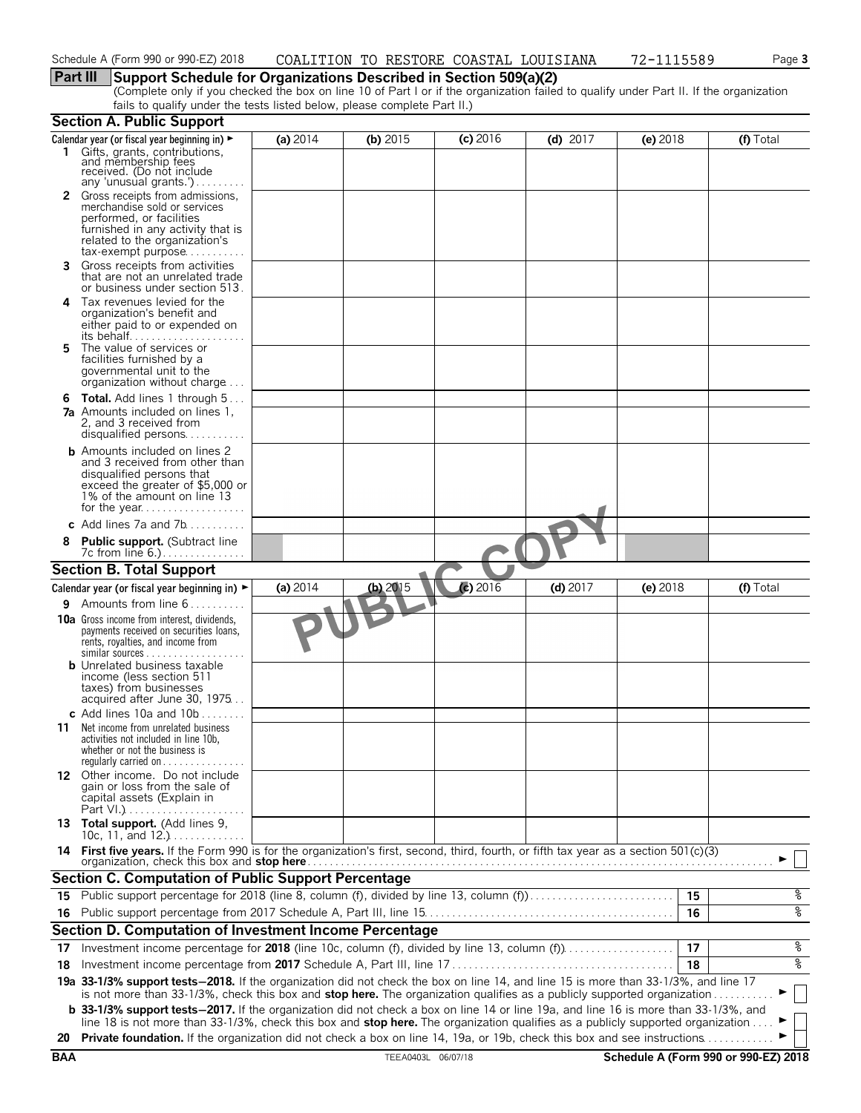## **Part III Support Schedule for Organizations Described in Section 509(a)(2)**

(Complete only if you checked the box on line 10 of Part I or if the organization failed to qualify under Part II. If the organization fails to qualify under the tests listed below, please complete Part II.)

|            | <b>Section A. Public Support</b>                                                                                                                                                                                                                               |          |                    |            |            |          |                                      |
|------------|----------------------------------------------------------------------------------------------------------------------------------------------------------------------------------------------------------------------------------------------------------------|----------|--------------------|------------|------------|----------|--------------------------------------|
|            | Calendar year (or fiscal year beginning in) ►                                                                                                                                                                                                                  | (a) 2014 | (b) $2015$         | $(c)$ 2016 | (d) $2017$ | (e) 2018 | (f) Total                            |
|            | 1 Gifts, grants, contributions,<br>and membership fees<br>received. (Do not include<br>any 'unusual grants.')                                                                                                                                                  |          |                    |            |            |          |                                      |
|            | 2 Gross receipts from admissions,<br>merchandise sold or services<br>performed, or facilities<br>furnished in any activity that is<br>related to the organization's<br>tax-exempt purpose                                                                      |          |                    |            |            |          |                                      |
| 3          | Gross receipts from activities<br>that are not an unrelated trade<br>or business under section 513.                                                                                                                                                            |          |                    |            |            |          |                                      |
| 4          | Tax revenues levied for the<br>organization's benefit and<br>either paid to or expended on                                                                                                                                                                     |          |                    |            |            |          |                                      |
| 5          | The value of services or<br>facilities furnished by a<br>governmental unit to the<br>organization without charge                                                                                                                                               |          |                    |            |            |          |                                      |
|            | <b>6 Total.</b> Add lines 1 through 5<br><b>7a</b> Amounts included on lines 1.<br>2. and 3 received from<br>disqualified persons                                                                                                                              |          |                    |            |            |          |                                      |
|            | <b>b</b> Amounts included on lines 2<br>and 3 received from other than<br>disqualified persons that<br>exceed the greater of \$5,000 or<br>1% of the amount on line 13<br>for the year                                                                         |          |                    |            |            |          |                                      |
|            | c Add lines $7a$ and $7b$                                                                                                                                                                                                                                      |          |                    |            |            |          |                                      |
|            | <b>Public support.</b> (Subtract line<br>7c from line 6.)                                                                                                                                                                                                      |          |                    |            |            |          |                                      |
|            | <b>Section B. Total Support</b>                                                                                                                                                                                                                                |          |                    |            |            |          |                                      |
|            | Calendar year (or fiscal year beginning in) $\blacktriangleright$                                                                                                                                                                                              | (a) 2014 | (b) 2015           | (c) $2016$ | $(d)$ 2017 | (e) 2018 | (f) Total                            |
|            | 9 Amounts from line 6                                                                                                                                                                                                                                          |          |                    |            |            |          |                                      |
|            | <b>10a</b> Gross income from interest, dividends,<br>payments received on securities loans,<br>rents, royalties, and income from<br>$similar$ sources                                                                                                          |          |                    |            |            |          |                                      |
|            | <b>b</b> Unrelated business taxable<br>income (less section 511<br>taxes) from businesses<br>acquired after June 30, 1975                                                                                                                                      |          |                    |            |            |          |                                      |
| 11         | c Add lines 10a and $10b$<br>Net income from unrelated business<br>activities not included in line 10b,<br>whether or not the business is<br>regularly carried on $\dots\dots$                                                                                 |          |                    |            |            |          |                                      |
|            | 12 Other income. Do not include<br>gain or loss from the sale of<br>capital assets (Explain in                                                                                                                                                                 |          |                    |            |            |          |                                      |
|            | 13 Total support. (Add lines 9,<br>10c, 11, and $12.$ )                                                                                                                                                                                                        |          |                    |            |            |          |                                      |
|            | 14 First five years. If the Form 990 is for the organization's first, second, third, fourth, or fifth tax year as a section 501(c)(3)<br>organization, check this box and stop here.                                                                           |          |                    |            |            |          |                                      |
|            | <b>Section C. Computation of Public Support Percentage</b>                                                                                                                                                                                                     |          |                    |            |            |          |                                      |
| 15         | Public support percentage for 2018 (line 8, column (f), divided by line 13, column (f)                                                                                                                                                                         |          |                    |            |            | 15       | န့                                   |
| 16         |                                                                                                                                                                                                                                                                |          |                    |            |            | 16       | ०७                                   |
|            | Section D. Computation of Investment Income Percentage                                                                                                                                                                                                         |          |                    |            |            |          |                                      |
| 17         | Investment income percentage for 2018 (line 10c, column (f), divided by line 13, column (f)                                                                                                                                                                    |          |                    |            |            | 17       | %                                    |
| 18         |                                                                                                                                                                                                                                                                |          |                    |            |            | 18       | ०७                                   |
|            | 19a 33-1/3% support tests-2018. If the organization did not check the box on line 14, and line 15 is more than 33-1/3%, and line 17<br>is not more than 33-1/3%, check this box and stop here. The organization qualifies as a publicly supported organization |          |                    |            |            |          | ▶                                    |
|            | <b>b</b> 33-1/3% support tests-2017. If the organization did not check a box on line 14 or line 19a, and line 16 is more than 33-1/3%, and                                                                                                                     |          |                    |            |            |          |                                      |
| 20         | line 18 is not more than 33-1/3%, check this box and stop here. The organization qualifies as a publicly supported organization<br>Private foundation. If the organization did not check a box on line 14, 19a, or 19b, check this box and see instructions.   |          |                    |            |            |          |                                      |
| <b>BAA</b> |                                                                                                                                                                                                                                                                |          | TEEA0403L 06/07/18 |            |            |          | Schedule A (Form 990 or 990-EZ) 2018 |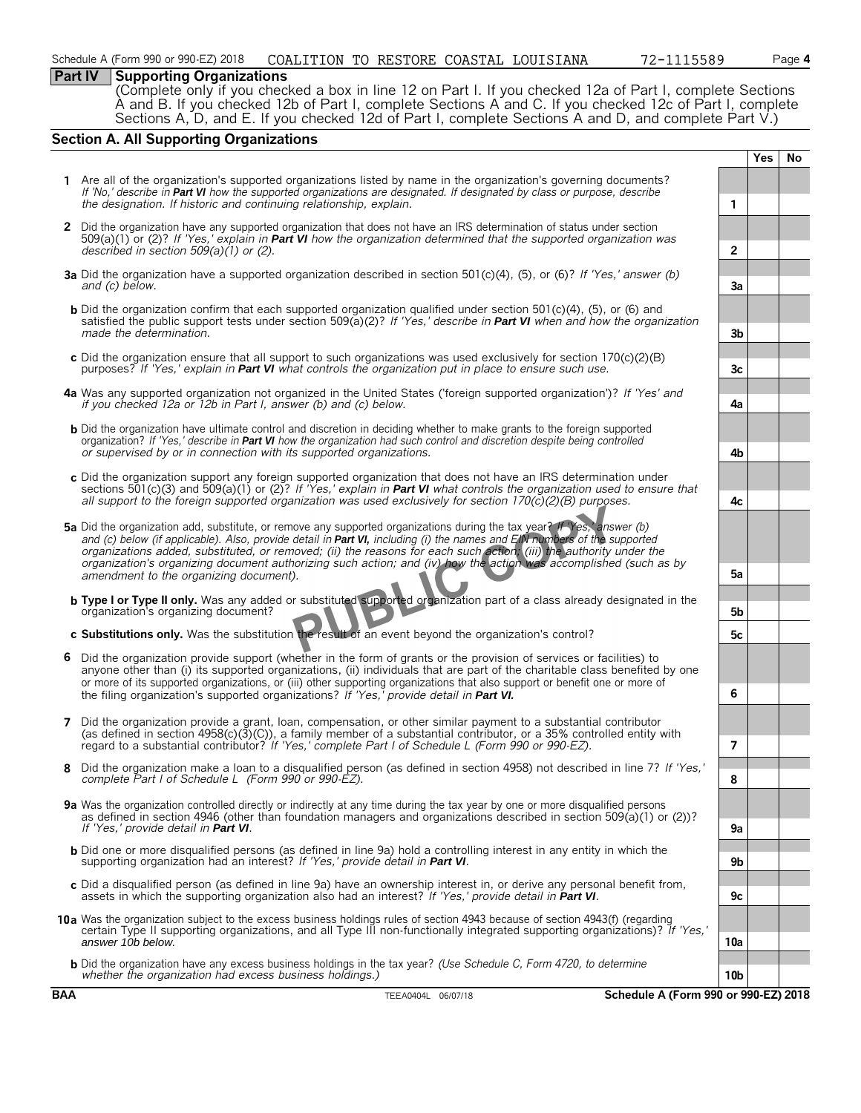#### **Part IV Supporting Organizations**

(Complete only if you checked a box in line 12 on Part I. If you checked 12a of Part I, complete Sections A and B. If you checked 12b of Part I, complete Sections A and C. If you checked 12c of Part I, complete Sections A, D, and E. If you checked 12d of Part I, complete Sections A and D, and complete Part V.)

#### **Section A. All Supporting Organizations**

**Yes No 1** Are all of the organization's supported organizations listed by name in the organization's governing documents? *If 'No,' describe in Part VI how the supported organizations are designated. If designated by class or purpose, describe the designation. If historic and continuing relationship, explain.* **1 2** Did the organization have any supported organization that does not have an IRS determination of status under section 509(a)(1) or (2)? *If 'Yes,' explain in Part VI how the organization determined that the supported organization was described in section 509(a)(1) or (2).* **2 3a** Did the organization have a supported organization described in section 501(c)(4), (5), or (6)? *If 'Yes,' answer (b) and (c) below.* **3a b** Did the organization confirm that each supported organization qualified under section 501(c)(4), (5), or (6) and satisfied the public support tests under section 509(a)(2)? *If 'Yes,' describe in Part VI when and how the organization made the determination.* **3b c** Did the organization ensure that all support to such organizations was used exclusively for section 170(c)(2)(B) purposes? *If 'Yes,' explain in Part VI what controls the organization put in place to ensure such use.* **3c 4a** Was any supported organization not organized in the United States ('foreign supported organization')? *If 'Yes' and if you checked 12a or 12b in Part I, answer (b) and (c) below.* **4a b** Did the organization have ultimate control and discretion in deciding whether to make grants to the foreign supported organization? *If 'Yes,' describe in Part VI how the organization had such control and discretion despite being controlled or supervised by or in connection with its supported organizations.* **4b c** Did the organization support any foreign supported organization that does not have an IRS determination under sections 501(c)(3) and 509(a)(1) or (2)? *If 'Yes,' explain in Part VI what controls the organization used to ensure that all support to the foreign supported organization was used exclusively for section 170(c)(2)(B) purposes.* **4c 5a** Did the organization add, substitute, or remove any supported organizations during the tax year? *If 'Yes,' answer (b) and (c) below (if applicable). Also, provide detail in Part VI, including (i) the names and EIN numbers of the supported organizations added, substituted, or removed; (ii) the reasons for each such action; (iii) the authority under the organization's organizing document authorizing such action; and (iv) how the action was accomplished (such as by amendment to the organizing document).* **5a b Type I or Type II only.** Was any added or substituted supported organization part of a class already designated in the organization's organizing document? **5b c Substitutions only.** Was the substitution the result of an event beyond the organization's control? **5c 6** Did the organization provide support (whether in the form of grants or the provision of services or facilities) to anyone other than (i) its supported organizations, (ii) individuals that are part of the charitable class benefited by one or more of its supported organizations, or (iii) other supporting organizations that also support or benefit one or more of the filing organization's supported organizations? *If 'Yes,' provide detail in Part VI.* **6 7** Did the organization provide a grant, loan, compensation, or other similar payment to a substantial contributor (as defined in section 4958(c)(3)(C)), a family member of a substantial contributor, or a 35% controlled entity with regard to a substantial contributor? *If 'Yes,' complete Part I of Schedule L (Form 990 or 990-EZ).* **7 8** Did the organization make a loan to a disqualified person (as defined in section 4958) not described in line 7? *If 'Yes,' complete Part I of Schedule L (Form 990 or 990-EZ).* **8 9a** Was the organization controlled directly or indirectly at any time during the tax year by one or more disqualified persons as defined in section 4946 (other than foundation managers and organizations described in section 509(a)(1) or (2))? *If 'Yes,' provide detail in Part VI*. b Did one or more disqualified persons (as defined in line 9a) hold a controlling interest in any entity in which the<br>supporting organization had an interest? If 'Yes,' provide detail in Part VI. **c** Did a disqualified person (as defined in line 9a) have an ownership interest in, or derive any personal benefit from, assets in which the supporting organization also had an interest? *If 'Yes,' provide detail in Part VI*. **9c 10a** Was the organization subject to the excess business holdings rules of section 4943 because of section 4943(f) (regarding certain Type II supporting organizations, and all Type III non-functionally integrated supporting organizations)? *If 'Yes,' answer 10b below.* **10a b** Did the organization have any excess business holdings in the tax year? *(Use Schedule C, Form 4720, to determine whether the organization had excess business holdings.)* **10b**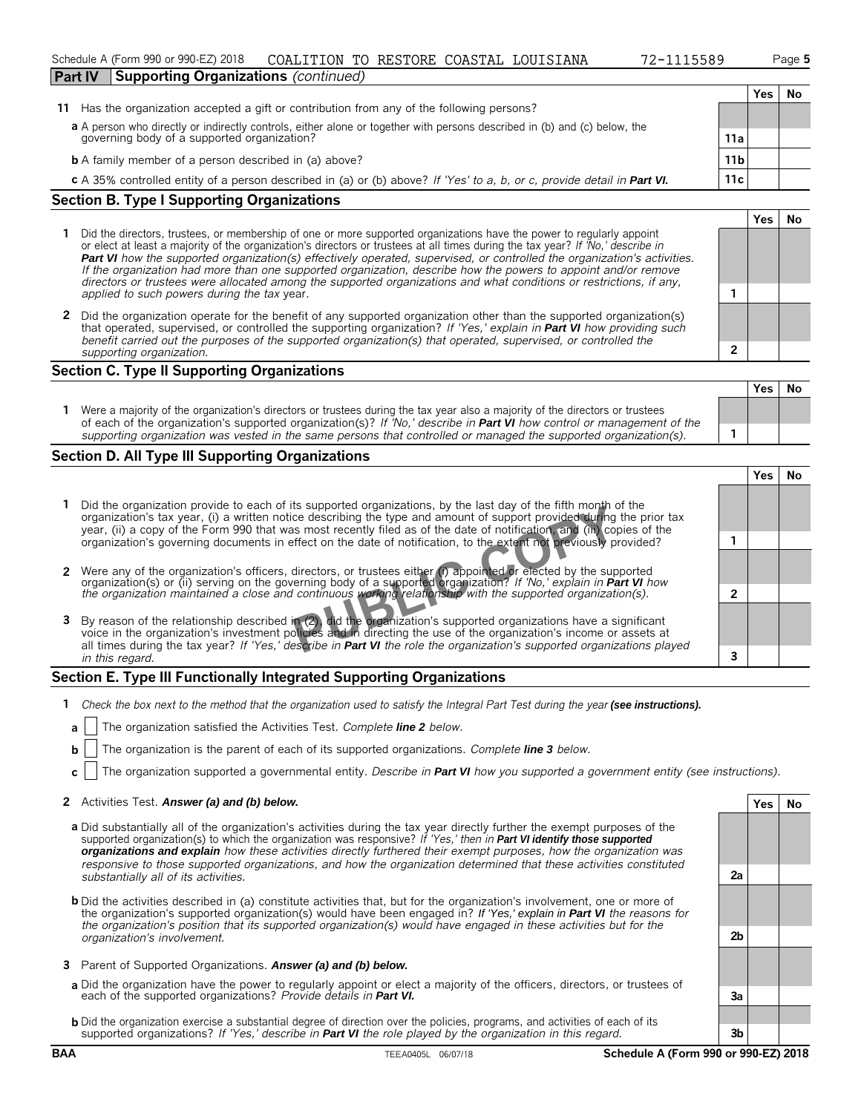Schedule A (Form 990 or 990-EZ) 2018 COALITION TO RESTORE COASTAL LOUISIANA 12-1115589 Page **5** 

#### **Section B. Type I Supporting Organizations**

- **1** Did the directors, trustees, or membership of one or more supported organizations have the power to regularly appoint or elect at least a majority of the organization's directors or trustees at all times during the tax year? *If 'No,' describe in Part VI how the supported organization(s) effectively operated, supervised, or controlled the organization's activities. If the organization had more than one supported organization, describe how the powers to appoint and/or remove directors or trustees were allocated among the supported organizations and what conditions or restrictions, if any, applied to such powers during the tax* year. **1**
- **2** Did the organization operate for the benefit of any supported organization other than the supported organization(s) that operated, supervised, or controlled the supporting organization? *If 'Yes,' explain in Part VI how providing such benefit carried out the purposes of the supported organization(s) that operated, supervised, or controlled the supporting organization.* **2**

#### **Section C. Type II Supporting Organizations**

|                                                                                                                                                                                                                                                               | 152 I NO |  |
|---------------------------------------------------------------------------------------------------------------------------------------------------------------------------------------------------------------------------------------------------------------|----------|--|
| Were a majority of the organization's directors or trustees during the tax year also a majority of the directors or trustees<br>of each of the organization's supported organization(s)? If 'No,' describe in <b>Part VI</b> how control or management of the |          |  |
| supporting organization was vested in the same persons that controlled or managed the supported organization(s).                                                                                                                                              |          |  |

#### **Section D. All Type III Supporting Organizations**

|                                                                                                                                                                                                                                                                                                                                                                   | res |  |
|-------------------------------------------------------------------------------------------------------------------------------------------------------------------------------------------------------------------------------------------------------------------------------------------------------------------------------------------------------------------|-----|--|
| Did the organization provide to each of its supported organizations, by the last day of the fifth month of the<br>organization's tax year, (i) a written notice describing the type and amount of support provided during the prior tax<br>year, (ii) a copy of the Form 990 that was most recently filed as of the date of notification, and (iii) copies of the |     |  |
| organization's governing documents in effect on the date of notification, to the extent not previously provided?                                                                                                                                                                                                                                                  |     |  |
| 2 Were any of the organization's officers, directors, or trustees either (i) appointed or elected by the supported<br>organization(s) or (ii) serving on the governing body of a supported organization? If 'No,' explain in Part VI how                                                                                                                          |     |  |
| the organization maintained a close and continuous working relationship with the supported organization(s).                                                                                                                                                                                                                                                       |     |  |
| 3 By reason of the relationship described in (2), did the organization's supported organizations have a significant<br>voice in the organization's investment policies and in directing the use of the organization's income or assets at                                                                                                                         |     |  |
| all times during the tax year? If 'Yes,' describe in <b>Part VI</b> the role the organization's supported organizations played<br>in this regard.                                                                                                                                                                                                                 |     |  |

## **Section E. Type III Functionally Integrated Supporting Organizations**

- **1** *Check the box next to the method that the organization used to satisfy the Integral Part Test during the year (see instructions).*
- **a** The organization satisfied the Activities Test. *Complete line 2 below.*
- **b** The organization is the parent of each of its supported organizations. *Complete line 3 below.*
- **c** The organization supported a governmental entity. *Describe in Part VI how you supported a government entity (see instructions).*

#### **2** Activities Test. *Answer (a) and (b) below.* **Yes No**

- **a** Did substantially all of the organization's activities during the tax year directly further the exempt purposes of the supported organization(s) to which the organization was responsive? *If 'Yes,' then in Part VI identify those supported organizations and explain how these activities directly furthered their exempt purposes, how the organization was responsive to those supported organizations, and how the organization determined that these activities constituted substantially all of its activities.* **2a**
- **b** Did the activities described in (a) constitute activities that, but for the organization's involvement, one or more of the organization's supported organization(s) would have been engaged in? *If 'Yes,' explain in Part VI the reasons for the organization's position that its supported organization(s) would have engaged in these activities but for the organization's involvement.* **2b**
- **3** Parent of Supported Organizations. *Answer (a) and (b) below.*
- **a** Did the organization have the power to regularly appoint or elect a majority of the officers, directors, or trustees of each of the supported organizations? *Provide details in Part VI.* **3a**
- **b** Did the organization exercise a substantial degree of direction over the policies, programs, and activities of each of its supported organizations? *If 'Yes,' describe in Part VI the role played by the organization in this regard.* **3b**

**Yes No**

**Yes No**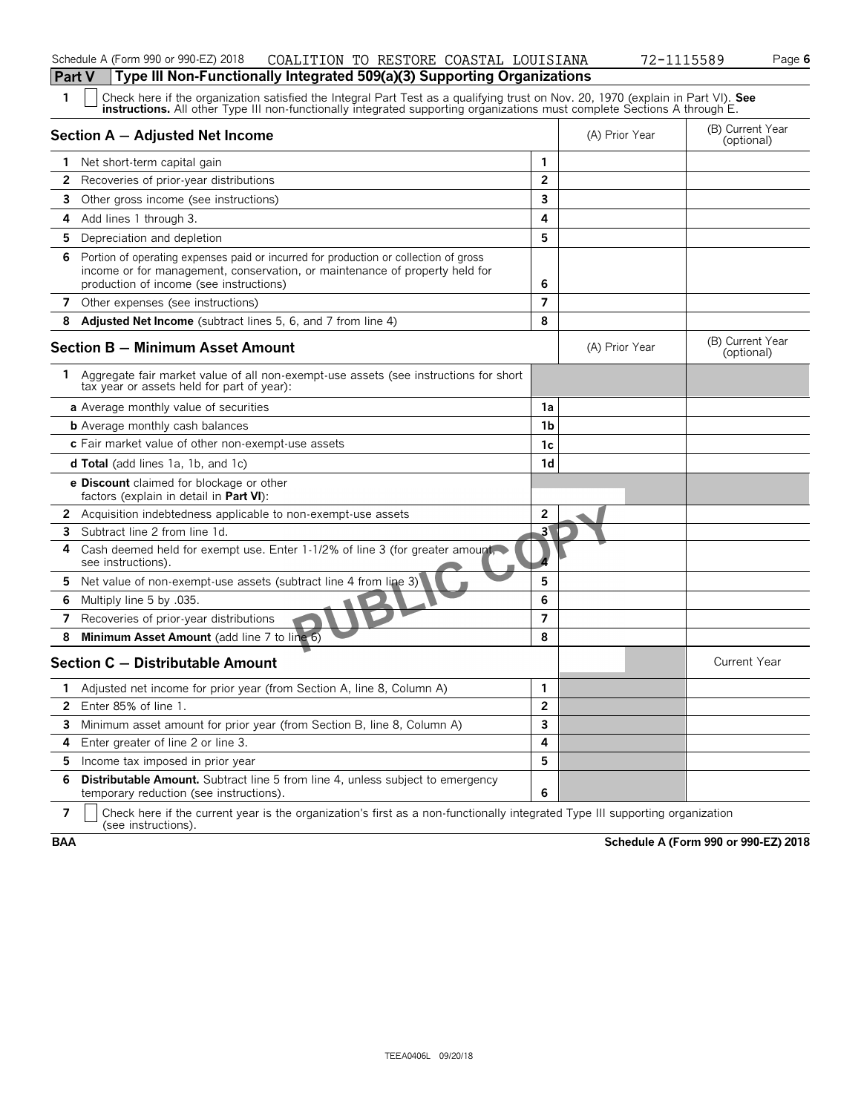| Schedule A (Form 990 or 990-EZ) 2018                                                  |  | COALITION TO RESTORE COASTAL LOUISIANA | 72-1115589 | Page 6 |
|---------------------------------------------------------------------------------------|--|----------------------------------------|------------|--------|
| <b>Part V</b> Type III Non-Functionally Integrated 509(a)(3) Supporting Organizations |  |                                        |            |        |

| 1            | Check here if the organization satisfied the Integral Part Test as a qualifying trust on Nov. 20, 1970 (explain in Part VI). See<br><b>instructions.</b> All other Type III non-functionally integrated supporting organizations must complete Sections A through E. |                |                |                                |
|--------------|----------------------------------------------------------------------------------------------------------------------------------------------------------------------------------------------------------------------------------------------------------------------|----------------|----------------|--------------------------------|
|              | Section A - Adjusted Net Income                                                                                                                                                                                                                                      |                | (A) Prior Year | (B) Current Year<br>(optional) |
|              | 1 Net short-term capital gain                                                                                                                                                                                                                                        | $\mathbf{1}$   |                |                                |
| $\mathbf{2}$ | Recoveries of prior-year distributions                                                                                                                                                                                                                               | $\overline{2}$ |                |                                |
| 3            | Other gross income (see instructions)                                                                                                                                                                                                                                | 3              |                |                                |
|              | 4 Add lines 1 through 3.                                                                                                                                                                                                                                             | 4              |                |                                |
|              | <b>5</b> Depreciation and depletion                                                                                                                                                                                                                                  | 5              |                |                                |
| 6            | Portion of operating expenses paid or incurred for production or collection of gross<br>income or for management, conservation, or maintenance of property held for<br>production of income (see instructions)                                                       | 6              |                |                                |
|              | 7 Other expenses (see instructions)                                                                                                                                                                                                                                  | $\overline{7}$ |                |                                |
| 8            | <b>Adjusted Net Income</b> (subtract lines 5, 6, and 7 from line 4)                                                                                                                                                                                                  | 8              |                |                                |
|              | Section B – Minimum Asset Amount                                                                                                                                                                                                                                     |                | (A) Prior Year | (B) Current Year<br>(optional) |
| 1.           | Aggregate fair market value of all non-exempt-use assets (see instructions for short<br>tax year or assets held for part of year):                                                                                                                                   |                |                |                                |
|              | a Average monthly value of securities                                                                                                                                                                                                                                | 1a             |                |                                |
|              | <b>b</b> Average monthly cash balances                                                                                                                                                                                                                               | 1 <sub>b</sub> |                |                                |
|              | c Fair market value of other non-exempt-use assets                                                                                                                                                                                                                   | 1c             |                |                                |
|              | <b>d Total</b> (add lines 1a, 1b, and 1c)                                                                                                                                                                                                                            | 1d             |                |                                |
|              | <b>e Discount</b> claimed for blockage or other<br>factors (explain in detail in <b>Part VI</b> ):                                                                                                                                                                   |                |                |                                |
| $\mathbf{2}$ | Acquisition indebtedness applicable to non-exempt-use assets                                                                                                                                                                                                         | $\overline{2}$ |                |                                |
| 3            | Subtract line 2 from line 1d.                                                                                                                                                                                                                                        | 3'             |                |                                |
| 4            | Cash deemed held for exempt use. Enter 1-1/2% of line 3 (for greater amount.<br>see instructions).                                                                                                                                                                   |                |                |                                |
| 5.           | Net value of non-exempt-use assets (subtract line 4 from line 3)                                                                                                                                                                                                     | 5              |                |                                |
| 6            | Multiply line 5 by .035.                                                                                                                                                                                                                                             | 6              |                |                                |
| 7            | Recoveries of prior-year distributions                                                                                                                                                                                                                               | $\overline{7}$ |                |                                |
| 8            | Minimum Asset Amount (add line 7 to line 6)                                                                                                                                                                                                                          | 8              |                |                                |
|              | Section C - Distributable Amount                                                                                                                                                                                                                                     |                |                | <b>Current Year</b>            |
| 1.           | Adjusted net income for prior year (from Section A, line 8, Column A)                                                                                                                                                                                                | $\mathbf{1}$   |                |                                |
| $\mathbf{2}$ | Enter 85% of line 1.                                                                                                                                                                                                                                                 | $\overline{2}$ |                |                                |
| 3            | Minimum asset amount for prior year (from Section B, line 8, Column A)                                                                                                                                                                                               | 3              |                |                                |
| 4            | Enter greater of line 2 or line 3.                                                                                                                                                                                                                                   | 4              |                |                                |
| 5.           | Income tax imposed in prior year                                                                                                                                                                                                                                     | 5              |                |                                |
| 6            | <b>Distributable Amount.</b> Subtract line 5 from line 4, unless subject to emergency<br>temporary reduction (see instructions).                                                                                                                                     | 6              |                |                                |

**7**  $\mid$  Check here if the current year is the organization's first as a non-functionally integrated Type III supporting organization (see instructions).

**BAA Schedule A (Form 990 or 990-EZ) 2018**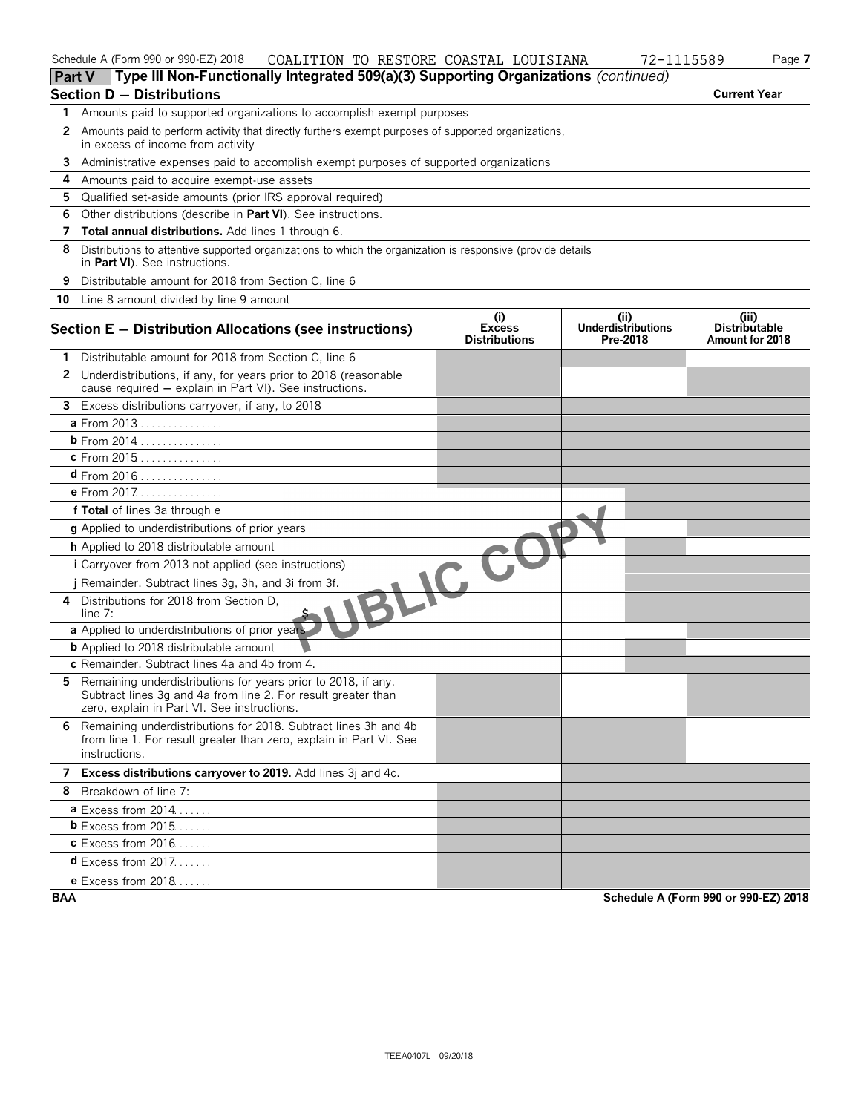#### Schedule A (Form 990 or 990-EZ) 2018 Page **7** Page **7** Page **7** Page **7** Page **7**

| 5589<br>Pag |  |
|-------------|--|
|-------------|--|

| <b>Part V</b> | Type III Non-Functionally Integrated 509(a)(3) Supporting Organizations (continued)                                                                                           |                                              |                                        |                                                  |
|---------------|-------------------------------------------------------------------------------------------------------------------------------------------------------------------------------|----------------------------------------------|----------------------------------------|--------------------------------------------------|
|               | <b>Section D - Distributions</b>                                                                                                                                              |                                              |                                        | <b>Current Year</b>                              |
| 1.            | Amounts paid to supported organizations to accomplish exempt purposes                                                                                                         |                                              |                                        |                                                  |
| 2             | Amounts paid to perform activity that directly furthers exempt purposes of supported organizations,<br>in excess of income from activity                                      |                                              |                                        |                                                  |
| 3             | Administrative expenses paid to accomplish exempt purposes of supported organizations                                                                                         |                                              |                                        |                                                  |
| 4             | Amounts paid to acquire exempt-use assets                                                                                                                                     |                                              |                                        |                                                  |
| 5             | Qualified set-aside amounts (prior IRS approval required)                                                                                                                     |                                              |                                        |                                                  |
| 6             | Other distributions (describe in Part VI). See instructions.                                                                                                                  |                                              |                                        |                                                  |
| 7             | Total annual distributions. Add lines 1 through 6.                                                                                                                            |                                              |                                        |                                                  |
| 8             | Distributions to attentive supported organizations to which the organization is responsive (provide details<br>in Part VI). See instructions.                                 |                                              |                                        |                                                  |
| 9             | Distributable amount for 2018 from Section C, line 6                                                                                                                          |                                              |                                        |                                                  |
|               | 10 Line 8 amount divided by line 9 amount                                                                                                                                     |                                              |                                        |                                                  |
|               | Section E - Distribution Allocations (see instructions)                                                                                                                       | (i)<br><b>Excess</b><br><b>Distributions</b> | (ii)<br>Underdistributions<br>Pre-2018 | (iii)<br><b>Distributable</b><br>Amount for 2018 |
|               | Distributable amount for 2018 from Section C, line 6                                                                                                                          |                                              |                                        |                                                  |
|               | 2 Underdistributions, if any, for years prior to 2018 (reasonable<br>cause required - explain in Part VI). See instructions.                                                  |                                              |                                        |                                                  |
|               | 3 Excess distributions carryover, if any, to 2018                                                                                                                             |                                              |                                        |                                                  |
|               | a From 2013                                                                                                                                                                   |                                              |                                        |                                                  |
|               | <b>b</b> From 2014                                                                                                                                                            |                                              |                                        |                                                  |
|               | c From 2015                                                                                                                                                                   |                                              |                                        |                                                  |
|               | $d$ From 2016                                                                                                                                                                 |                                              |                                        |                                                  |
|               | e From 2017                                                                                                                                                                   |                                              |                                        |                                                  |
|               | f Total of lines 3a through e                                                                                                                                                 |                                              |                                        |                                                  |
|               | g Applied to underdistributions of prior years                                                                                                                                |                                              |                                        |                                                  |
|               | h Applied to 2018 distributable amount                                                                                                                                        |                                              |                                        |                                                  |
|               | i Carryover from 2013 not applied (see instructions)                                                                                                                          |                                              |                                        |                                                  |
|               | j Remainder. Subtract lines 3g, 3h, and 3i from 3f.                                                                                                                           |                                              |                                        |                                                  |
| 4             | Distributions for 2018 from Section D,<br>line 7:                                                                                                                             |                                              |                                        |                                                  |
|               | a Applied to underdistributions of prior years                                                                                                                                |                                              |                                        |                                                  |
|               | <b>b</b> Applied to 2018 distributable amount                                                                                                                                 |                                              |                                        |                                                  |
|               | c Remainder. Subtract lines 4a and 4b from 4.                                                                                                                                 |                                              |                                        |                                                  |
| 5.            | Remaining underdistributions for years prior to 2018, if any.<br>Subtract lines 3g and 4a from line 2. For result greater than<br>zero, explain in Part VI. See instructions. |                                              |                                        |                                                  |
|               | 6 Remaining underdistributions for 2018. Subtract lines 3h and 4b<br>from line 1. For result greater than zero, explain in Part VI. See<br>instructions.                      |                                              |                                        |                                                  |
|               | 7 Excess distributions carryover to 2019. Add lines 3j and 4c.                                                                                                                |                                              |                                        |                                                  |
|               | 8 Breakdown of line 7:                                                                                                                                                        |                                              |                                        |                                                  |
|               | $a$ Excess from 2014.                                                                                                                                                         |                                              |                                        |                                                  |
|               | $b$ Excess from 2015                                                                                                                                                          |                                              |                                        |                                                  |
|               | <b>c</b> Excess from 2016                                                                                                                                                     |                                              |                                        |                                                  |
|               | <b>d</b> Excess from 2017                                                                                                                                                     |                                              |                                        |                                                  |
|               | e Excess from $2018$                                                                                                                                                          |                                              |                                        |                                                  |

**BAA Schedule A (Form 990 or 990-EZ) 2018**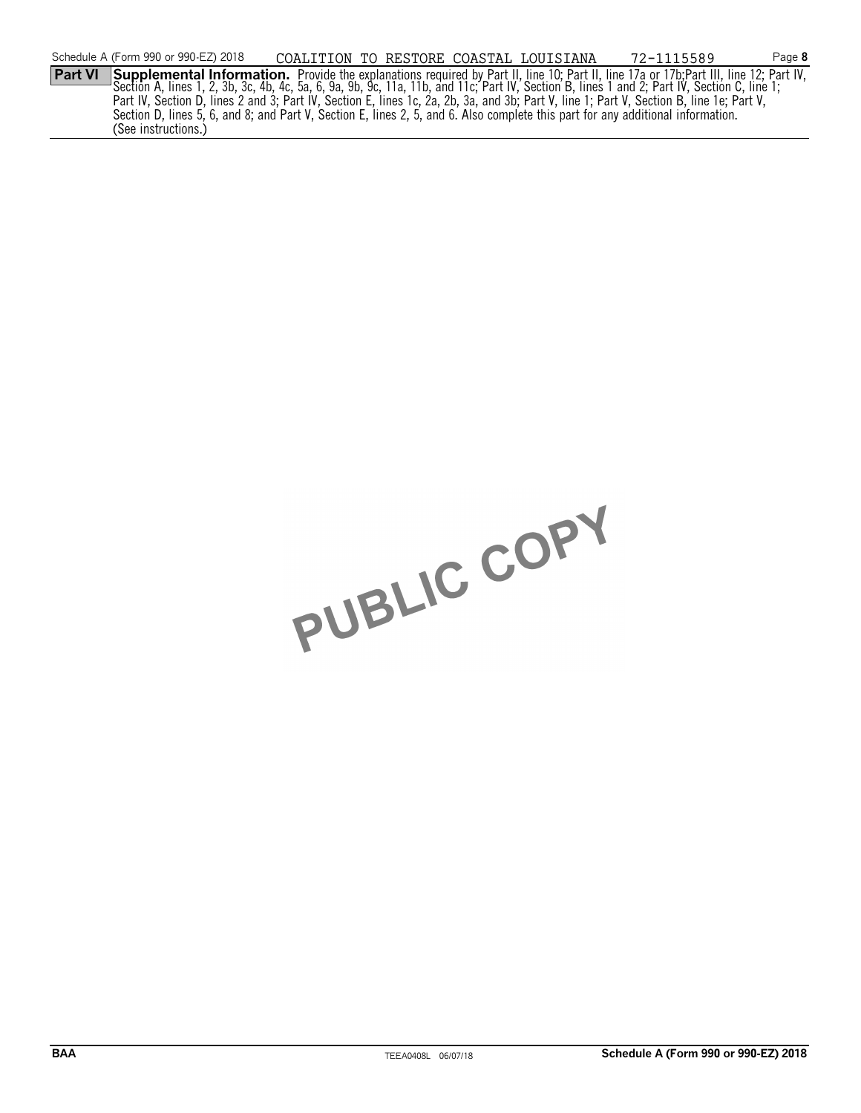|                | Schedule A (Form 990 or 990-EZ) 2018                                                                                                                                                                                             | COALITION TO RESTORE COASTAL LOUISIANA |  | 72-1115589 | Page 8 |
|----------------|----------------------------------------------------------------------------------------------------------------------------------------------------------------------------------------------------------------------------------|----------------------------------------|--|------------|--------|
| <b>Part VI</b> | Supplemental Information. Provide the explanations required by Part II, line 10; Part II, line 17a or 17b;Part III, line 12; Part IV,<br>— Section A, lines 1, 2, 3b, 3c, 4b, 4c, 5a, 6, 9a, 9b, 9c, 11a, 11b, and 11c; Part IV, |                                        |  |            |        |
|                |                                                                                                                                                                                                                                  |                                        |  |            |        |
|                | Part IV, Section D, lines 2 and 3; Part IV, Section E, lines 1c, 2a, 2b, 3a, and 3b; Part V, line 1; Part V, Section B, line 1e; Part V,                                                                                         |                                        |  |            |        |
|                | Section D, lines 5, 6, and 8; and Part V, Section E, lines 2, 5, and 6. Also complete this part for any additional information.                                                                                                  |                                        |  |            |        |
|                | (See instructions.)                                                                                                                                                                                                              |                                        |  |            |        |

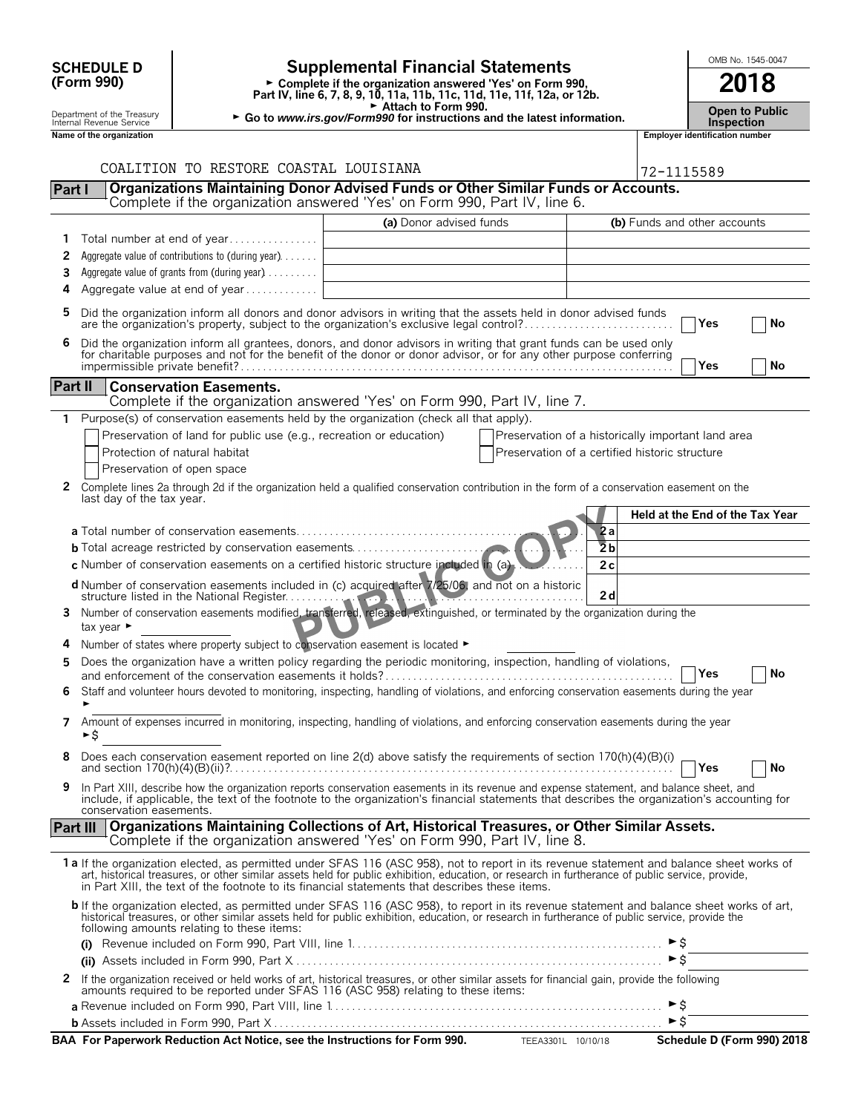| 2018<br>(Form 990)<br>► Complete if the organization answered 'Yes' on Form 990,<br>Part IV, line 6, 7, 8, 9, 10, 11a, 11b, 11c, 11d, 11e, 11f, 12a, or 12b.<br>Attach to Form 990.<br><b>Open to Public</b><br>Department of the Treasury<br>► Go to www.irs.gov/Form990 for instructions and the latest information.<br>Internal Revenue Service<br><b>Inspection</b><br><b>Employer identification number</b><br>Name of the organization<br>COALITION TO RESTORE COASTAL LOUISIANA<br>72-1115589<br>Organizations Maintaining Donor Advised Funds or Other Similar Funds or Accounts.<br>Part I<br>Complete if the organization answered 'Yes' on Form 990, Part IV, line 6.<br>(a) Donor advised funds<br>(b) Funds and other accounts<br>Total number at end of year<br>1<br>Aggregate value of contributions to (during year)<br>2<br>Aggregate value of grants from (during year)<br>3<br>Aggregate value at end of year<br>4<br>5<br>Did the organization inform all donors and donor advisors in writing that the assets held in donor advised funds<br>are the organization's property, subject to the organization's exclusive legal control?<br>Yes<br>No<br>Did the organization inform all grantees, donors, and donor advisors in writing that grant funds can be used only for charitable purposes and not for the benefit of the donor or donor advisor, or for any other purpose conf<br>6<br>Yes<br>No<br><b>Part II</b><br><b>Conservation Easements.</b><br>Complete if the organization answered 'Yes' on Form 990, Part IV, line 7.<br>Purpose(s) of conservation easements held by the organization (check all that apply).<br>1<br>Preservation of land for public use (e.g., recreation or education)<br>Preservation of a historically important land area<br>Protection of natural habitat<br>Preservation of a certified historic structure<br>Preservation of open space<br>Complete lines 2a through 2d if the organization held a qualified conservation contribution in the form of a conservation easement on the<br>2<br>last day of the tax year.<br>Held at the End of the Tax Year<br>2a<br>$\overline{2}b$<br><b>b</b> Total acreage restricted by conservation easements<br>c Number of conservation easements on a certified historic structure included in (a).<br>2c<br>d Number of conservation easements included in (c) acquired after 7/25/06, and not on a historic<br>2d<br>Number of conservation easements modified, transferred, released, extinguished, or terminated by the organization during the<br>3.<br>tax year $\blacktriangleright$<br>Number of states where property subject to conservation easement is located $\blacktriangleright$<br>Does the organization have a written policy regarding the periodic monitoring, inspection, handling of violations,<br>5<br>Yes<br>No<br>Staff and volunteer hours devoted to monitoring, inspecting, handling of violations, and enforcing conservation easements during the year<br>6<br>Amount of expenses incurred in monitoring, inspecting, handling of violations, and enforcing conservation easements during the year<br>7<br>►\$<br>Does each conservation easement reported on line 2(d) above satisfy the requirements of section 170(h)(4)(B)(i)<br>8<br><b>PYes</b><br>No<br>In Part XIII, describe how the organization reports conservation easements in its revenue and expense statement, and balance sheet, and<br>9<br>include, if applicable, the text of the footnote to the organization's financial statements that describes the organization's accounting for<br>conservation easements.<br>Organizations Maintaining Collections of Art, Historical Treasures, or Other Similar Assets.<br><b>Part III</b><br>Complete if the organization answered 'Yes' on Form 990, Part IV, line 8.<br>1a If the organization elected, as permitted under SFAS 116 (ASC 958), not to report in its revenue statement and balance sheet works of<br>art, historical treasures, or other similar assets held for public exhibition, education, or research in furtherance of public service, provide,<br>in Part XIII, the text of the footnote to its financial statements that describes these items.<br>b If the organization elected, as permitted under SFAS 116 (ASC 958), to report in its revenue statement and balance sheet works of art, historical treasures, or other similar assets held for public exhibition, education,<br>following amounts relating to these items:<br>► \$<br>If the organization received or held works of art, historical treasures, or other similar assets for financial gain, provide the following<br>amounts required to be reported under SFAS 116 (ASC 958) relating to these items:<br>2<br>► \$<br>$\triangleright$ \$ |  | <b>Supplemental Financial Statements</b><br><b>SCHEDULE D</b> |  |  | OMB No. 1545-0047 |  |  |  |
|----------------------------------------------------------------------------------------------------------------------------------------------------------------------------------------------------------------------------------------------------------------------------------------------------------------------------------------------------------------------------------------------------------------------------------------------------------------------------------------------------------------------------------------------------------------------------------------------------------------------------------------------------------------------------------------------------------------------------------------------------------------------------------------------------------------------------------------------------------------------------------------------------------------------------------------------------------------------------------------------------------------------------------------------------------------------------------------------------------------------------------------------------------------------------------------------------------------------------------------------------------------------------------------------------------------------------------------------------------------------------------------------------------------------------------------------------------------------------------------------------------------------------------------------------------------------------------------------------------------------------------------------------------------------------------------------------------------------------------------------------------------------------------------------------------------------------------------------------------------------------------------------------------------------------------------------------------------------------------------------------------------------------------------------------------------------------------------------------------------------------------------------------------------------------------------------------------------------------------------------------------------------------------------------------------------------------------------------------------------------------------------------------------------------------------------------------------------------------------------------------------------------------------------------------------------------------------------------------------------------------------------------------------------------------------------------------------------------------------------------------------------------------------------------------------------------------------------------------------------------------------------------------------------------------------------------------------------------------------------------------------------------------------------------------------------------------------------------------------------------------------------------------------------------------------------------------------------------------------------------------------------------------------------------------------------------------------------------------------------------------------------------------------------------------------------------------------------------------------------------------------------------------------------------------------------------------------------------------------------------------------------------------------------------------------------------------------------------------------------------------------------------------------------------------------------------------------------------------------------------------------------------------------------------------------------------------------------------------------------------------------------------------------------------------------------------------------------------------------------------------------------------------------------------------------------------------------------------------------------------------------------------------------------------------------------------------------------------------------------------------------------------------------------------------------------------------------------------------------------------------------------------------------------------------------------------------------------------------------------------------------------------------------------------------------------------------------------------------------------------------------------------------------------------|--|---------------------------------------------------------------|--|--|-------------------|--|--|--|
|                                                                                                                                                                                                                                                                                                                                                                                                                                                                                                                                                                                                                                                                                                                                                                                                                                                                                                                                                                                                                                                                                                                                                                                                                                                                                                                                                                                                                                                                                                                                                                                                                                                                                                                                                                                                                                                                                                                                                                                                                                                                                                                                                                                                                                                                                                                                                                                                                                                                                                                                                                                                                                                                                                                                                                                                                                                                                                                                                                                                                                                                                                                                                                                                                                                                                                                                                                                                                                                                                                                                                                                                                                                                                                                                                                                                                                                                                                                                                                                                                                                                                                                                                                                                                                                                                                                                                                                                                                                                                                                                                                                                                                                                                                                                                                                              |  |                                                               |  |  |                   |  |  |  |
|                                                                                                                                                                                                                                                                                                                                                                                                                                                                                                                                                                                                                                                                                                                                                                                                                                                                                                                                                                                                                                                                                                                                                                                                                                                                                                                                                                                                                                                                                                                                                                                                                                                                                                                                                                                                                                                                                                                                                                                                                                                                                                                                                                                                                                                                                                                                                                                                                                                                                                                                                                                                                                                                                                                                                                                                                                                                                                                                                                                                                                                                                                                                                                                                                                                                                                                                                                                                                                                                                                                                                                                                                                                                                                                                                                                                                                                                                                                                                                                                                                                                                                                                                                                                                                                                                                                                                                                                                                                                                                                                                                                                                                                                                                                                                                                              |  |                                                               |  |  |                   |  |  |  |
|                                                                                                                                                                                                                                                                                                                                                                                                                                                                                                                                                                                                                                                                                                                                                                                                                                                                                                                                                                                                                                                                                                                                                                                                                                                                                                                                                                                                                                                                                                                                                                                                                                                                                                                                                                                                                                                                                                                                                                                                                                                                                                                                                                                                                                                                                                                                                                                                                                                                                                                                                                                                                                                                                                                                                                                                                                                                                                                                                                                                                                                                                                                                                                                                                                                                                                                                                                                                                                                                                                                                                                                                                                                                                                                                                                                                                                                                                                                                                                                                                                                                                                                                                                                                                                                                                                                                                                                                                                                                                                                                                                                                                                                                                                                                                                                              |  |                                                               |  |  |                   |  |  |  |
|                                                                                                                                                                                                                                                                                                                                                                                                                                                                                                                                                                                                                                                                                                                                                                                                                                                                                                                                                                                                                                                                                                                                                                                                                                                                                                                                                                                                                                                                                                                                                                                                                                                                                                                                                                                                                                                                                                                                                                                                                                                                                                                                                                                                                                                                                                                                                                                                                                                                                                                                                                                                                                                                                                                                                                                                                                                                                                                                                                                                                                                                                                                                                                                                                                                                                                                                                                                                                                                                                                                                                                                                                                                                                                                                                                                                                                                                                                                                                                                                                                                                                                                                                                                                                                                                                                                                                                                                                                                                                                                                                                                                                                                                                                                                                                                              |  |                                                               |  |  |                   |  |  |  |
|                                                                                                                                                                                                                                                                                                                                                                                                                                                                                                                                                                                                                                                                                                                                                                                                                                                                                                                                                                                                                                                                                                                                                                                                                                                                                                                                                                                                                                                                                                                                                                                                                                                                                                                                                                                                                                                                                                                                                                                                                                                                                                                                                                                                                                                                                                                                                                                                                                                                                                                                                                                                                                                                                                                                                                                                                                                                                                                                                                                                                                                                                                                                                                                                                                                                                                                                                                                                                                                                                                                                                                                                                                                                                                                                                                                                                                                                                                                                                                                                                                                                                                                                                                                                                                                                                                                                                                                                                                                                                                                                                                                                                                                                                                                                                                                              |  |                                                               |  |  |                   |  |  |  |
|                                                                                                                                                                                                                                                                                                                                                                                                                                                                                                                                                                                                                                                                                                                                                                                                                                                                                                                                                                                                                                                                                                                                                                                                                                                                                                                                                                                                                                                                                                                                                                                                                                                                                                                                                                                                                                                                                                                                                                                                                                                                                                                                                                                                                                                                                                                                                                                                                                                                                                                                                                                                                                                                                                                                                                                                                                                                                                                                                                                                                                                                                                                                                                                                                                                                                                                                                                                                                                                                                                                                                                                                                                                                                                                                                                                                                                                                                                                                                                                                                                                                                                                                                                                                                                                                                                                                                                                                                                                                                                                                                                                                                                                                                                                                                                                              |  |                                                               |  |  |                   |  |  |  |
|                                                                                                                                                                                                                                                                                                                                                                                                                                                                                                                                                                                                                                                                                                                                                                                                                                                                                                                                                                                                                                                                                                                                                                                                                                                                                                                                                                                                                                                                                                                                                                                                                                                                                                                                                                                                                                                                                                                                                                                                                                                                                                                                                                                                                                                                                                                                                                                                                                                                                                                                                                                                                                                                                                                                                                                                                                                                                                                                                                                                                                                                                                                                                                                                                                                                                                                                                                                                                                                                                                                                                                                                                                                                                                                                                                                                                                                                                                                                                                                                                                                                                                                                                                                                                                                                                                                                                                                                                                                                                                                                                                                                                                                                                                                                                                                              |  |                                                               |  |  |                   |  |  |  |
|                                                                                                                                                                                                                                                                                                                                                                                                                                                                                                                                                                                                                                                                                                                                                                                                                                                                                                                                                                                                                                                                                                                                                                                                                                                                                                                                                                                                                                                                                                                                                                                                                                                                                                                                                                                                                                                                                                                                                                                                                                                                                                                                                                                                                                                                                                                                                                                                                                                                                                                                                                                                                                                                                                                                                                                                                                                                                                                                                                                                                                                                                                                                                                                                                                                                                                                                                                                                                                                                                                                                                                                                                                                                                                                                                                                                                                                                                                                                                                                                                                                                                                                                                                                                                                                                                                                                                                                                                                                                                                                                                                                                                                                                                                                                                                                              |  |                                                               |  |  |                   |  |  |  |
|                                                                                                                                                                                                                                                                                                                                                                                                                                                                                                                                                                                                                                                                                                                                                                                                                                                                                                                                                                                                                                                                                                                                                                                                                                                                                                                                                                                                                                                                                                                                                                                                                                                                                                                                                                                                                                                                                                                                                                                                                                                                                                                                                                                                                                                                                                                                                                                                                                                                                                                                                                                                                                                                                                                                                                                                                                                                                                                                                                                                                                                                                                                                                                                                                                                                                                                                                                                                                                                                                                                                                                                                                                                                                                                                                                                                                                                                                                                                                                                                                                                                                                                                                                                                                                                                                                                                                                                                                                                                                                                                                                                                                                                                                                                                                                                              |  |                                                               |  |  |                   |  |  |  |
|                                                                                                                                                                                                                                                                                                                                                                                                                                                                                                                                                                                                                                                                                                                                                                                                                                                                                                                                                                                                                                                                                                                                                                                                                                                                                                                                                                                                                                                                                                                                                                                                                                                                                                                                                                                                                                                                                                                                                                                                                                                                                                                                                                                                                                                                                                                                                                                                                                                                                                                                                                                                                                                                                                                                                                                                                                                                                                                                                                                                                                                                                                                                                                                                                                                                                                                                                                                                                                                                                                                                                                                                                                                                                                                                                                                                                                                                                                                                                                                                                                                                                                                                                                                                                                                                                                                                                                                                                                                                                                                                                                                                                                                                                                                                                                                              |  |                                                               |  |  |                   |  |  |  |
|                                                                                                                                                                                                                                                                                                                                                                                                                                                                                                                                                                                                                                                                                                                                                                                                                                                                                                                                                                                                                                                                                                                                                                                                                                                                                                                                                                                                                                                                                                                                                                                                                                                                                                                                                                                                                                                                                                                                                                                                                                                                                                                                                                                                                                                                                                                                                                                                                                                                                                                                                                                                                                                                                                                                                                                                                                                                                                                                                                                                                                                                                                                                                                                                                                                                                                                                                                                                                                                                                                                                                                                                                                                                                                                                                                                                                                                                                                                                                                                                                                                                                                                                                                                                                                                                                                                                                                                                                                                                                                                                                                                                                                                                                                                                                                                              |  |                                                               |  |  |                   |  |  |  |
|                                                                                                                                                                                                                                                                                                                                                                                                                                                                                                                                                                                                                                                                                                                                                                                                                                                                                                                                                                                                                                                                                                                                                                                                                                                                                                                                                                                                                                                                                                                                                                                                                                                                                                                                                                                                                                                                                                                                                                                                                                                                                                                                                                                                                                                                                                                                                                                                                                                                                                                                                                                                                                                                                                                                                                                                                                                                                                                                                                                                                                                                                                                                                                                                                                                                                                                                                                                                                                                                                                                                                                                                                                                                                                                                                                                                                                                                                                                                                                                                                                                                                                                                                                                                                                                                                                                                                                                                                                                                                                                                                                                                                                                                                                                                                                                              |  |                                                               |  |  |                   |  |  |  |
|                                                                                                                                                                                                                                                                                                                                                                                                                                                                                                                                                                                                                                                                                                                                                                                                                                                                                                                                                                                                                                                                                                                                                                                                                                                                                                                                                                                                                                                                                                                                                                                                                                                                                                                                                                                                                                                                                                                                                                                                                                                                                                                                                                                                                                                                                                                                                                                                                                                                                                                                                                                                                                                                                                                                                                                                                                                                                                                                                                                                                                                                                                                                                                                                                                                                                                                                                                                                                                                                                                                                                                                                                                                                                                                                                                                                                                                                                                                                                                                                                                                                                                                                                                                                                                                                                                                                                                                                                                                                                                                                                                                                                                                                                                                                                                                              |  |                                                               |  |  |                   |  |  |  |
|                                                                                                                                                                                                                                                                                                                                                                                                                                                                                                                                                                                                                                                                                                                                                                                                                                                                                                                                                                                                                                                                                                                                                                                                                                                                                                                                                                                                                                                                                                                                                                                                                                                                                                                                                                                                                                                                                                                                                                                                                                                                                                                                                                                                                                                                                                                                                                                                                                                                                                                                                                                                                                                                                                                                                                                                                                                                                                                                                                                                                                                                                                                                                                                                                                                                                                                                                                                                                                                                                                                                                                                                                                                                                                                                                                                                                                                                                                                                                                                                                                                                                                                                                                                                                                                                                                                                                                                                                                                                                                                                                                                                                                                                                                                                                                                              |  |                                                               |  |  |                   |  |  |  |
|                                                                                                                                                                                                                                                                                                                                                                                                                                                                                                                                                                                                                                                                                                                                                                                                                                                                                                                                                                                                                                                                                                                                                                                                                                                                                                                                                                                                                                                                                                                                                                                                                                                                                                                                                                                                                                                                                                                                                                                                                                                                                                                                                                                                                                                                                                                                                                                                                                                                                                                                                                                                                                                                                                                                                                                                                                                                                                                                                                                                                                                                                                                                                                                                                                                                                                                                                                                                                                                                                                                                                                                                                                                                                                                                                                                                                                                                                                                                                                                                                                                                                                                                                                                                                                                                                                                                                                                                                                                                                                                                                                                                                                                                                                                                                                                              |  |                                                               |  |  |                   |  |  |  |
|                                                                                                                                                                                                                                                                                                                                                                                                                                                                                                                                                                                                                                                                                                                                                                                                                                                                                                                                                                                                                                                                                                                                                                                                                                                                                                                                                                                                                                                                                                                                                                                                                                                                                                                                                                                                                                                                                                                                                                                                                                                                                                                                                                                                                                                                                                                                                                                                                                                                                                                                                                                                                                                                                                                                                                                                                                                                                                                                                                                                                                                                                                                                                                                                                                                                                                                                                                                                                                                                                                                                                                                                                                                                                                                                                                                                                                                                                                                                                                                                                                                                                                                                                                                                                                                                                                                                                                                                                                                                                                                                                                                                                                                                                                                                                                                              |  |                                                               |  |  |                   |  |  |  |
|                                                                                                                                                                                                                                                                                                                                                                                                                                                                                                                                                                                                                                                                                                                                                                                                                                                                                                                                                                                                                                                                                                                                                                                                                                                                                                                                                                                                                                                                                                                                                                                                                                                                                                                                                                                                                                                                                                                                                                                                                                                                                                                                                                                                                                                                                                                                                                                                                                                                                                                                                                                                                                                                                                                                                                                                                                                                                                                                                                                                                                                                                                                                                                                                                                                                                                                                                                                                                                                                                                                                                                                                                                                                                                                                                                                                                                                                                                                                                                                                                                                                                                                                                                                                                                                                                                                                                                                                                                                                                                                                                                                                                                                                                                                                                                                              |  |                                                               |  |  |                   |  |  |  |
|                                                                                                                                                                                                                                                                                                                                                                                                                                                                                                                                                                                                                                                                                                                                                                                                                                                                                                                                                                                                                                                                                                                                                                                                                                                                                                                                                                                                                                                                                                                                                                                                                                                                                                                                                                                                                                                                                                                                                                                                                                                                                                                                                                                                                                                                                                                                                                                                                                                                                                                                                                                                                                                                                                                                                                                                                                                                                                                                                                                                                                                                                                                                                                                                                                                                                                                                                                                                                                                                                                                                                                                                                                                                                                                                                                                                                                                                                                                                                                                                                                                                                                                                                                                                                                                                                                                                                                                                                                                                                                                                                                                                                                                                                                                                                                                              |  |                                                               |  |  |                   |  |  |  |
|                                                                                                                                                                                                                                                                                                                                                                                                                                                                                                                                                                                                                                                                                                                                                                                                                                                                                                                                                                                                                                                                                                                                                                                                                                                                                                                                                                                                                                                                                                                                                                                                                                                                                                                                                                                                                                                                                                                                                                                                                                                                                                                                                                                                                                                                                                                                                                                                                                                                                                                                                                                                                                                                                                                                                                                                                                                                                                                                                                                                                                                                                                                                                                                                                                                                                                                                                                                                                                                                                                                                                                                                                                                                                                                                                                                                                                                                                                                                                                                                                                                                                                                                                                                                                                                                                                                                                                                                                                                                                                                                                                                                                                                                                                                                                                                              |  |                                                               |  |  |                   |  |  |  |
|                                                                                                                                                                                                                                                                                                                                                                                                                                                                                                                                                                                                                                                                                                                                                                                                                                                                                                                                                                                                                                                                                                                                                                                                                                                                                                                                                                                                                                                                                                                                                                                                                                                                                                                                                                                                                                                                                                                                                                                                                                                                                                                                                                                                                                                                                                                                                                                                                                                                                                                                                                                                                                                                                                                                                                                                                                                                                                                                                                                                                                                                                                                                                                                                                                                                                                                                                                                                                                                                                                                                                                                                                                                                                                                                                                                                                                                                                                                                                                                                                                                                                                                                                                                                                                                                                                                                                                                                                                                                                                                                                                                                                                                                                                                                                                                              |  |                                                               |  |  |                   |  |  |  |
|                                                                                                                                                                                                                                                                                                                                                                                                                                                                                                                                                                                                                                                                                                                                                                                                                                                                                                                                                                                                                                                                                                                                                                                                                                                                                                                                                                                                                                                                                                                                                                                                                                                                                                                                                                                                                                                                                                                                                                                                                                                                                                                                                                                                                                                                                                                                                                                                                                                                                                                                                                                                                                                                                                                                                                                                                                                                                                                                                                                                                                                                                                                                                                                                                                                                                                                                                                                                                                                                                                                                                                                                                                                                                                                                                                                                                                                                                                                                                                                                                                                                                                                                                                                                                                                                                                                                                                                                                                                                                                                                                                                                                                                                                                                                                                                              |  |                                                               |  |  |                   |  |  |  |
|                                                                                                                                                                                                                                                                                                                                                                                                                                                                                                                                                                                                                                                                                                                                                                                                                                                                                                                                                                                                                                                                                                                                                                                                                                                                                                                                                                                                                                                                                                                                                                                                                                                                                                                                                                                                                                                                                                                                                                                                                                                                                                                                                                                                                                                                                                                                                                                                                                                                                                                                                                                                                                                                                                                                                                                                                                                                                                                                                                                                                                                                                                                                                                                                                                                                                                                                                                                                                                                                                                                                                                                                                                                                                                                                                                                                                                                                                                                                                                                                                                                                                                                                                                                                                                                                                                                                                                                                                                                                                                                                                                                                                                                                                                                                                                                              |  |                                                               |  |  |                   |  |  |  |
|                                                                                                                                                                                                                                                                                                                                                                                                                                                                                                                                                                                                                                                                                                                                                                                                                                                                                                                                                                                                                                                                                                                                                                                                                                                                                                                                                                                                                                                                                                                                                                                                                                                                                                                                                                                                                                                                                                                                                                                                                                                                                                                                                                                                                                                                                                                                                                                                                                                                                                                                                                                                                                                                                                                                                                                                                                                                                                                                                                                                                                                                                                                                                                                                                                                                                                                                                                                                                                                                                                                                                                                                                                                                                                                                                                                                                                                                                                                                                                                                                                                                                                                                                                                                                                                                                                                                                                                                                                                                                                                                                                                                                                                                                                                                                                                              |  |                                                               |  |  |                   |  |  |  |
|                                                                                                                                                                                                                                                                                                                                                                                                                                                                                                                                                                                                                                                                                                                                                                                                                                                                                                                                                                                                                                                                                                                                                                                                                                                                                                                                                                                                                                                                                                                                                                                                                                                                                                                                                                                                                                                                                                                                                                                                                                                                                                                                                                                                                                                                                                                                                                                                                                                                                                                                                                                                                                                                                                                                                                                                                                                                                                                                                                                                                                                                                                                                                                                                                                                                                                                                                                                                                                                                                                                                                                                                                                                                                                                                                                                                                                                                                                                                                                                                                                                                                                                                                                                                                                                                                                                                                                                                                                                                                                                                                                                                                                                                                                                                                                                              |  |                                                               |  |  |                   |  |  |  |
|                                                                                                                                                                                                                                                                                                                                                                                                                                                                                                                                                                                                                                                                                                                                                                                                                                                                                                                                                                                                                                                                                                                                                                                                                                                                                                                                                                                                                                                                                                                                                                                                                                                                                                                                                                                                                                                                                                                                                                                                                                                                                                                                                                                                                                                                                                                                                                                                                                                                                                                                                                                                                                                                                                                                                                                                                                                                                                                                                                                                                                                                                                                                                                                                                                                                                                                                                                                                                                                                                                                                                                                                                                                                                                                                                                                                                                                                                                                                                                                                                                                                                                                                                                                                                                                                                                                                                                                                                                                                                                                                                                                                                                                                                                                                                                                              |  |                                                               |  |  |                   |  |  |  |
|                                                                                                                                                                                                                                                                                                                                                                                                                                                                                                                                                                                                                                                                                                                                                                                                                                                                                                                                                                                                                                                                                                                                                                                                                                                                                                                                                                                                                                                                                                                                                                                                                                                                                                                                                                                                                                                                                                                                                                                                                                                                                                                                                                                                                                                                                                                                                                                                                                                                                                                                                                                                                                                                                                                                                                                                                                                                                                                                                                                                                                                                                                                                                                                                                                                                                                                                                                                                                                                                                                                                                                                                                                                                                                                                                                                                                                                                                                                                                                                                                                                                                                                                                                                                                                                                                                                                                                                                                                                                                                                                                                                                                                                                                                                                                                                              |  |                                                               |  |  |                   |  |  |  |
|                                                                                                                                                                                                                                                                                                                                                                                                                                                                                                                                                                                                                                                                                                                                                                                                                                                                                                                                                                                                                                                                                                                                                                                                                                                                                                                                                                                                                                                                                                                                                                                                                                                                                                                                                                                                                                                                                                                                                                                                                                                                                                                                                                                                                                                                                                                                                                                                                                                                                                                                                                                                                                                                                                                                                                                                                                                                                                                                                                                                                                                                                                                                                                                                                                                                                                                                                                                                                                                                                                                                                                                                                                                                                                                                                                                                                                                                                                                                                                                                                                                                                                                                                                                                                                                                                                                                                                                                                                                                                                                                                                                                                                                                                                                                                                                              |  |                                                               |  |  |                   |  |  |  |
|                                                                                                                                                                                                                                                                                                                                                                                                                                                                                                                                                                                                                                                                                                                                                                                                                                                                                                                                                                                                                                                                                                                                                                                                                                                                                                                                                                                                                                                                                                                                                                                                                                                                                                                                                                                                                                                                                                                                                                                                                                                                                                                                                                                                                                                                                                                                                                                                                                                                                                                                                                                                                                                                                                                                                                                                                                                                                                                                                                                                                                                                                                                                                                                                                                                                                                                                                                                                                                                                                                                                                                                                                                                                                                                                                                                                                                                                                                                                                                                                                                                                                                                                                                                                                                                                                                                                                                                                                                                                                                                                                                                                                                                                                                                                                                                              |  |                                                               |  |  |                   |  |  |  |
|                                                                                                                                                                                                                                                                                                                                                                                                                                                                                                                                                                                                                                                                                                                                                                                                                                                                                                                                                                                                                                                                                                                                                                                                                                                                                                                                                                                                                                                                                                                                                                                                                                                                                                                                                                                                                                                                                                                                                                                                                                                                                                                                                                                                                                                                                                                                                                                                                                                                                                                                                                                                                                                                                                                                                                                                                                                                                                                                                                                                                                                                                                                                                                                                                                                                                                                                                                                                                                                                                                                                                                                                                                                                                                                                                                                                                                                                                                                                                                                                                                                                                                                                                                                                                                                                                                                                                                                                                                                                                                                                                                                                                                                                                                                                                                                              |  |                                                               |  |  |                   |  |  |  |
|                                                                                                                                                                                                                                                                                                                                                                                                                                                                                                                                                                                                                                                                                                                                                                                                                                                                                                                                                                                                                                                                                                                                                                                                                                                                                                                                                                                                                                                                                                                                                                                                                                                                                                                                                                                                                                                                                                                                                                                                                                                                                                                                                                                                                                                                                                                                                                                                                                                                                                                                                                                                                                                                                                                                                                                                                                                                                                                                                                                                                                                                                                                                                                                                                                                                                                                                                                                                                                                                                                                                                                                                                                                                                                                                                                                                                                                                                                                                                                                                                                                                                                                                                                                                                                                                                                                                                                                                                                                                                                                                                                                                                                                                                                                                                                                              |  |                                                               |  |  |                   |  |  |  |
|                                                                                                                                                                                                                                                                                                                                                                                                                                                                                                                                                                                                                                                                                                                                                                                                                                                                                                                                                                                                                                                                                                                                                                                                                                                                                                                                                                                                                                                                                                                                                                                                                                                                                                                                                                                                                                                                                                                                                                                                                                                                                                                                                                                                                                                                                                                                                                                                                                                                                                                                                                                                                                                                                                                                                                                                                                                                                                                                                                                                                                                                                                                                                                                                                                                                                                                                                                                                                                                                                                                                                                                                                                                                                                                                                                                                                                                                                                                                                                                                                                                                                                                                                                                                                                                                                                                                                                                                                                                                                                                                                                                                                                                                                                                                                                                              |  |                                                               |  |  |                   |  |  |  |
|                                                                                                                                                                                                                                                                                                                                                                                                                                                                                                                                                                                                                                                                                                                                                                                                                                                                                                                                                                                                                                                                                                                                                                                                                                                                                                                                                                                                                                                                                                                                                                                                                                                                                                                                                                                                                                                                                                                                                                                                                                                                                                                                                                                                                                                                                                                                                                                                                                                                                                                                                                                                                                                                                                                                                                                                                                                                                                                                                                                                                                                                                                                                                                                                                                                                                                                                                                                                                                                                                                                                                                                                                                                                                                                                                                                                                                                                                                                                                                                                                                                                                                                                                                                                                                                                                                                                                                                                                                                                                                                                                                                                                                                                                                                                                                                              |  |                                                               |  |  |                   |  |  |  |
|                                                                                                                                                                                                                                                                                                                                                                                                                                                                                                                                                                                                                                                                                                                                                                                                                                                                                                                                                                                                                                                                                                                                                                                                                                                                                                                                                                                                                                                                                                                                                                                                                                                                                                                                                                                                                                                                                                                                                                                                                                                                                                                                                                                                                                                                                                                                                                                                                                                                                                                                                                                                                                                                                                                                                                                                                                                                                                                                                                                                                                                                                                                                                                                                                                                                                                                                                                                                                                                                                                                                                                                                                                                                                                                                                                                                                                                                                                                                                                                                                                                                                                                                                                                                                                                                                                                                                                                                                                                                                                                                                                                                                                                                                                                                                                                              |  |                                                               |  |  |                   |  |  |  |
|                                                                                                                                                                                                                                                                                                                                                                                                                                                                                                                                                                                                                                                                                                                                                                                                                                                                                                                                                                                                                                                                                                                                                                                                                                                                                                                                                                                                                                                                                                                                                                                                                                                                                                                                                                                                                                                                                                                                                                                                                                                                                                                                                                                                                                                                                                                                                                                                                                                                                                                                                                                                                                                                                                                                                                                                                                                                                                                                                                                                                                                                                                                                                                                                                                                                                                                                                                                                                                                                                                                                                                                                                                                                                                                                                                                                                                                                                                                                                                                                                                                                                                                                                                                                                                                                                                                                                                                                                                                                                                                                                                                                                                                                                                                                                                                              |  |                                                               |  |  |                   |  |  |  |
|                                                                                                                                                                                                                                                                                                                                                                                                                                                                                                                                                                                                                                                                                                                                                                                                                                                                                                                                                                                                                                                                                                                                                                                                                                                                                                                                                                                                                                                                                                                                                                                                                                                                                                                                                                                                                                                                                                                                                                                                                                                                                                                                                                                                                                                                                                                                                                                                                                                                                                                                                                                                                                                                                                                                                                                                                                                                                                                                                                                                                                                                                                                                                                                                                                                                                                                                                                                                                                                                                                                                                                                                                                                                                                                                                                                                                                                                                                                                                                                                                                                                                                                                                                                                                                                                                                                                                                                                                                                                                                                                                                                                                                                                                                                                                                                              |  |                                                               |  |  |                   |  |  |  |
|                                                                                                                                                                                                                                                                                                                                                                                                                                                                                                                                                                                                                                                                                                                                                                                                                                                                                                                                                                                                                                                                                                                                                                                                                                                                                                                                                                                                                                                                                                                                                                                                                                                                                                                                                                                                                                                                                                                                                                                                                                                                                                                                                                                                                                                                                                                                                                                                                                                                                                                                                                                                                                                                                                                                                                                                                                                                                                                                                                                                                                                                                                                                                                                                                                                                                                                                                                                                                                                                                                                                                                                                                                                                                                                                                                                                                                                                                                                                                                                                                                                                                                                                                                                                                                                                                                                                                                                                                                                                                                                                                                                                                                                                                                                                                                                              |  |                                                               |  |  |                   |  |  |  |
|                                                                                                                                                                                                                                                                                                                                                                                                                                                                                                                                                                                                                                                                                                                                                                                                                                                                                                                                                                                                                                                                                                                                                                                                                                                                                                                                                                                                                                                                                                                                                                                                                                                                                                                                                                                                                                                                                                                                                                                                                                                                                                                                                                                                                                                                                                                                                                                                                                                                                                                                                                                                                                                                                                                                                                                                                                                                                                                                                                                                                                                                                                                                                                                                                                                                                                                                                                                                                                                                                                                                                                                                                                                                                                                                                                                                                                                                                                                                                                                                                                                                                                                                                                                                                                                                                                                                                                                                                                                                                                                                                                                                                                                                                                                                                                                              |  |                                                               |  |  |                   |  |  |  |
|                                                                                                                                                                                                                                                                                                                                                                                                                                                                                                                                                                                                                                                                                                                                                                                                                                                                                                                                                                                                                                                                                                                                                                                                                                                                                                                                                                                                                                                                                                                                                                                                                                                                                                                                                                                                                                                                                                                                                                                                                                                                                                                                                                                                                                                                                                                                                                                                                                                                                                                                                                                                                                                                                                                                                                                                                                                                                                                                                                                                                                                                                                                                                                                                                                                                                                                                                                                                                                                                                                                                                                                                                                                                                                                                                                                                                                                                                                                                                                                                                                                                                                                                                                                                                                                                                                                                                                                                                                                                                                                                                                                                                                                                                                                                                                                              |  |                                                               |  |  |                   |  |  |  |
|                                                                                                                                                                                                                                                                                                                                                                                                                                                                                                                                                                                                                                                                                                                                                                                                                                                                                                                                                                                                                                                                                                                                                                                                                                                                                                                                                                                                                                                                                                                                                                                                                                                                                                                                                                                                                                                                                                                                                                                                                                                                                                                                                                                                                                                                                                                                                                                                                                                                                                                                                                                                                                                                                                                                                                                                                                                                                                                                                                                                                                                                                                                                                                                                                                                                                                                                                                                                                                                                                                                                                                                                                                                                                                                                                                                                                                                                                                                                                                                                                                                                                                                                                                                                                                                                                                                                                                                                                                                                                                                                                                                                                                                                                                                                                                                              |  |                                                               |  |  |                   |  |  |  |
|                                                                                                                                                                                                                                                                                                                                                                                                                                                                                                                                                                                                                                                                                                                                                                                                                                                                                                                                                                                                                                                                                                                                                                                                                                                                                                                                                                                                                                                                                                                                                                                                                                                                                                                                                                                                                                                                                                                                                                                                                                                                                                                                                                                                                                                                                                                                                                                                                                                                                                                                                                                                                                                                                                                                                                                                                                                                                                                                                                                                                                                                                                                                                                                                                                                                                                                                                                                                                                                                                                                                                                                                                                                                                                                                                                                                                                                                                                                                                                                                                                                                                                                                                                                                                                                                                                                                                                                                                                                                                                                                                                                                                                                                                                                                                                                              |  |                                                               |  |  |                   |  |  |  |
| BAA For Paperwork Reduction Act Notice, see the Instructions for Form 990. TEEA3301L 10/10/18<br>Schedule D (Form 990) 2018                                                                                                                                                                                                                                                                                                                                                                                                                                                                                                                                                                                                                                                                                                                                                                                                                                                                                                                                                                                                                                                                                                                                                                                                                                                                                                                                                                                                                                                                                                                                                                                                                                                                                                                                                                                                                                                                                                                                                                                                                                                                                                                                                                                                                                                                                                                                                                                                                                                                                                                                                                                                                                                                                                                                                                                                                                                                                                                                                                                                                                                                                                                                                                                                                                                                                                                                                                                                                                                                                                                                                                                                                                                                                                                                                                                                                                                                                                                                                                                                                                                                                                                                                                                                                                                                                                                                                                                                                                                                                                                                                                                                                                                                  |  |                                                               |  |  |                   |  |  |  |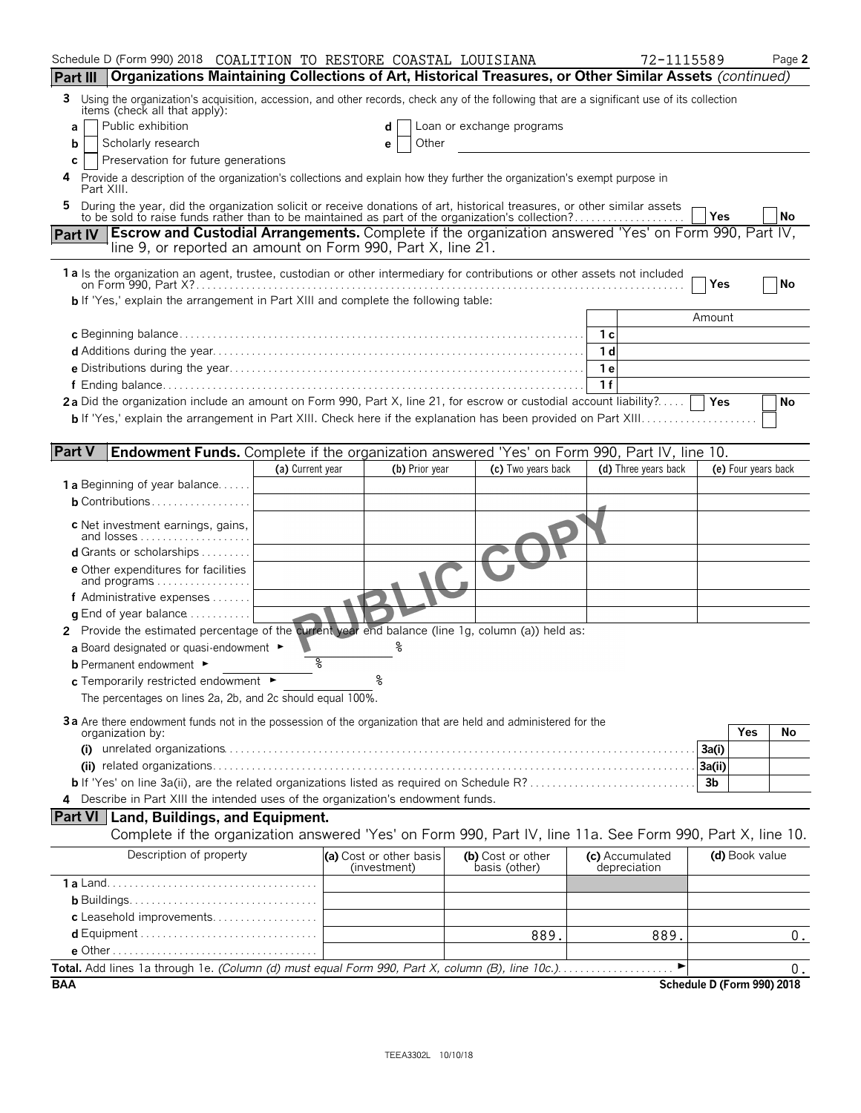| Schedule D (Form 990) 2018 COALITION TO RESTORE COASTAL LOUISIANA                                                                                                                                                              |                  |                                         |                |                                    | 72-1115589                      |                            | Page 2 |
|--------------------------------------------------------------------------------------------------------------------------------------------------------------------------------------------------------------------------------|------------------|-----------------------------------------|----------------|------------------------------------|---------------------------------|----------------------------|--------|
| Organizations Maintaining Collections of Art, Historical Treasures, or Other Similar Assets (continued)<br><b>Part III</b>                                                                                                     |                  |                                         |                |                                    |                                 |                            |        |
| Using the organization's acquisition, accession, and other records, check any of the following that are a significant use of its collection<br>3.<br>items (check all that apply):                                             |                  |                                         |                |                                    |                                 |                            |        |
| Public exhibition<br>a                                                                                                                                                                                                         |                  | d                                       |                | Loan or exchange programs          |                                 |                            |        |
| Scholarly research<br>b                                                                                                                                                                                                        |                  | е                                       | Other          |                                    |                                 |                            |        |
| Preservation for future generations<br>C                                                                                                                                                                                       |                  |                                         |                |                                    |                                 |                            |        |
| Provide a description of the organization's collections and explain how they further the organization's exempt purpose in<br>4<br>Part XIII.                                                                                   |                  |                                         |                |                                    |                                 |                            |        |
| During the year, did the organization solicit or receive donations of art, historical treasures, or other similar assets to be sold to raise funds rather than to be maintained as part of the organization's collection?<br>5 |                  |                                         |                |                                    |                                 |                            |        |
|                                                                                                                                                                                                                                |                  |                                         |                |                                    |                                 | Yes                        | No     |
| <b>Escrow and Custodial Arrangements.</b> Complete if the organization answered 'Yes' on Form 990, Part IV,<br><b>Part IV</b><br>line 9, or reported an amount on Form 990, Part X, line 21.                                   |                  |                                         |                |                                    |                                 |                            |        |
| 1a Is the organization an agent, trustee, custodian or other intermediary for contributions or other assets not included                                                                                                       |                  |                                         |                |                                    |                                 | Yes                        | No     |
| <b>b</b> If 'Yes,' explain the arrangement in Part XIII and complete the following table:                                                                                                                                      |                  |                                         |                |                                    |                                 |                            |        |
|                                                                                                                                                                                                                                |                  |                                         |                |                                    |                                 | Amount                     |        |
|                                                                                                                                                                                                                                |                  |                                         |                |                                    | 1 с                             |                            |        |
|                                                                                                                                                                                                                                |                  |                                         |                |                                    | 1 d                             |                            |        |
|                                                                                                                                                                                                                                |                  |                                         |                |                                    | 1e                              |                            |        |
|                                                                                                                                                                                                                                |                  |                                         |                |                                    | 1f                              |                            |        |
| 2a Did the organization include an amount on Form 990, Part X, line 21, for escrow or custodial account liability?                                                                                                             |                  |                                         |                |                                    |                                 | Yes                        | No     |
|                                                                                                                                                                                                                                |                  |                                         |                |                                    |                                 |                            |        |
|                                                                                                                                                                                                                                |                  |                                         |                |                                    |                                 |                            |        |
| <b>Part V</b><br>Endowment Funds. Complete if the organization answered 'Yes' on Form 990, Part IV, line 10.                                                                                                                   |                  |                                         |                |                                    |                                 |                            |        |
| <b>1 a</b> Beginning of year balance                                                                                                                                                                                           | (a) Current year |                                         | (b) Prior year | (c) Two years back                 | (d) Three years back            | (e) Four years back        |        |
| <b>b</b> Contributions                                                                                                                                                                                                         |                  |                                         |                |                                    |                                 |                            |        |
|                                                                                                                                                                                                                                |                  |                                         |                |                                    |                                 |                            |        |
| c Net investment earnings, gains,<br>and losses                                                                                                                                                                                |                  |                                         |                |                                    |                                 |                            |        |
| <b>d</b> Grants or scholarships $\ldots$                                                                                                                                                                                       |                  |                                         |                |                                    |                                 |                            |        |
| <b>e</b> Other expenditures for facilities                                                                                                                                                                                     |                  |                                         |                |                                    |                                 |                            |        |
| and programs                                                                                                                                                                                                                   |                  |                                         |                |                                    |                                 |                            |        |
| f Administrative expenses $\ldots$                                                                                                                                                                                             |                  |                                         |                |                                    |                                 |                            |        |
| <b>g</b> End of year balance $\dots\dots\dots\dots$                                                                                                                                                                            |                  |                                         |                |                                    |                                 |                            |        |
| 2 Provide the estimated percentage of the current year end balance (line 1g, column (a)) held as:                                                                                                                              |                  |                                         |                |                                    |                                 |                            |        |
| a Board designated or quasi-endowment $\blacktriangleright$                                                                                                                                                                    |                  |                                         |                |                                    |                                 |                            |        |
| <b>b</b> Permanent endowment ►                                                                                                                                                                                                 | နွ               |                                         |                |                                    |                                 |                            |        |
| c Temporarily restricted endowment ►                                                                                                                                                                                           |                  |                                         |                |                                    |                                 |                            |        |
| The percentages on lines 2a, 2b, and 2c should equal 100%.                                                                                                                                                                     |                  |                                         |                |                                    |                                 |                            |        |
| 3a Are there endowment funds not in the possession of the organization that are held and administered for the                                                                                                                  |                  |                                         |                |                                    |                                 | Yes                        |        |
| organization by:                                                                                                                                                                                                               |                  |                                         |                |                                    |                                 | 3a(i)                      | No     |
|                                                                                                                                                                                                                                |                  |                                         |                |                                    |                                 | 3a(ii)                     |        |
|                                                                                                                                                                                                                                |                  |                                         |                |                                    |                                 | 3b                         |        |
| Describe in Part XIII the intended uses of the organization's endowment funds.<br>4                                                                                                                                            |                  |                                         |                |                                    |                                 |                            |        |
| <b>Part VI</b> Land, Buildings, and Equipment.                                                                                                                                                                                 |                  |                                         |                |                                    |                                 |                            |        |
| Complete if the organization answered 'Yes' on Form 990, Part IV, line 11a. See Form 990, Part X, line 10.                                                                                                                     |                  |                                         |                |                                    |                                 |                            |        |
| Description of property                                                                                                                                                                                                        |                  | (a) Cost or other basis<br>(investment) |                | (b) Cost or other<br>basis (other) | (c) Accumulated<br>depreciation | (d) Book value             |        |
|                                                                                                                                                                                                                                |                  |                                         |                |                                    |                                 |                            |        |
|                                                                                                                                                                                                                                |                  |                                         |                |                                    |                                 |                            |        |
| c Leasehold improvements                                                                                                                                                                                                       |                  |                                         |                |                                    |                                 |                            |        |
|                                                                                                                                                                                                                                |                  |                                         |                | 889.                               | 889.                            |                            | $0$ .  |
|                                                                                                                                                                                                                                |                  |                                         |                |                                    |                                 |                            |        |
| Total. Add lines 1a through 1e. (Column (d) must equal Form 990, Part X, column (B), line 10c.)                                                                                                                                |                  |                                         |                |                                    |                                 |                            | 0.     |
| <b>BAA</b>                                                                                                                                                                                                                     |                  |                                         |                |                                    |                                 | Schedule D (Form 990) 2018 |        |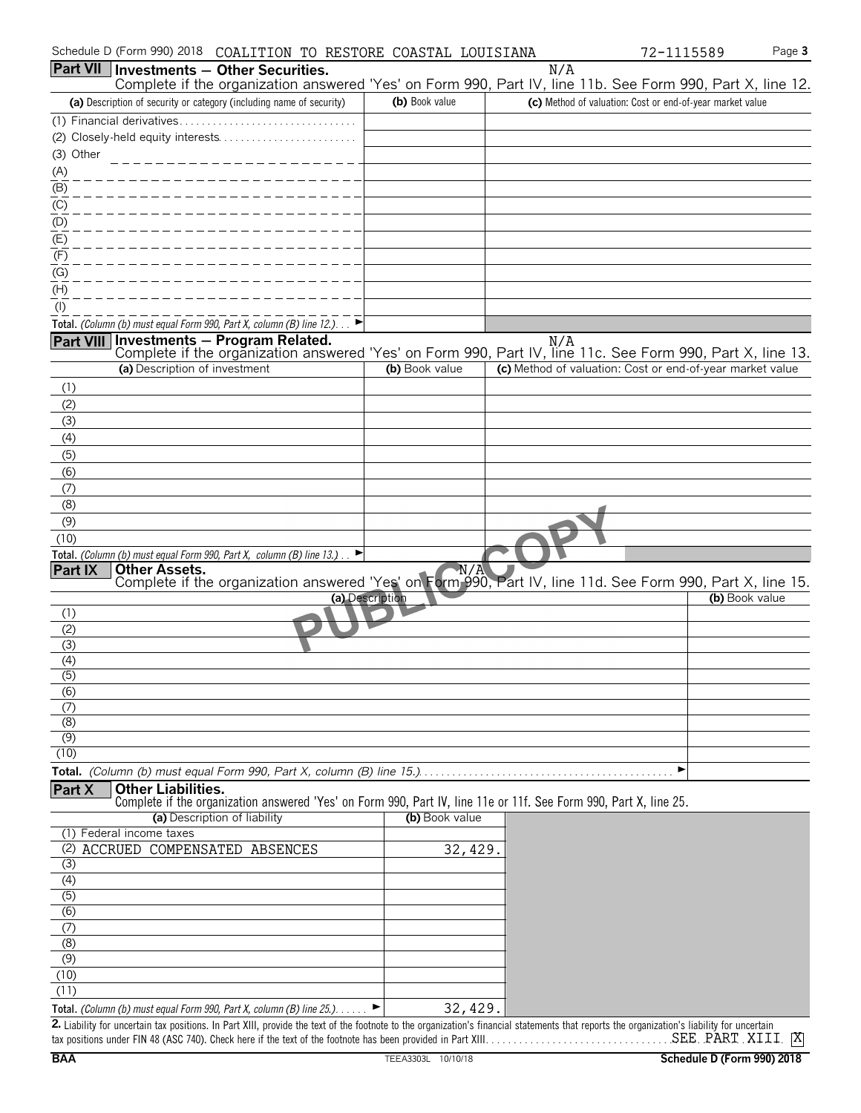| Schedule D (Form 990) 2018 COALITION TO RESTORE COASTAL LOUISIANA                                                                                                                                                                                                                          |                 |     | 72-1115589                                                | Page 3 |
|--------------------------------------------------------------------------------------------------------------------------------------------------------------------------------------------------------------------------------------------------------------------------------------------|-----------------|-----|-----------------------------------------------------------|--------|
| <b>Part VII Investments - Other Securities.</b>                                                                                                                                                                                                                                            |                 | N/A |                                                           |        |
| Complete if the organization answered 'Yes' on Form 990, Part IV, line 11b. See Form 990, Part X, line 12.                                                                                                                                                                                 | (b) Book value  |     |                                                           |        |
| (a) Description of security or category (including name of security)<br>(1) Financial derivatives                                                                                                                                                                                          |                 |     | (c) Method of valuation: Cost or end-of-year market value |        |
|                                                                                                                                                                                                                                                                                            |                 |     |                                                           |        |
| (3) Other                                                                                                                                                                                                                                                                                  |                 |     |                                                           |        |
| (A)                                                                                                                                                                                                                                                                                        |                 |     |                                                           |        |
| $\overline{(\mathsf{B})}$                                                                                                                                                                                                                                                                  |                 |     |                                                           |        |
| $\underline{(C)}$                                                                                                                                                                                                                                                                          |                 |     |                                                           |        |
| (D)                                                                                                                                                                                                                                                                                        |                 |     |                                                           |        |
| (E)                                                                                                                                                                                                                                                                                        |                 |     |                                                           |        |
| (F)                                                                                                                                                                                                                                                                                        |                 |     |                                                           |        |
| (G)                                                                                                                                                                                                                                                                                        |                 |     |                                                           |        |
| (H)<br>$($ l $)$                                                                                                                                                                                                                                                                           |                 |     |                                                           |        |
| Total. (Column (b) must equal Form 990, Part X, column (B) line 12.). $\blacktriangleright$                                                                                                                                                                                                |                 |     |                                                           |        |
| <b>Part VIII</b>                                                                                                                                                                                                                                                                           |                 |     |                                                           |        |
| <b>Investments – Program Related.</b> N/A<br>Complete if the organization answered 'Yes' on Form 990, Part IV, line 11c. See Form 990, Part X, line 13.                                                                                                                                    |                 |     |                                                           |        |
| (a) Description of investment                                                                                                                                                                                                                                                              | (b) Book value  |     | (c) Method of valuation: Cost or end-of-year market value |        |
| (1)                                                                                                                                                                                                                                                                                        |                 |     |                                                           |        |
| (2)                                                                                                                                                                                                                                                                                        |                 |     |                                                           |        |
| (3)                                                                                                                                                                                                                                                                                        |                 |     |                                                           |        |
| (4)                                                                                                                                                                                                                                                                                        |                 |     |                                                           |        |
| (5)<br>(6)                                                                                                                                                                                                                                                                                 |                 |     |                                                           |        |
| (7)                                                                                                                                                                                                                                                                                        |                 |     |                                                           |        |
| (8)                                                                                                                                                                                                                                                                                        |                 |     |                                                           |        |
| (9)                                                                                                                                                                                                                                                                                        |                 |     |                                                           |        |
| (10)                                                                                                                                                                                                                                                                                       |                 |     |                                                           |        |
| Total. (Column (b) must equal Form 990, Part X, column (B) line 13.).                                                                                                                                                                                                                      |                 |     |                                                           |        |
| <b>Part IX</b><br><b>Other Assets.</b><br>Complete if the organization answered 'Yes' on Form 990, Part IV, line 11d. See Form 990, Part X, line 15.                                                                                                                                       | N/A             |     |                                                           |        |
|                                                                                                                                                                                                                                                                                            | (a) Description |     | (b) Book value                                            |        |
| (1)                                                                                                                                                                                                                                                                                        |                 |     |                                                           |        |
| (2)                                                                                                                                                                                                                                                                                        |                 |     |                                                           |        |
| (3)                                                                                                                                                                                                                                                                                        |                 |     |                                                           |        |
| (4)<br>(5)                                                                                                                                                                                                                                                                                 |                 |     |                                                           |        |
| (6)                                                                                                                                                                                                                                                                                        |                 |     |                                                           |        |
| (7)                                                                                                                                                                                                                                                                                        |                 |     |                                                           |        |
| (8)                                                                                                                                                                                                                                                                                        |                 |     |                                                           |        |
| (9)                                                                                                                                                                                                                                                                                        |                 |     |                                                           |        |
| (10)                                                                                                                                                                                                                                                                                       |                 |     | ▶                                                         |        |
| Part X<br><b>Other Liabilities.</b>                                                                                                                                                                                                                                                        |                 |     |                                                           |        |
| Complete if the organization answered 'Yes' on Form 990, Part IV, line 11e or 11f. See Form 990, Part X, line 25.                                                                                                                                                                          |                 |     |                                                           |        |
| (a) Description of liability                                                                                                                                                                                                                                                               | (b) Book value  |     |                                                           |        |
| (1) Federal income taxes                                                                                                                                                                                                                                                                   |                 |     |                                                           |        |
| (2) ACCRUED COMPENSATED ABSENCES                                                                                                                                                                                                                                                           | 32,429.         |     |                                                           |        |
| (3)<br>(4)                                                                                                                                                                                                                                                                                 |                 |     |                                                           |        |
| (5)                                                                                                                                                                                                                                                                                        |                 |     |                                                           |        |
| (6)                                                                                                                                                                                                                                                                                        |                 |     |                                                           |        |
| (7)                                                                                                                                                                                                                                                                                        |                 |     |                                                           |        |
| (8)                                                                                                                                                                                                                                                                                        |                 |     |                                                           |        |
| $\overline{(\overline{9})}$                                                                                                                                                                                                                                                                |                 |     |                                                           |        |
| (10)                                                                                                                                                                                                                                                                                       |                 |     |                                                           |        |
| (11)                                                                                                                                                                                                                                                                                       |                 |     |                                                           |        |
| Total. (Column (b) must equal Form 990, Part X, column (B) line 25.). $\blacktriangleright$<br>2. Liability for uncertain tax positions. In Part XIII, provide the text of the footnote to the organization's financial statements that reports the organization's liability for uncertain | 32, 429.        |     |                                                           |        |

tax positions under FIN 48 (ASC 740). Check here if the text of the footnote has been provided in Part XIII. . . . . . . . . . . . . . . . . . . . . . . . . . . . . . . . . . . . . . . . . . . . . . . . . . . . . . X SEE PART XIII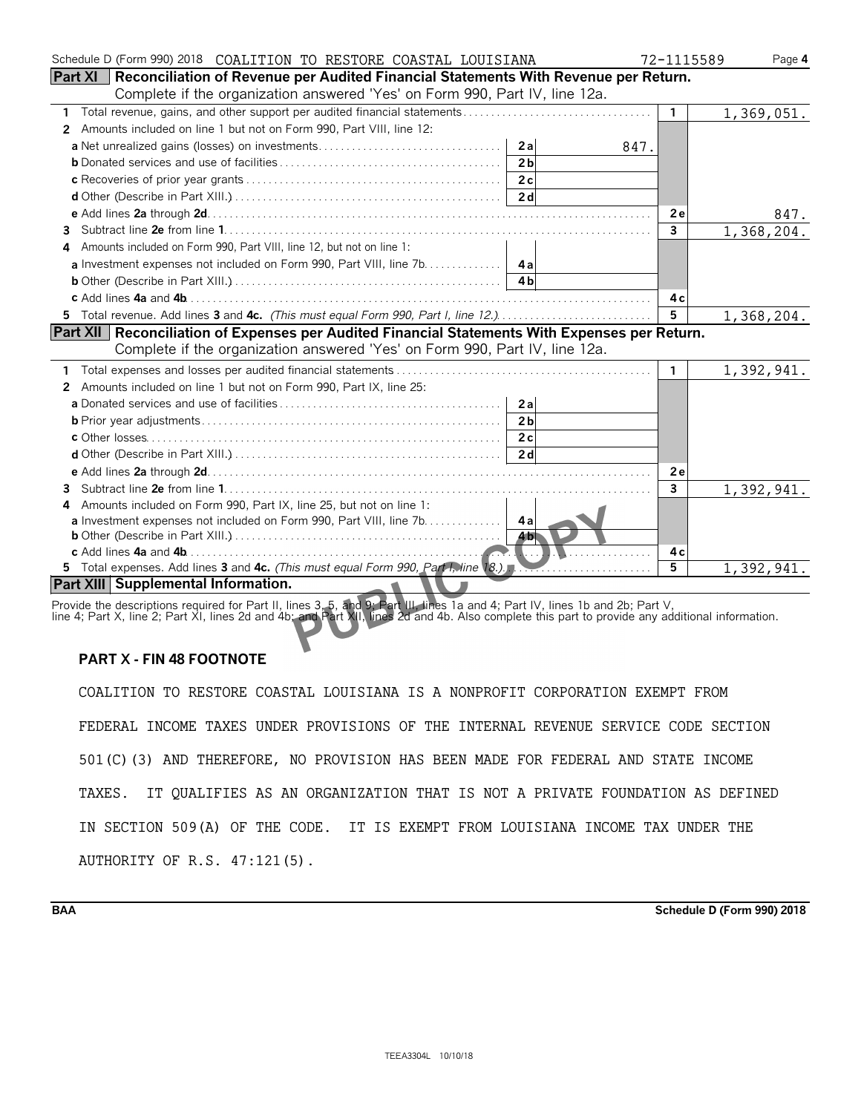| Schedule D (Form 990) 2018  COALITION TO RESTORE COASTAL LOUISIANA                                    | 72-1115589     | Page 4                     |
|-------------------------------------------------------------------------------------------------------|----------------|----------------------------|
| <b>Part XI</b>   Reconciliation of Revenue per Audited Financial Statements With Revenue per Return.  |                |                            |
| Complete if the organization answered 'Yes' on Form 990, Part IV, line 12a.                           |                |                            |
| 1                                                                                                     | $\mathbf{1}$   | 1,369,051.                 |
| Amounts included on line 1 but not on Form 990, Part VIII, line 12:<br>2                              |                |                            |
| 2al<br>847.                                                                                           |                |                            |
| 2 <sub>h</sub>                                                                                        |                |                            |
|                                                                                                       |                |                            |
|                                                                                                       |                |                            |
|                                                                                                       | 2e             | 847.                       |
| 3.                                                                                                    | $\mathbf{3}$   | 1,368,204.                 |
| Amounts included on Form 990, Part VIII, line 12, but not on line 1:<br>4                             |                |                            |
| a Investment expenses not included on Form 990, Part VIII, line 7b.   4a                              |                |                            |
|                                                                                                       |                |                            |
|                                                                                                       | 4с             |                            |
| 5 Total revenue. Add lines 3 and 4c. (This must equal Form 990, Part I, line 12.)                     | 5 <sup>5</sup> | 1,368,204.                 |
| <b>Part XII</b> Reconciliation of Expenses per Audited Financial Statements With Expenses per Return. |                |                            |
| Complete if the organization answered 'Yes' on Form 990, Part IV, line 12a.                           |                |                            |
|                                                                                                       | 1.             | 1,392,941.                 |
| Amounts included on line 1 but not on Form 990, Part IX, line 25:<br>2                                |                |                            |
| 2a                                                                                                    |                |                            |
| 2 <sub>b</sub>                                                                                        |                |                            |
|                                                                                                       |                |                            |
|                                                                                                       |                |                            |
|                                                                                                       | 2e             |                            |
| 3.                                                                                                    | 3              | 1,392,941.                 |
| Amounts included on Form 990, Part IX, line 25, but not on line 1:<br>4                               |                |                            |
| a Investment expenses not included on Form 990, Part VIII, line 7b. 4a                                |                |                            |
| <b>461</b>                                                                                            |                |                            |
| .                                                                                                     | 4 c            |                            |
| 5 Total expenses. Add lines 3 and 4c. (This must equal Form 990, Part I, line 18.).                   | 5              | $\overline{1}$ , 392, 941. |
| Part XIII Supplemental Information.<br>$\mathbf{A}$                                                   |                |                            |

Provide the descriptions required for Part II, lines 3, 5, and 9; Part III, lines 1a and 4; Part IV, lines 1b and 2b; Part V, line 4; Part X, line 2; Part XI, lines 2d and 4b; and Part XII, lines 2d and 4b. Also complete this part to provide any additional information.

## **PART X - FIN 48 FOOTNOTE**

COALITION TO RESTORE COASTAL LOUISIANA IS A NONPROFIT CORPORATION EXEMPT FROM FEDERAL INCOME TAXES UNDER PROVISIONS OF THE INTERNAL REVENUE SERVICE CODE SECTION 501(C)(3) AND THEREFORE, NO PROVISION HAS BEEN MADE FOR FEDERAL AND STATE INCOME TAXES. IT QUALIFIES AS AN ORGANIZATION THAT IS NOT A PRIVATE FOUNDATION AS DEFINED IN SECTION 509(A) OF THE CODE. IT IS EXEMPT FROM LOUISIANA INCOME TAX UNDER THE AUTHORITY OF R.S. 47:121(5).

**BAA Schedule D (Form 990) 2018**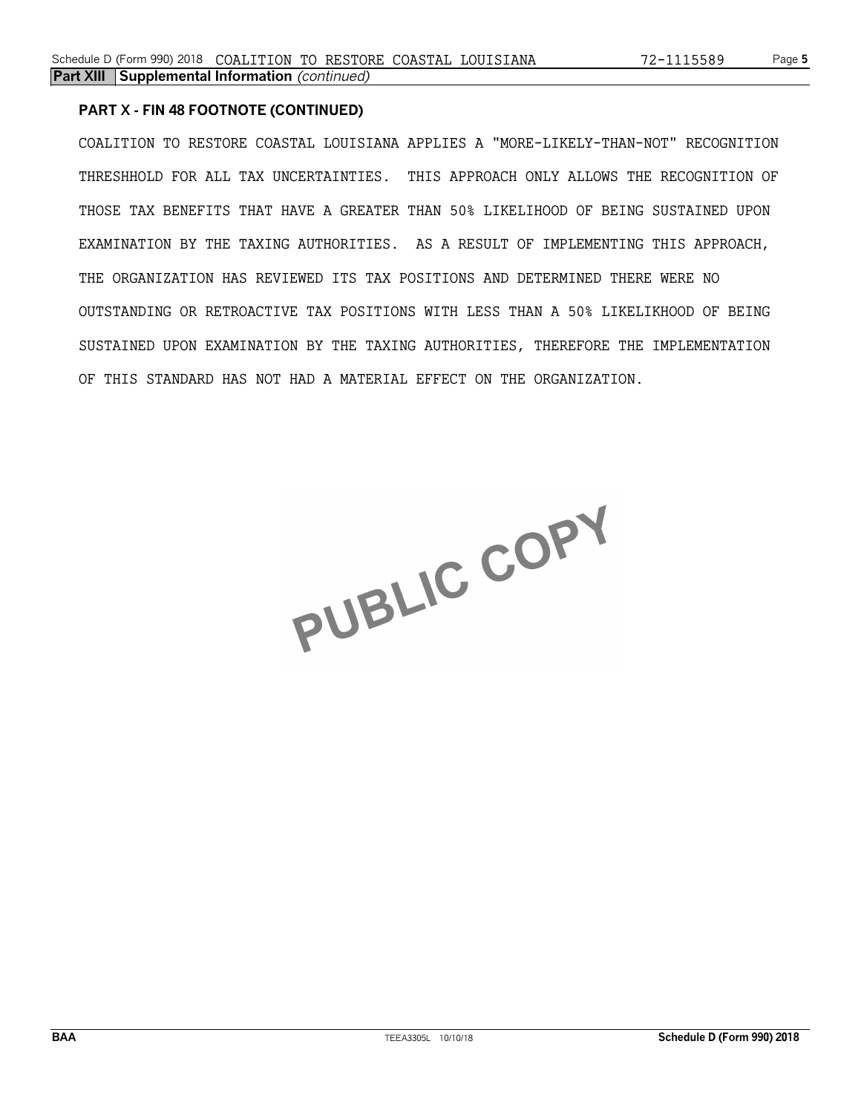#### **PART X - FIN 48 FOOTNOTE (CONTINUED)**

COALITION TO RESTORE COASTAL LOUISIANA APPLIES A "MORE-LIKELY-THAN-NOT" RECOGNITION THRESHHOLD FOR ALL TAX UNCERTAINTIES. THIS APPROACH ONLY ALLOWS THE RECOGNITION OF THOSE TAX BENEFITS THAT HAVE A GREATER THAN 50% LIKELIHOOD OF BEING SUSTAINED UPON EXAMINATION BY THE TAXING AUTHORITIES. AS A RESULT OF IMPLEMENTING THIS APPROACH, THE ORGANIZATION HAS REVIEWED ITS TAX POSITIONS AND DETERMINED THERE WERE NO OUTSTANDING OR RETROACTIVE TAX POSITIONS WITH LESS THAN A 50% LIKELIKHOOD OF BEING SUSTAINED UPON EXAMINATION BY THE TAXING AUTHORITIES, THEREFORE THE IMPLEMENTATION OF THIS STANDARD HAS NOT HAD A MATERIAL EFFECT ON THE ORGANIZATION.

PUBLIC COPY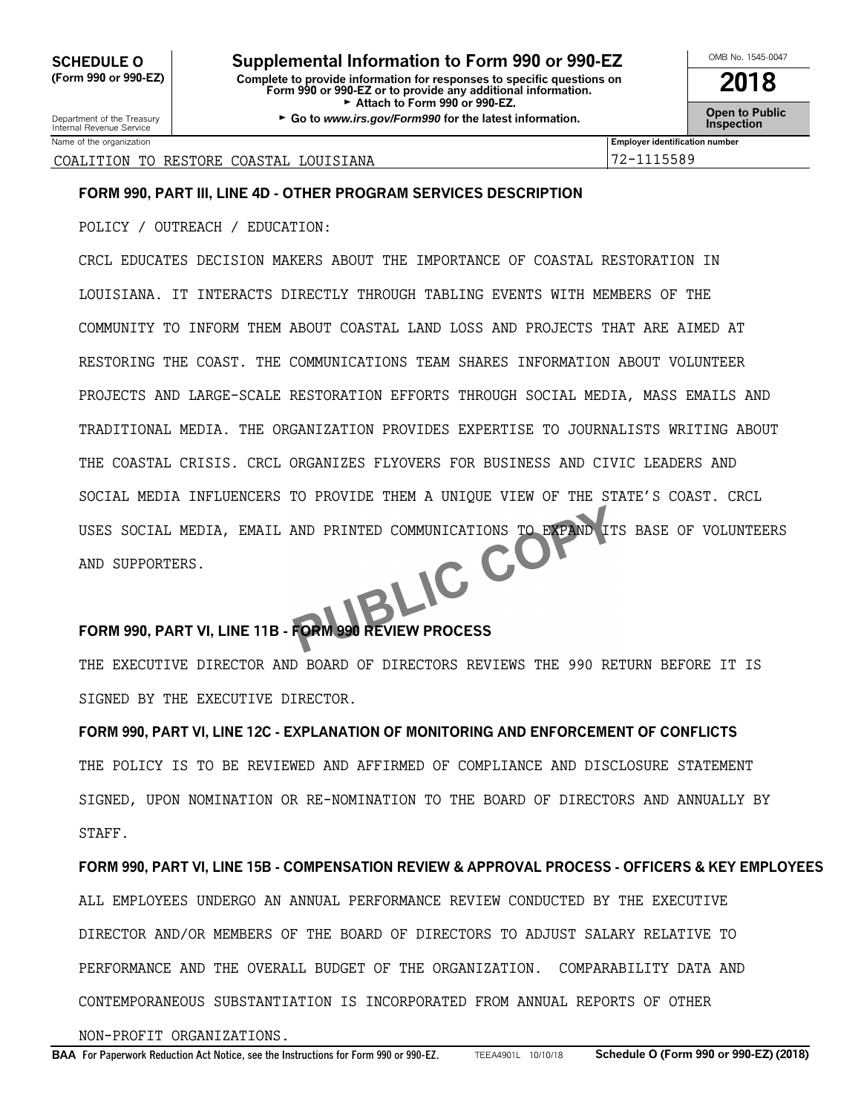**CHEDULE O** Supplemental Information to Form 990 or 990-EZ<br>
Form 990 or 990-EZ) Complete to provide information for responses to specific questions on **2019 (Form 990 or 990-EZ) Complete to provide information for responses to specific questions on Form 990 or 990-EZ or to provide any additional information. 2018** Attach to Form 990 or 990-EZ.

Department of the Treasury **Connect Connect Connect Connect Connect Connect Connect Connect Connect Connect Conne<br>Internal Revenue Service <b>Inspection** 

| Name of the organization                                  | <br><b>Employer identification numbe</b> |
|-----------------------------------------------------------|------------------------------------------|
| IANA<br>ТC<br>LOU<br>COASTAL<br>COALITI<br>RESTORE<br>`ON | 5589<br>∼                                |

## **FORM 990, PART III, LINE 4D - OTHER PROGRAM SERVICES DESCRIPTION**

POLICY / OUTREACH / EDUCATION:

CRCL EDUCATES DECISION MAKERS ABOUT THE IMPORTANCE OF COASTAL RESTORATION IN LOUISIANA. IT INTERACTS DIRECTLY THROUGH TABLING EVENTS WITH MEMBERS OF THE COMMUNITY TO INFORM THEM ABOUT COASTAL LAND LOSS AND PROJECTS THAT ARE AIMED AT RESTORING THE COAST. THE COMMUNICATIONS TEAM SHARES INFORMATION ABOUT VOLUNTEER PROJECTS AND LARGE-SCALE RESTORATION EFFORTS THROUGH SOCIAL MEDIA, MASS EMAILS AND TRADITIONAL MEDIA. THE ORGANIZATION PROVIDES EXPERTISE TO JOURNALISTS WRITING ABOUT THE COASTAL CRISIS. CRCL ORGANIZES FLYOVERS FOR BUSINESS AND CIVIC LEADERS AND SOCIAL MEDIA INFLUENCERS TO PROVIDE THEM A UNIQUE VIEW OF THE STATE'S COAST. CRCL USES SOCIAL MEDIA, EMAIL AND PRINTED COMMUNICATIONS TO EXPAND ITS BASE OF VOLUNTEERS<br>AND SUPPORTERS. AND SUPPORTERS.

## **FORM 990, PART VI, LINE 11B - FORM 990 REVIEW PROCESS**

THE EXECUTIVE DIRECTOR AND BOARD OF DIRECTORS REVIEWS THE 990 RETURN BEFORE IT IS SIGNED BY THE EXECUTIVE DIRECTOR.

**FORM 990, PART VI, LINE 12C - EXPLANATION OF MONITORING AND ENFORCEMENT OF CONFLICTS** THE POLICY IS TO BE REVIEWED AND AFFIRMED OF COMPLIANCE AND DISCLOSURE STATEMENT SIGNED, UPON NOMINATION OR RE-NOMINATION TO THE BOARD OF DIRECTORS AND ANNUALLY BY STAFF.

## **FORM 990, PART VI, LINE 15B - COMPENSATION REVIEW & APPROVAL PROCESS - OFFICERS & KEY EMPLOYEES**

ALL EMPLOYEES UNDERGO AN ANNUAL PERFORMANCE REVIEW CONDUCTED BY THE EXECUTIVE DIRECTOR AND/OR MEMBERS OF THE BOARD OF DIRECTORS TO ADJUST SALARY RELATIVE TO PERFORMANCE AND THE OVERALL BUDGET OF THE ORGANIZATION. COMPARABILITY DATA AND CONTEMPORANEOUS SUBSTANTIATION IS INCORPORATED FROM ANNUAL REPORTS OF OTHER

NON-PROFIT ORGANIZATIONS.